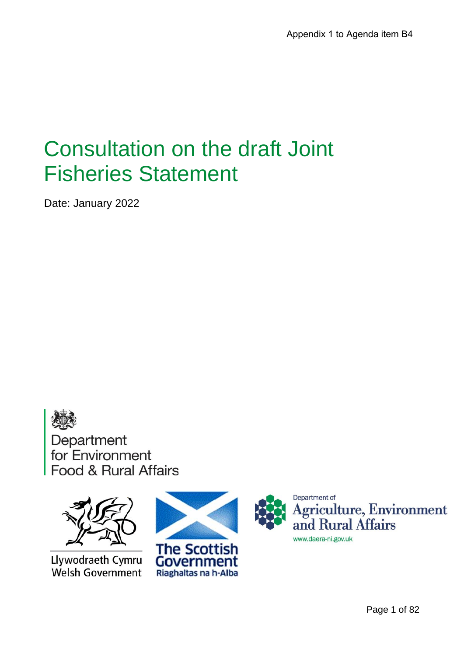## Consultation on the draft Joint Fisheries Statement

Date: January 2022





Llywodraeth Cymru **Welsh Government** 



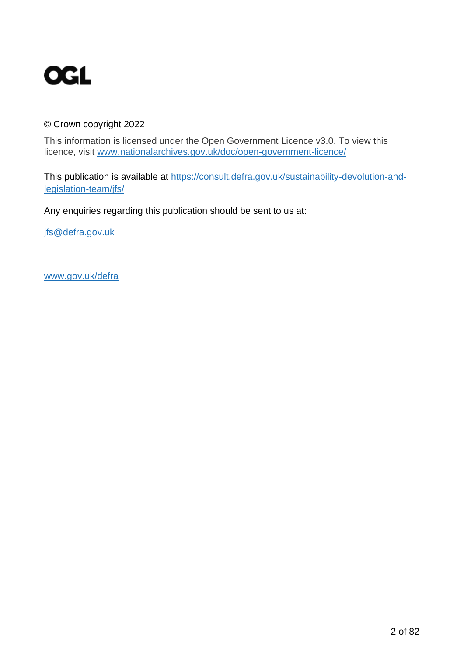

#### © Crown copyright 2022

This information is licensed under the Open Government Licence v3.0. To view this licence, visit [www.nationalarchives.gov.uk/doc/open-government-licence/](http://www.nationalarchives.gov.uk/doc/open-government-licence/)

This publication is available at [https://consult.defra.gov.uk/sustainability-devolution-and](https://consult.defra.gov.uk/sustainability-devolution-and-legislation-team/jfs/)[legislation-team/jfs/](https://consult.defra.gov.uk/sustainability-devolution-and-legislation-team/jfs/)

Any enquiries regarding this publication should be sent to us at:

[jfs@defra.gov.uk](mailto:jfs@defra.gov.uk)

[www.gov.uk/defra](http://www.gov.uk/defra)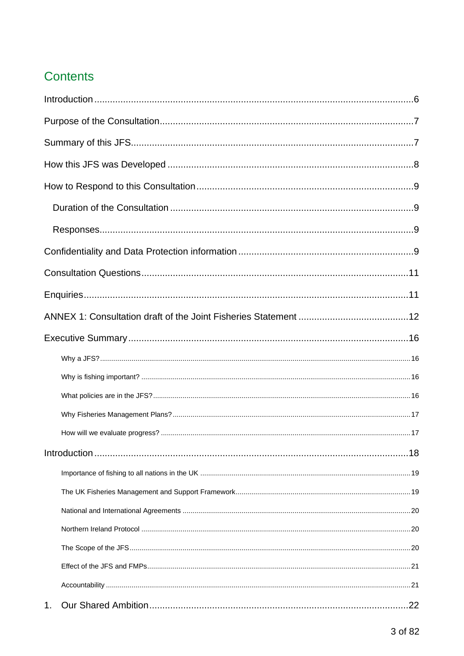### **Contents**

| 1 <sub>1</sub> |  |
|----------------|--|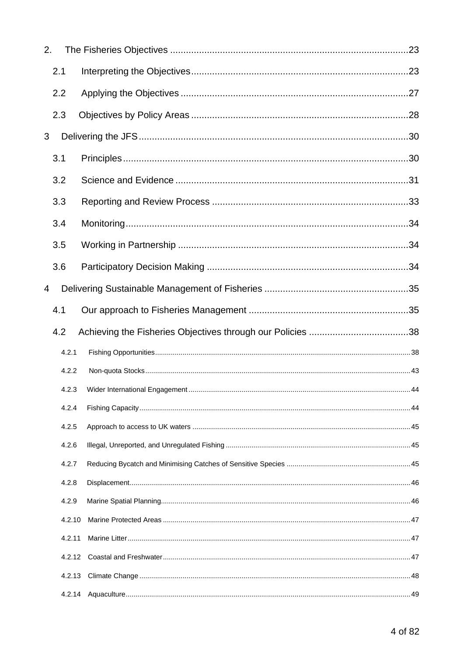| 2. |        |      |
|----|--------|------|
|    | 2.1    |      |
|    | 2.2    |      |
|    | 2.3    |      |
| 3  |        |      |
|    | 3.1    |      |
|    | 3.2    |      |
|    | 3.3    |      |
|    | 3.4    |      |
|    | 3.5    |      |
|    | 3.6    |      |
| 4  |        |      |
|    |        |      |
|    | 4.1    |      |
|    |        |      |
|    | 4.2    |      |
|    | 4.2.1  |      |
|    | 4.2.2  |      |
|    | 4.2.3  | . 44 |
|    | 4.2.4  |      |
|    | 4.2.5  |      |
|    | 4.2.6  |      |
|    | 4.2.7  |      |
|    | 4.2.8  |      |
|    | 4.2.9  |      |
|    | 4.2.10 |      |
|    | 4.2.11 |      |
|    | 4.2.12 |      |
|    | 4.2.13 |      |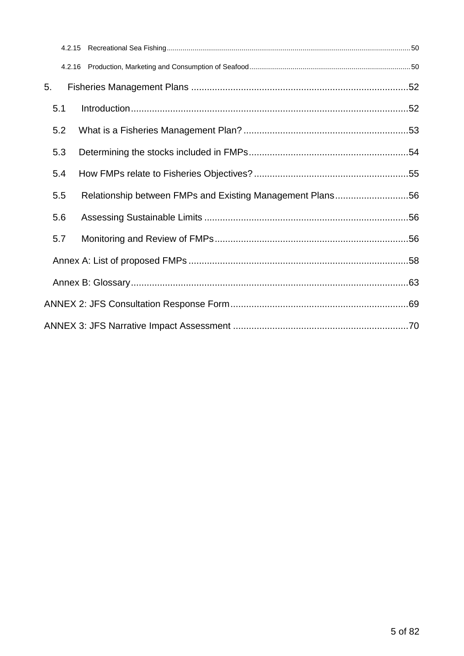| 4.2.16 |                                                           |  |
|--------|-----------------------------------------------------------|--|
| 5.     |                                                           |  |
| 5.1    |                                                           |  |
| 5.2    |                                                           |  |
| 5.3    |                                                           |  |
| 5.4    |                                                           |  |
| 5.5    | Relationship between FMPs and Existing Management Plans56 |  |
| 5.6    |                                                           |  |
| 5.7    |                                                           |  |
|        |                                                           |  |
|        |                                                           |  |
|        |                                                           |  |
|        |                                                           |  |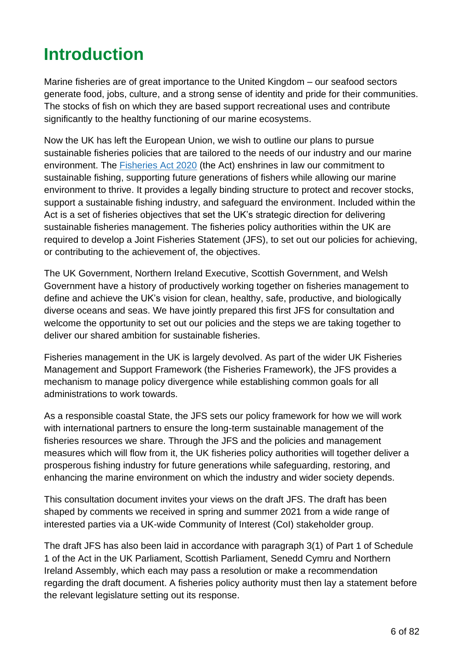## <span id="page-5-0"></span>**Introduction**

Marine fisheries are of great importance to the United Kingdom – our seafood sectors generate food, jobs, culture, and a strong sense of identity and pride for their communities. The stocks of fish on which they are based support recreational uses and contribute significantly to the healthy functioning of our marine ecosystems.

Now the UK has left the European Union, we wish to outline our plans to pursue sustainable fisheries policies that are tailored to the needs of our industry and our marine environment. The [Fisheries Act 2020](https://www.legislation.gov.uk/ukpga/2020/22/contents/enacted) (the Act) enshrines in law our commitment to sustainable fishing, supporting future generations of fishers while allowing our marine environment to thrive. It provides a legally binding structure to protect and recover stocks, support a sustainable fishing industry, and safeguard the environment. Included within the Act is a set of fisheries objectives that set the UK's strategic direction for delivering sustainable fisheries management. The fisheries policy authorities within the UK are required to develop a Joint Fisheries Statement (JFS), to set out our policies for achieving, or contributing to the achievement of, the objectives.

The UK Government, Northern Ireland Executive, Scottish Government, and Welsh Government have a history of productively working together on fisheries management to define and achieve the UK's vision for clean, healthy, safe, productive, and biologically diverse oceans and seas. We have jointly prepared this first JFS for consultation and welcome the opportunity to set out our policies and the steps we are taking together to deliver our shared ambition for sustainable fisheries.

Fisheries management in the UK is largely devolved. As part of the wider UK Fisheries Management and Support Framework (the Fisheries Framework), the JFS provides a mechanism to manage policy divergence while establishing common goals for all administrations to work towards.

As a responsible coastal State, the JFS sets our policy framework for how we will work with international partners to ensure the long-term sustainable management of the fisheries resources we share. Through the JFS and the policies and management measures which will flow from it, the UK fisheries policy authorities will together deliver a prosperous fishing industry for future generations while safeguarding, restoring, and enhancing the marine environment on which the industry and wider society depends.

This consultation document invites your views on the draft JFS. The draft has been shaped by comments we received in spring and summer 2021 from a wide range of interested parties via a UK-wide Community of Interest (CoI) stakeholder group.

The draft JFS has also been laid in accordance with paragraph 3(1) of Part 1 of Schedule 1 of the Act in the UK Parliament, Scottish Parliament, Senedd Cymru and Northern Ireland Assembly, which each may pass a resolution or make a recommendation regarding the draft document. A fisheries policy authority must then lay a statement before the relevant legislature setting out its response.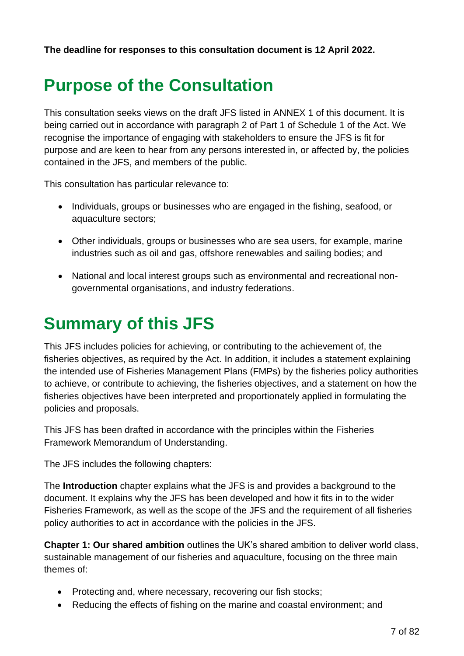**The deadline for responses to this consultation document is 12 April 2022.**

## <span id="page-6-0"></span>**Purpose of the Consultation**

This consultation seeks views on the draft JFS listed in ANNEX 1 of this document. It is being carried out in accordance with paragraph 2 of Part 1 of Schedule 1 of the Act. We recognise the importance of engaging with stakeholders to ensure the JFS is fit for purpose and are keen to hear from any persons interested in, or affected by, the policies contained in the JFS, and members of the public.

This consultation has particular relevance to:

- Individuals, groups or businesses who are engaged in the fishing, seafood, or aquaculture sectors;
- Other individuals, groups or businesses who are sea users, for example, marine industries such as oil and gas, offshore renewables and sailing bodies; and
- National and local interest groups such as environmental and recreational nongovernmental organisations, and industry federations.

## <span id="page-6-1"></span>**Summary of this JFS**

This JFS includes policies for achieving, or contributing to the achievement of, the fisheries objectives, as required by the Act. In addition, it includes a statement explaining the intended use of Fisheries Management Plans (FMPs) by the fisheries policy authorities to achieve, or contribute to achieving, the fisheries objectives, and a statement on how the fisheries objectives have been interpreted and proportionately applied in formulating the policies and proposals.

This JFS has been drafted in accordance with the principles within the Fisheries Framework Memorandum of Understanding.

The JFS includes the following chapters:

The **Introduction** chapter explains what the JFS is and provides a background to the document. It explains why the JFS has been developed and how it fits in to the wider Fisheries Framework, as well as the scope of the JFS and the requirement of all fisheries policy authorities to act in accordance with the policies in the JFS.

**Chapter 1: Our shared ambition** outlines the UK's shared ambition to deliver world class, sustainable management of our fisheries and aquaculture, focusing on the three main themes of:

- Protecting and, where necessary, recovering our fish stocks;
- Reducing the effects of fishing on the marine and coastal environment; and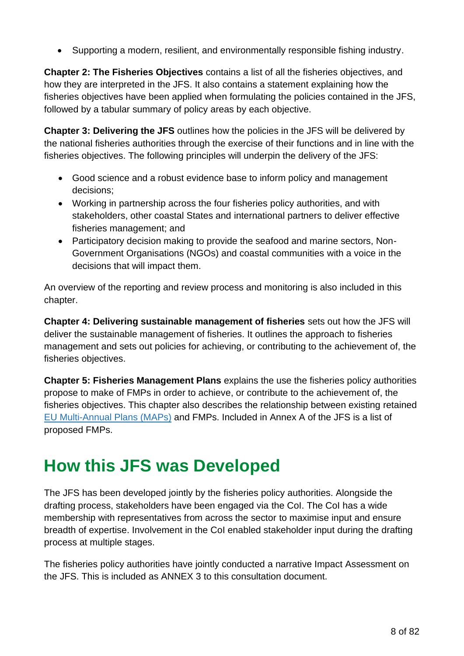• Supporting a modern, resilient, and environmentally responsible fishing industry.

**Chapter 2: The Fisheries Objectives** contains a list of all the fisheries objectives, and how they are interpreted in the JFS. It also contains a statement explaining how the fisheries objectives have been applied when formulating the policies contained in the JFS, followed by a tabular summary of policy areas by each objective.

**Chapter 3: Delivering the JFS** outlines how the policies in the JFS will be delivered by the national fisheries authorities through the exercise of their functions and in line with the fisheries objectives. The following principles will underpin the delivery of the JFS:

- Good science and a robust evidence base to inform policy and management decisions;
- Working in partnership across the four fisheries policy authorities, and with stakeholders, other coastal States and international partners to deliver effective fisheries management; and
- Participatory decision making to provide the seafood and marine sectors, Non-Government Organisations (NGOs) and coastal communities with a voice in the decisions that will impact them.

An overview of the reporting and review process and monitoring is also included in this chapter.

**Chapter 4: Delivering sustainable management of fisheries** sets out how the JFS will deliver the sustainable management of fisheries. It outlines the approach to fisheries management and sets out policies for achieving, or contributing to the achievement of, the fisheries objectives.

**Chapter 5: Fisheries Management Plans** explains the use the fisheries policy authorities propose to make of FMPs in order to achieve, or contribute to the achievement of, the fisheries objectives. This chapter also describes the relationship between existing retained [EU Multi-Annual Plans \(MAPs\)](https://ec.europa.eu/oceans-and-fisheries/fisheries/rules/multiannual-plans_en) and FMPs. Included in Annex A of the JFS is a list of proposed FMPs.

## <span id="page-7-0"></span>**How this JFS was Developed**

The JFS has been developed jointly by the fisheries policy authorities. Alongside the drafting process, stakeholders have been engaged via the CoI. The CoI has a wide membership with representatives from across the sector to maximise input and ensure breadth of expertise. Involvement in the CoI enabled stakeholder input during the drafting process at multiple stages.

The fisheries policy authorities have jointly conducted a narrative Impact Assessment on the JFS. This is included as ANNEX 3 to this consultation document.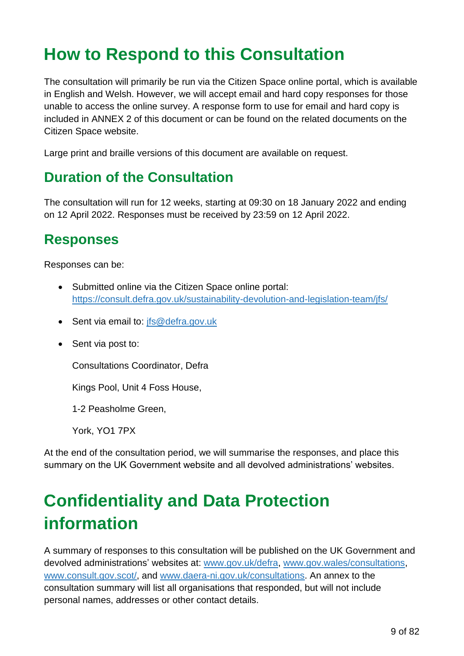## <span id="page-8-0"></span>**How to Respond to this Consultation**

The consultation will primarily be run via the Citizen Space online portal, which is available in English and Welsh. However, we will accept email and hard copy responses for those unable to access the online survey. A response form to use for email and hard copy is included in ANNEX 2 of this document or can be found on the related documents on the Citizen Space website.

Large print and braille versions of this document are available on request.

### <span id="page-8-1"></span>**Duration of the Consultation**

The consultation will run for 12 weeks, starting at 09:30 on 18 January 2022 and ending on 12 April 2022. Responses must be received by 23:59 on 12 April 2022.

### <span id="page-8-2"></span>**Responses**

Responses can be:

- Submitted online via the Citizen Space online portal: <https://consult.defra.gov.uk/sustainability-devolution-and-legislation-team/jfs/>
- Sent via email to: [jfs@defra.gov.uk](mailto:jfs@defra.gov.uk)
- Sent via post to:

Consultations Coordinator, Defra

Kings Pool, Unit 4 Foss House,

1-2 Peasholme Green,

York, YO1 7PX

At the end of the consultation period, we will summarise the responses, and place this summary on the UK Government website and all devolved administrations' websites.

## <span id="page-8-3"></span>**Confidentiality and Data Protection information**

A summary of responses to this consultation will be published on the UK Government and devolved administrations' websites at: [www.gov.uk/defra,](http://www.gov.uk/defra) [www.gov.wales/consultations,](http://www.gov.wales/consultations) [www.consult.gov.scot/,](http://www.consult.gov.scot/) and [www.daera-ni.gov.uk/consultations.](http://www.daera-ni.gov.uk/consultations) An annex to the consultation summary will list all organisations that responded, but will not include personal names, addresses or other contact details.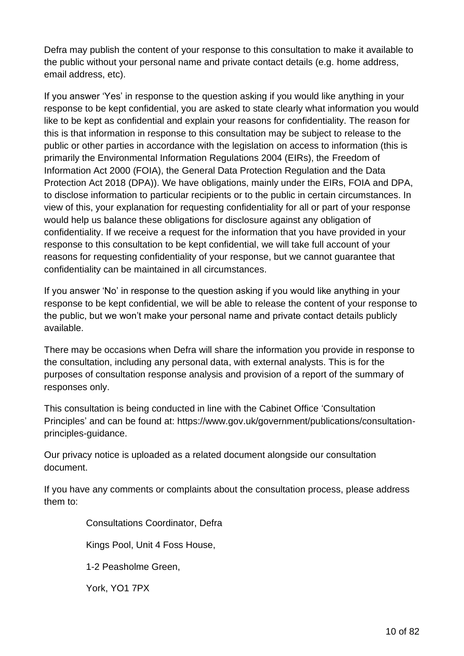Defra may publish the content of your response to this consultation to make it available to the public without your personal name and private contact details (e.g. home address, email address, etc).

If you answer 'Yes' in response to the question asking if you would like anything in your response to be kept confidential, you are asked to state clearly what information you would like to be kept as confidential and explain your reasons for confidentiality. The reason for this is that information in response to this consultation may be subject to release to the public or other parties in accordance with the legislation on access to information (this is primarily the Environmental Information Regulations 2004 (EIRs), the Freedom of Information Act 2000 (FOIA), the General Data Protection Regulation and the Data Protection Act 2018 (DPA)). We have obligations, mainly under the EIRs, FOIA and DPA, to disclose information to particular recipients or to the public in certain circumstances. In view of this, your explanation for requesting confidentiality for all or part of your response would help us balance these obligations for disclosure against any obligation of confidentiality. If we receive a request for the information that you have provided in your response to this consultation to be kept confidential, we will take full account of your reasons for requesting confidentiality of your response, but we cannot guarantee that confidentiality can be maintained in all circumstances.

If you answer 'No' in response to the question asking if you would like anything in your response to be kept confidential, we will be able to release the content of your response to the public, but we won't make your personal name and private contact details publicly available.

There may be occasions when Defra will share the information you provide in response to the consultation, including any personal data, with external analysts. This is for the purposes of consultation response analysis and provision of a report of the summary of responses only.

This consultation is being conducted in line with the Cabinet Office 'Consultation Principles' and can be found at: [https://www.gov.uk/government/publications/consultation](https://www.gov.uk/government/publications/consultation-principles-guidance)[principles-guidance.](https://www.gov.uk/government/publications/consultation-principles-guidance)

Our privacy notice is uploaded as a related document alongside our consultation document.

If you have any comments or complaints about the consultation process, please address them to:

Consultations Coordinator, Defra

Kings Pool, Unit 4 Foss House,

1-2 Peasholme Green,

York, YO1 7PX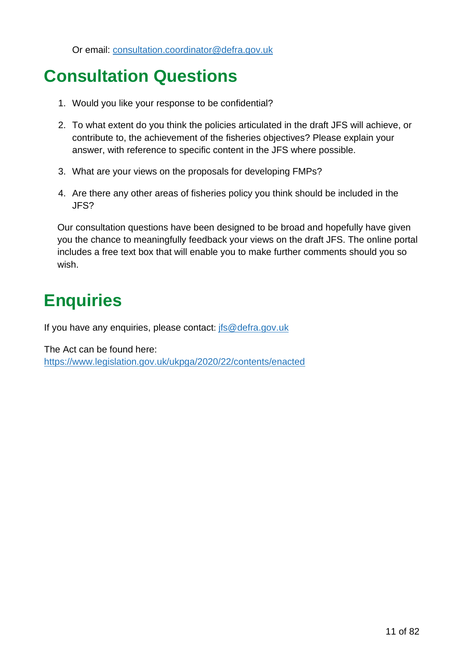Or email: [consultation.coordinator@defra.gov.uk](mailto:consultation.coordinator@defra.gov.uk)

### <span id="page-10-0"></span>**Consultation Questions**

- 1. Would you like your response to be confidential?
- 2. To what extent do you think the policies articulated in the draft JFS will achieve, or contribute to, the achievement of the fisheries objectives? Please explain your answer, with reference to specific content in the JFS where possible.
- 3. What are your views on the proposals for developing FMPs?
- 4. Are there any other areas of fisheries policy you think should be included in the JFS?

Our consultation questions have been designed to be broad and hopefully have given you the chance to meaningfully feedback your views on the draft JFS. The online portal includes a free text box that will enable you to make further comments should you so wish.

## <span id="page-10-1"></span>**Enquiries**

If you have any enquiries, please contact: [jfs@defra.gov.uk](mailto:jfs@defra.gov.uk) 

The Act can be found here: <https://www.legislation.gov.uk/ukpga/2020/22/contents/enacted>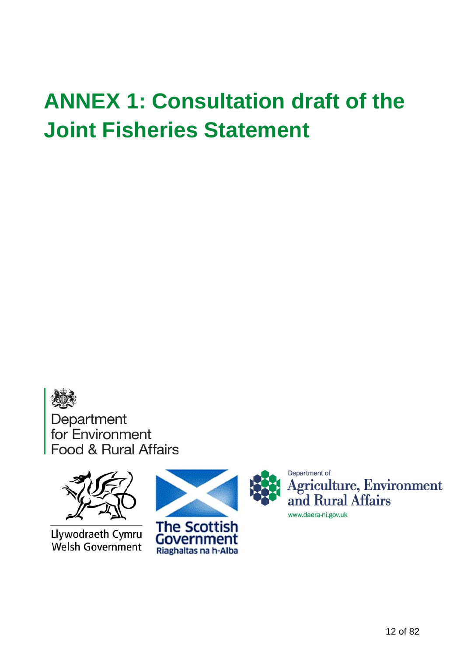# <span id="page-11-0"></span>**ANNEX 1: Consultation draft of the Joint Fisheries Statement**





Llywodraeth Cymru Welsh Government



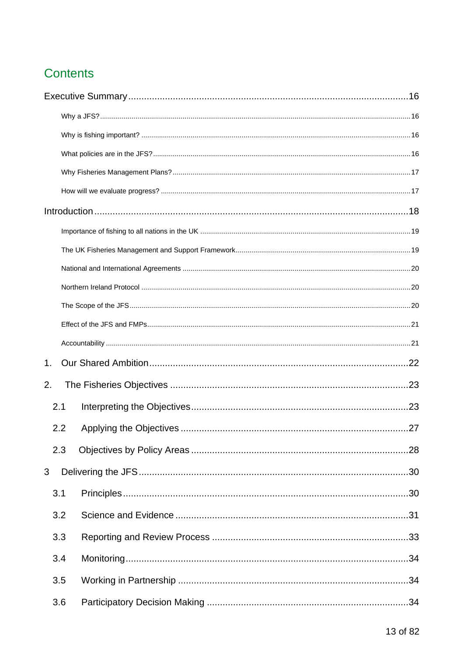### **Contents**

| 1.  |  |
|-----|--|
| 2.  |  |
| 2.1 |  |
| 2.2 |  |
| 2.3 |  |
| 3   |  |
| 3.1 |  |
| 3.2 |  |
| 3.3 |  |
| 3.4 |  |
| 3.5 |  |
| 3.6 |  |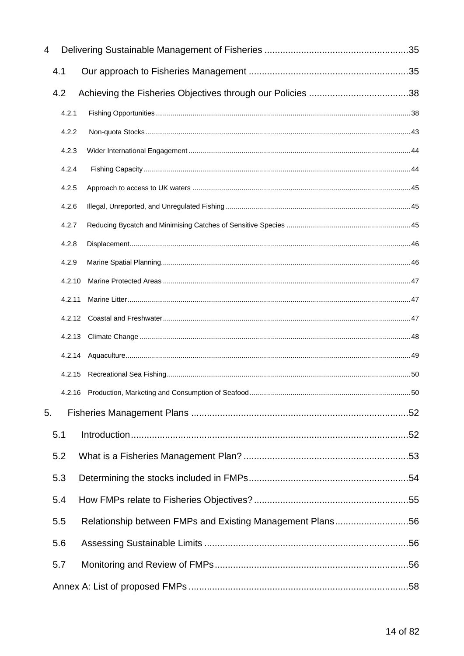| 4  |        |                                                           |  |
|----|--------|-----------------------------------------------------------|--|
|    | 4.1    |                                                           |  |
|    | 4.2    |                                                           |  |
|    | 4.2.1  |                                                           |  |
|    | 4.2.2  |                                                           |  |
|    | 4.2.3  |                                                           |  |
|    | 4.2.4  |                                                           |  |
|    | 4.2.5  |                                                           |  |
|    | 4.2.6  |                                                           |  |
|    | 4.2.7  |                                                           |  |
|    | 4.2.8  |                                                           |  |
|    | 4.2.9  |                                                           |  |
|    | 4.2.10 |                                                           |  |
|    | 4.2.11 |                                                           |  |
|    | 4.2.12 |                                                           |  |
|    | 4.2.13 |                                                           |  |
|    | 4.2.14 |                                                           |  |
|    | 4.2.15 |                                                           |  |
|    |        |                                                           |  |
| 5. |        |                                                           |  |
|    | 5.1    |                                                           |  |
|    | 5.2    |                                                           |  |
|    | 5.3    |                                                           |  |
|    | 5.4    |                                                           |  |
|    | 5.5    | Relationship between FMPs and Existing Management Plans56 |  |
|    | 5.6    |                                                           |  |
|    | 5.7    |                                                           |  |
|    |        |                                                           |  |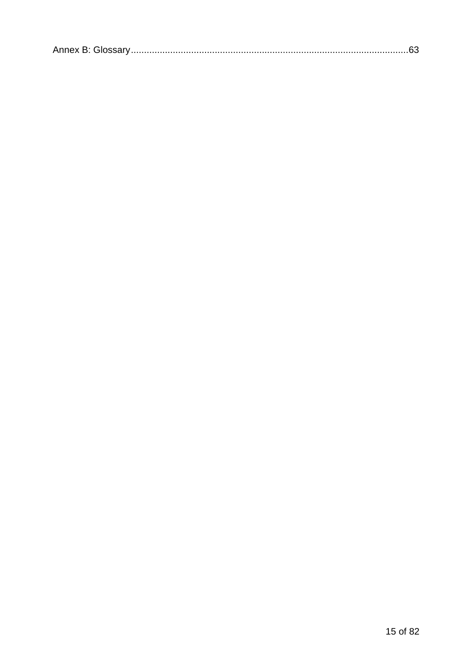<span id="page-14-0"></span>

|--|--|--|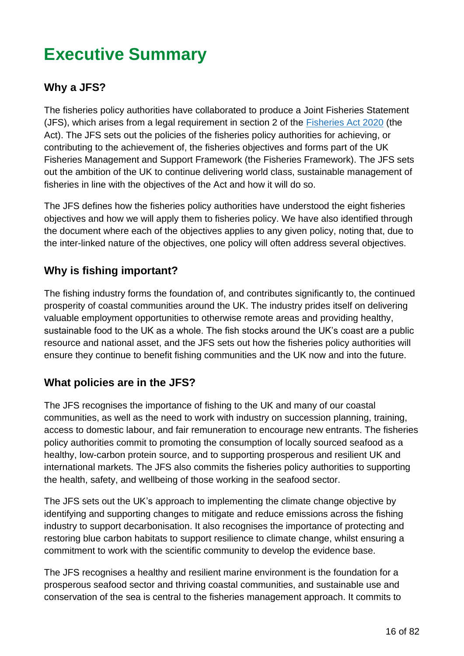## **Executive Summary**

### <span id="page-15-0"></span>**Why a JFS?**

The fisheries policy authorities have collaborated to produce a Joint Fisheries Statement (JFS), which arises from a legal requirement in section 2 of the [Fisheries Act 2020](https://www.legislation.gov.uk/ukpga/2020/22/contents/enacted) (the Act). The JFS sets out the policies of the fisheries policy authorities for achieving, or contributing to the achievement of, the fisheries objectives and forms part of the UK Fisheries Management and Support Framework (the Fisheries Framework). The JFS sets out the ambition of the UK to continue delivering world class, sustainable management of fisheries in line with the objectives of the Act and how it will do so.

The JFS defines how the fisheries policy authorities have understood the eight fisheries objectives and how we will apply them to fisheries policy. We have also identified through the document where each of the objectives applies to any given policy, noting that, due to the inter-linked nature of the objectives, one policy will often address several objectives.

### <span id="page-15-1"></span>**Why is fishing important?**

The fishing industry forms the foundation of, and contributes significantly to, the continued prosperity of coastal communities around the UK. The industry prides itself on delivering valuable employment opportunities to otherwise remote areas and providing healthy, sustainable food to the UK as a whole. The fish stocks around the UK's coast are a public resource and national asset, and the JFS sets out how the fisheries policy authorities will ensure they continue to benefit fishing communities and the UK now and into the future.

#### <span id="page-15-2"></span>**What policies are in the JFS?**

The JFS recognises the importance of fishing to the UK and many of our coastal communities, as well as the need to work with industry on succession planning, training, access to domestic labour, and fair remuneration to encourage new entrants. The fisheries policy authorities commit to promoting the consumption of locally sourced seafood as a healthy, low-carbon protein source, and to supporting prosperous and resilient UK and international markets. The JFS also commits the fisheries policy authorities to supporting the health, safety, and wellbeing of those working in the seafood sector.

The JFS sets out the UK's approach to implementing the climate change objective by identifying and supporting changes to mitigate and reduce emissions across the fishing industry to support decarbonisation. It also recognises the importance of protecting and restoring blue carbon habitats to support resilience to climate change, whilst ensuring a commitment to work with the scientific community to develop the evidence base.

The JFS recognises a healthy and resilient marine environment is the foundation for a prosperous seafood sector and thriving coastal communities, and sustainable use and conservation of the sea is central to the fisheries management approach. It commits to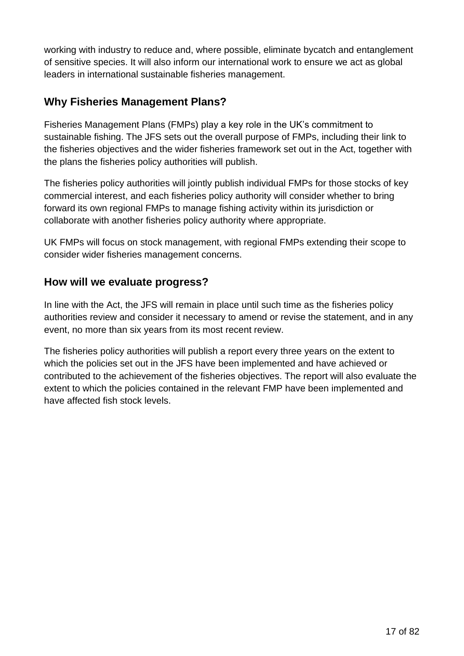working with industry to reduce and, where possible, eliminate bycatch and entanglement of sensitive species. It will also inform our international work to ensure we act as global leaders in international sustainable fisheries management.

### <span id="page-16-0"></span>**Why Fisheries Management Plans?**

Fisheries Management Plans (FMPs) play a key role in the UK's commitment to sustainable fishing. The JFS sets out the overall purpose of FMPs, including their link to the fisheries objectives and the wider fisheries framework set out in the Act, together with the plans the fisheries policy authorities will publish.

The fisheries policy authorities will jointly publish individual FMPs for those stocks of key commercial interest, and each fisheries policy authority will consider whether to bring forward its own regional FMPs to manage fishing activity within its jurisdiction or collaborate with another fisheries policy authority where appropriate.

UK FMPs will focus on stock management, with regional FMPs extending their scope to consider wider fisheries management concerns.

### <span id="page-16-1"></span>**How will we evaluate progress?**

In line with the Act, the JFS will remain in place until such time as the fisheries policy authorities review and consider it necessary to amend or revise the statement, and in any event, no more than six years from its most recent review.

The fisheries policy authorities will publish a report every three years on the extent to which the policies set out in the JFS have been implemented and have achieved or contributed to the achievement of the fisheries objectives. The report will also evaluate the extent to which the policies contained in the relevant FMP have been implemented and have affected fish stock levels.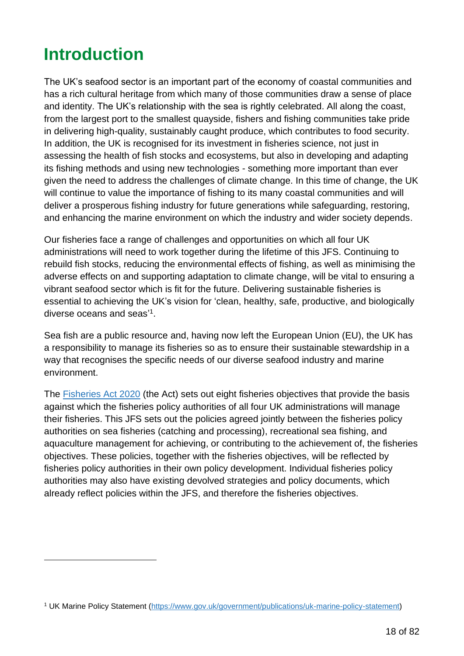## <span id="page-17-0"></span>**Introduction**

The UK's seafood sector is an important part of the economy of coastal communities and has a rich cultural heritage from which many of those communities draw a sense of place and identity. The UK's relationship with the sea is rightly celebrated. All along the coast, from the largest port to the smallest quayside, fishers and fishing communities take pride in delivering high-quality, sustainably caught produce, which contributes to food security. In addition, the UK is recognised for its investment in fisheries science, not just in assessing the health of fish stocks and ecosystems, but also in developing and adapting its fishing methods and using new technologies - something more important than ever given the need to address the challenges of climate change. In this time of change, the UK will continue to value the importance of fishing to its many coastal communities and will deliver a prosperous fishing industry for future generations while safeguarding, restoring, and enhancing the marine environment on which the industry and wider society depends.

Our fisheries face a range of challenges and opportunities on which all four UK administrations will need to work together during the lifetime of this JFS. Continuing to rebuild fish stocks, reducing the environmental effects of fishing, as well as minimising the adverse effects on and supporting adaptation to climate change, will be vital to ensuring a vibrant seafood sector which is fit for the future. Delivering sustainable fisheries is essential to achieving the UK's vision for 'clean, healthy, safe, productive, and biologically diverse oceans and seas' 1 .

Sea fish are a public resource and, having now left the European Union (EU), the UK has a responsibility to manage its fisheries so as to ensure their sustainable stewardship in a way that recognises the specific needs of our diverse seafood industry and marine environment.

The [Fisheries Act 2020](https://www.legislation.gov.uk/ukpga/2020/22/contents/enacted) (the Act) sets out eight fisheries objectives that provide the basis against which the fisheries policy authorities of all four UK administrations will manage their fisheries. This JFS sets out the policies agreed jointly between the fisheries policy authorities on sea fisheries (catching and processing), recreational sea fishing, and aquaculture management for achieving, or contributing to the achievement of, the fisheries objectives. These policies, together with the fisheries objectives, will be reflected by fisheries policy authorities in their own policy development. Individual fisheries policy authorities may also have existing devolved strategies and policy documents, which already reflect policies within the JFS, and therefore the fisheries objectives.

<sup>1</sup> UK Marine Policy Statement [\(https://www.gov.uk/government/publications/uk-marine-policy-statement\)](https://www.gov.uk/government/publications/uk-marine-policy-statement)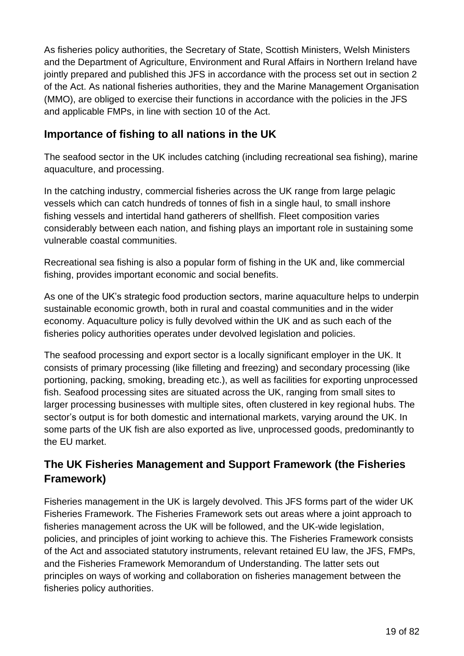As fisheries policy authorities, the Secretary of State, Scottish Ministers, Welsh Ministers and the Department of Agriculture, Environment and Rural Affairs in Northern Ireland have jointly prepared and published this JFS in accordance with the process set out in section 2 of the Act. As national fisheries authorities, they and the Marine Management Organisation (MMO), are obliged to exercise their functions in accordance with the policies in the JFS and applicable FMPs, in line with section 10 of the Act.

### <span id="page-18-0"></span>**Importance of fishing to all nations in the UK**

The seafood sector in the UK includes catching (including recreational sea fishing), marine aquaculture, and processing.

In the catching industry, commercial fisheries across the UK range from large pelagic vessels which can catch hundreds of tonnes of fish in a single haul, to small inshore fishing vessels and intertidal hand gatherers of shellfish. Fleet composition varies considerably between each nation, and fishing plays an important role in sustaining some vulnerable coastal communities.

Recreational sea fishing is also a popular form of fishing in the UK and, like commercial fishing, provides important economic and social benefits.

As one of the UK's strategic food production sectors, marine aquaculture helps to underpin sustainable economic growth, both in rural and coastal communities and in the wider economy. Aquaculture policy is fully devolved within the UK and as such each of the fisheries policy authorities operates under devolved legislation and policies.

The seafood processing and export sector is a locally significant employer in the UK. It consists of primary processing (like filleting and freezing) and secondary processing (like portioning, packing, smoking, breading etc.), as well as facilities for exporting unprocessed fish. Seafood processing sites are situated across the UK, ranging from small sites to larger processing businesses with multiple sites, often clustered in key regional hubs. The sector's output is for both domestic and international markets, varying around the UK. In some parts of the UK fish are also exported as live, unprocessed goods, predominantly to the EU market.

### <span id="page-18-1"></span>**The UK Fisheries Management and Support Framework (the Fisheries Framework)**

Fisheries management in the UK is largely devolved. This JFS forms part of the wider UK Fisheries Framework. The Fisheries Framework sets out areas where a joint approach to fisheries management across the UK will be followed, and the UK-wide legislation, policies, and principles of joint working to achieve this. The Fisheries Framework consists of the Act and associated statutory instruments, relevant retained EU law, the JFS, FMPs, and the Fisheries Framework Memorandum of Understanding. The latter sets out principles on ways of working and collaboration on fisheries management between the fisheries policy authorities.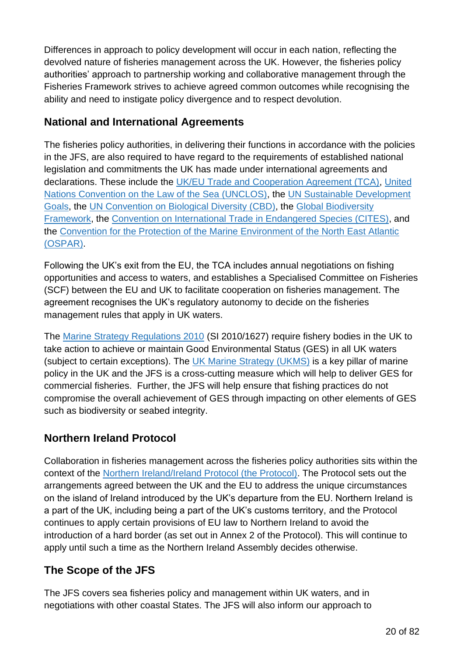Differences in approach to policy development will occur in each nation, reflecting the devolved nature of fisheries management across the UK. However, the fisheries policy authorities' approach to partnership working and collaborative management through the Fisheries Framework strives to achieve agreed common outcomes while recognising the ability and need to instigate policy divergence and to respect devolution.

### <span id="page-19-0"></span>**National and International Agreements**

The fisheries policy authorities, in delivering their functions in accordance with the policies in the JFS, are also required to have regard to the requirements of established national legislation and commitments the UK has made under international agreements and declarations. These include the [UK/EU Trade and Cooperation Agreement \(TCA\),](https://assets.publishing.service.gov.uk/government/uploads/system/uploads/attachment_data/file/948119/EU-UK_Trade_and_Cooperation_Agreement_24.12.2020.pdf) [United](https://www.un.org/depts/los/convention_agreements/texts/unclos/unclos_e.pdf)  [Nations Convention on the Law of the Sea \(UNCLOS\),](https://www.un.org/depts/los/convention_agreements/texts/unclos/unclos_e.pdf) the [UN Sustainable Development](https://sdgs.un.org/goals)  [Goals,](https://sdgs.un.org/goals) the UN Convention on [Biological Diversity \(CBD\),](https://www.cbd.int/convention/text/) the [Global Biodiversity](https://www.unep.org/resources/publication/1st-draft-post-2020-global-biodiversity-framework)  [Framework,](https://www.unep.org/resources/publication/1st-draft-post-2020-global-biodiversity-framework) the [Convention on International Trade in Endangered Species \(CITES\),](https://cites.org/eng/disc/text.php) and the [Convention for the Protection of the Marine Environment of the North East Atlantic](https://www.ospar.org/convention/text) [\(OSPAR\).](https://www.ospar.org/convention/text)

Following the UK's exit from the EU, the TCA includes annual negotiations on fishing opportunities and access to waters, and establishes a Specialised Committee on Fisheries (SCF) between the EU and UK to facilitate cooperation on fisheries management. The agreement recognises the UK's regulatory autonomy to decide on the fisheries management rules that apply in UK waters.

The [Marine Strategy Regulations 2010](https://www.legislation.gov.uk/uksi/2010/1627/contents/made) (SI 2010/1627) require fishery bodies in the UK to take action to achieve or maintain Good Environmental Status (GES) in all UK waters (subject to certain exceptions). The [UK Marine Strategy \(UKMS\)](https://www.gov.uk/government/publications/marine-strategy-part-one-uk-updated-assessment-and-good-environmental-status) is a key pillar of marine policy in the UK and the JFS is a cross-cutting measure which will help to deliver GES for commercial fisheries. Further, the JFS will help ensure that fishing practices do not compromise the overall achievement of GES through impacting on other elements of GES such as biodiversity or seabed integrity.

### <span id="page-19-1"></span>**Northern Ireland Protocol**

Collaboration in fisheries management across the fisheries policy authorities sits within the context of the [Northern Ireland/Ireland Protocol \(the Protocol\).](https://assets.publishing.service.gov.uk/government/uploads/system/uploads/attachment_data/file/840230/Revised_Protocol_to_the_Withdrawal_Agreement.pdf) The Protocol sets out the arrangements agreed between the UK and the EU to address the unique circumstances on the island of Ireland introduced by the UK's departure from the EU. Northern Ireland is a part of the UK, including being a part of the UK's customs territory, and the Protocol continues to apply certain provisions of EU law to Northern Ireland to avoid the introduction of a hard border (as set out in Annex 2 of the Protocol). This will continue to apply until such a time as the Northern Ireland Assembly decides otherwise.

### <span id="page-19-2"></span>**The Scope of the JFS**

The JFS covers sea fisheries policy and management within UK waters, and in negotiations with other coastal States. The JFS will also inform our approach to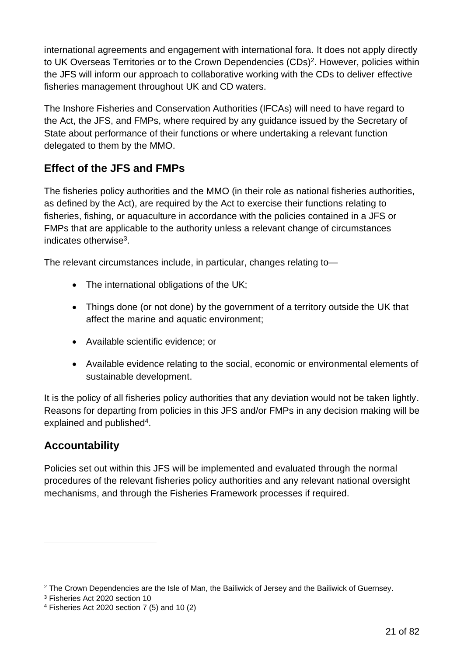international agreements and engagement with international fora. It does not apply directly to UK Overseas Territories or to the Crown Dependencies (CDs)<sup>2</sup>. However, policies within the JFS will inform our approach to collaborative working with the CDs to deliver effective fisheries management throughout UK and CD waters.

The Inshore Fisheries and Conservation Authorities (IFCAs) will need to have regard to the Act, the JFS, and FMPs, where required by any guidance issued by the Secretary of State about performance of their functions or where undertaking a relevant function delegated to them by the MMO.

### <span id="page-20-0"></span>**Effect of the JFS and FMPs**

The fisheries policy authorities and the MMO (in their role as national fisheries authorities, as defined by the Act), are required by the Act to exercise their functions relating to fisheries, fishing, or aquaculture in accordance with the policies contained in a JFS or FMPs that are applicable to the authority unless a relevant change of circumstances indicates otherwise<sup>3</sup>.

The relevant circumstances include, in particular, changes relating to—

- The international obligations of the UK;
- Things done (or not done) by the government of a territory outside the UK that affect the marine and aquatic environment;
- Available scientific evidence; or
- Available evidence relating to the social, economic or environmental elements of sustainable development.

It is the policy of all fisheries policy authorities that any deviation would not be taken lightly. Reasons for departing from policies in this JFS and/or FMPs in any decision making will be explained and published<sup>4</sup>.

#### <span id="page-20-1"></span>**Accountability**

Policies set out within this JFS will be implemented and evaluated through the normal procedures of the relevant fisheries policy authorities and any relevant national oversight mechanisms, and through the Fisheries Framework processes if required.

<sup>&</sup>lt;sup>2</sup> The Crown Dependencies are the Isle of Man, the Bailiwick of Jersey and the Bailiwick of Guernsey.

<sup>3</sup> Fisheries Act 2020 section 10

<sup>4</sup> Fisheries Act 2020 section 7 (5) and 10 (2)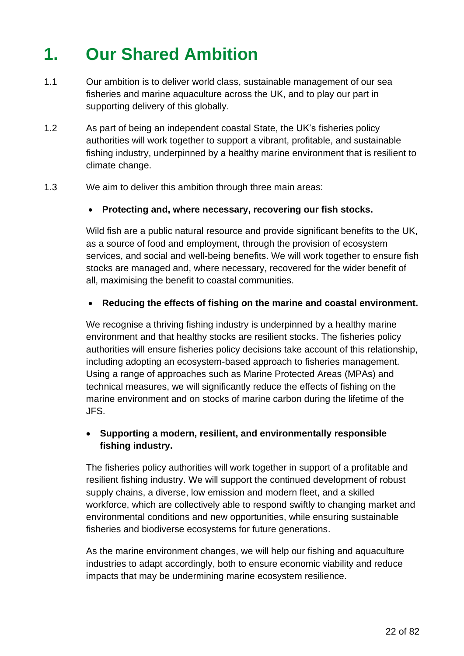## <span id="page-21-0"></span>**1. Our Shared Ambition**

- 1.1 Our ambition is to deliver world class, sustainable management of our sea fisheries and marine aquaculture across the UK, and to play our part in supporting delivery of this globally.
- 1.2 As part of being an independent coastal State, the UK's fisheries policy authorities will work together to support a vibrant, profitable, and sustainable fishing industry, underpinned by a healthy marine environment that is resilient to climate change.
- 1.3 We aim to deliver this ambition through three main areas:

#### • **Protecting and, where necessary, recovering our fish stocks.**

Wild fish are a public natural resource and provide significant benefits to the UK, as a source of food and employment, through the provision of ecosystem services, and social and well-being benefits. We will work together to ensure fish stocks are managed and, where necessary, recovered for the wider benefit of all, maximising the benefit to coastal communities.

#### • **Reducing the effects of fishing on the marine and coastal environment.**

We recognise a thriving fishing industry is underpinned by a healthy marine environment and that healthy stocks are resilient stocks. The fisheries policy authorities will ensure fisheries policy decisions take account of this relationship, including adopting an ecosystem-based approach to fisheries management. Using a range of approaches such as Marine Protected Areas (MPAs) and technical measures, we will significantly reduce the effects of fishing on the marine environment and on stocks of marine carbon during the lifetime of the JFS.

#### • **Supporting a modern, resilient, and environmentally responsible fishing industry.**

The fisheries policy authorities will work together in support of a profitable and resilient fishing industry. We will support the continued development of robust supply chains, a diverse, low emission and modern fleet, and a skilled workforce, which are collectively able to respond swiftly to changing market and environmental conditions and new opportunities, while ensuring sustainable fisheries and biodiverse ecosystems for future generations.

As the marine environment changes, we will help our fishing and aquaculture industries to adapt accordingly, both to ensure economic viability and reduce impacts that may be undermining marine ecosystem resilience.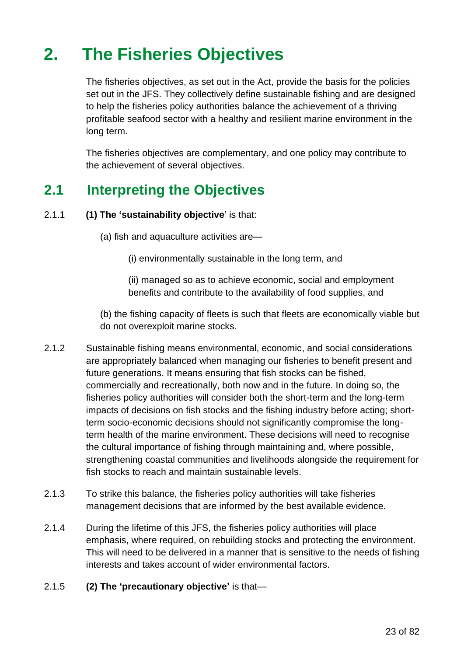## <span id="page-22-0"></span>**2. The Fisheries Objectives**

The fisheries objectives, as set out in the Act, provide the basis for the policies set out in the JFS. They collectively define sustainable fishing and are designed to help the fisheries policy authorities balance the achievement of a thriving profitable seafood sector with a healthy and resilient marine environment in the long term.

The fisheries objectives are complementary, and one policy may contribute to the achievement of several objectives.

### <span id="page-22-1"></span>**2.1 Interpreting the Objectives**

#### 2.1.1 **(1) The 'sustainability objective**' is that:

- (a) fish and aquaculture activities are—
	- (i) environmentally sustainable in the long term, and

(ii) managed so as to achieve economic, social and employment benefits and contribute to the availability of food supplies, and

(b) the fishing capacity of fleets is such that fleets are economically viable but do not overexploit marine stocks.

- 2.1.2 Sustainable fishing means environmental, economic, and social considerations are appropriately balanced when managing our fisheries to benefit present and future generations. It means ensuring that fish stocks can be fished, commercially and recreationally, both now and in the future. In doing so, the fisheries policy authorities will consider both the short-term and the long-term impacts of decisions on fish stocks and the fishing industry before acting; shortterm socio-economic decisions should not significantly compromise the longterm health of the marine environment. These decisions will need to recognise the cultural importance of fishing through maintaining and, where possible, strengthening coastal communities and livelihoods alongside the requirement for fish stocks to reach and maintain sustainable levels.
- 2.1.3 To strike this balance, the fisheries policy authorities will take fisheries management decisions that are informed by the best available evidence.
- 2.1.4 During the lifetime of this JFS, the fisheries policy authorities will place emphasis, where required, on rebuilding stocks and protecting the environment. This will need to be delivered in a manner that is sensitive to the needs of fishing interests and takes account of wider environmental factors.
- 2.1.5 **(2) The 'precautionary objective'** is that—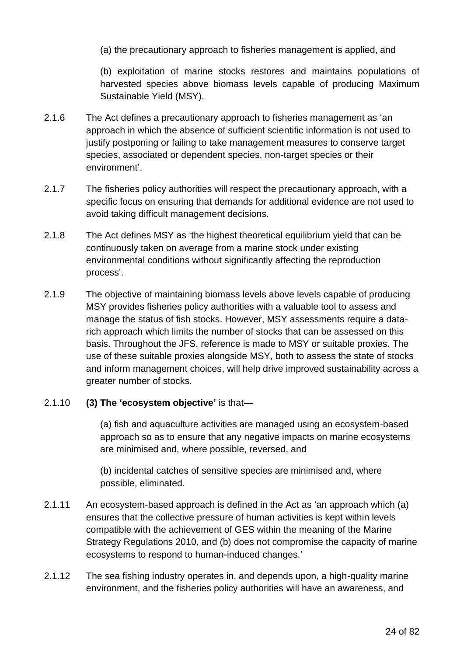(a) the precautionary approach to fisheries management is applied, and

(b) exploitation of marine stocks restores and maintains populations of harvested species above biomass levels capable of producing Maximum Sustainable Yield (MSY).

- 2.1.6 The Act defines a precautionary approach to fisheries management as 'an approach in which the absence of sufficient scientific information is not used to justify postponing or failing to take management measures to conserve target species, associated or dependent species, non-target species or their environment'.
- 2.1.7 The fisheries policy authorities will respect the precautionary approach, with a specific focus on ensuring that demands for additional evidence are not used to avoid taking difficult management decisions.
- 2.1.8 The Act defines MSY as 'the highest theoretical equilibrium yield that can be continuously taken on average from a marine stock under existing environmental conditions without significantly affecting the reproduction process'.
- 2.1.9 The objective of maintaining biomass levels above levels capable of producing MSY provides fisheries policy authorities with a valuable tool to assess and manage the status of fish stocks. However, MSY assessments require a datarich approach which limits the number of stocks that can be assessed on this basis. Throughout the JFS, reference is made to MSY or suitable proxies. The use of these suitable proxies alongside MSY, both to assess the state of stocks and inform management choices, will help drive improved sustainability across a greater number of stocks.

#### 2.1.10 **(3) The 'ecosystem objective'** is that—

(a) fish and aquaculture activities are managed using an ecosystem-based approach so as to ensure that any negative impacts on marine ecosystems are minimised and, where possible, reversed, and

(b) incidental catches of sensitive species are minimised and, where possible, eliminated.

- 2.1.11 An ecosystem-based approach is defined in the Act as 'an approach which (a) ensures that the collective pressure of human activities is kept within levels compatible with the achievement of GES within the meaning of the Marine Strategy Regulations 2010, and (b) does not compromise the capacity of marine ecosystems to respond to human-induced changes.'
- 2.1.12 The sea fishing industry operates in, and depends upon, a high-quality marine environment, and the fisheries policy authorities will have an awareness, and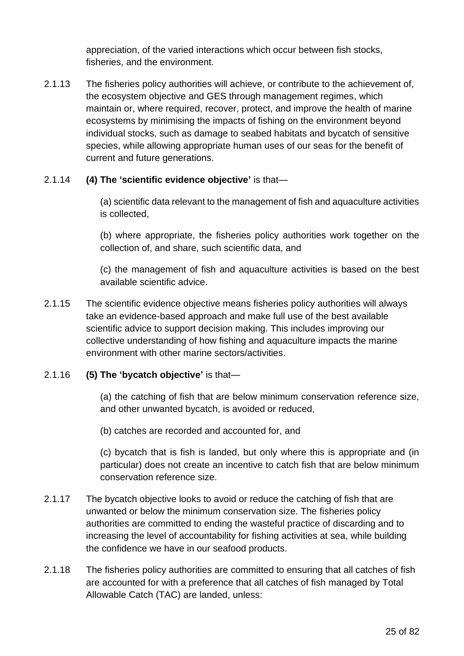appreciation, of the varied interactions which occur between fish stocks, fisheries, and the environment.

2.1.13 The fisheries policy authorities will achieve, or contribute to the achievement of, the ecosystem objective and GES through management regimes, which maintain or, where required, recover, protect, and improve the health of marine ecosystems by minimising the impacts of fishing on the environment beyond individual stocks, such as damage to seabed habitats and bycatch of sensitive species, while allowing appropriate human uses of our seas for the benefit of current and future generations.

#### 2.1.14 **(4) The 'scientific evidence objective'** is that—

(a) scientific data relevant to the management of fish and aquaculture activities is collected,

(b) where appropriate, the fisheries policy authorities work together on the collection of, and share, such scientific data, and

(c) the management of fish and aquaculture activities is based on the best available scientific advice.

2.1.15 The scientific evidence objective means fisheries policy authorities will always take an evidence-based approach and make full use of the best available scientific advice to support decision making. This includes improving our collective understanding of how fishing and aquaculture impacts the marine environment with other marine sectors/activities.

#### 2.1.16 **(5) The 'bycatch objective'** is that—

(a) the catching of fish that are below minimum conservation reference size, and other unwanted bycatch, is avoided or reduced,

(b) catches are recorded and accounted for, and

(c) bycatch that is fish is landed, but only where this is appropriate and (in particular) does not create an incentive to catch fish that are below minimum conservation reference size.

- 2.1.17 The bycatch objective looks to avoid or reduce the catching of fish that are unwanted or below the minimum conservation size. The fisheries policy authorities are committed to ending the wasteful practice of discarding and to increasing the level of accountability for fishing activities at sea, while building the confidence we have in our seafood products.
- 2.1.18 The fisheries policy authorities are committed to ensuring that all catches of fish are accounted for with a preference that all catches of fish managed by Total Allowable Catch (TAC) are landed, unless: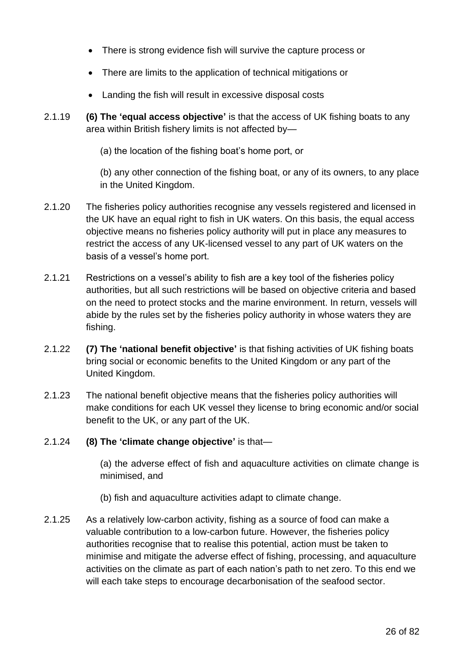- There is strong evidence fish will survive the capture process or
- There are limits to the application of technical mitigations or
- Landing the fish will result in excessive disposal costs
- 2.1.19 **(6) The 'equal access objective'** is that the access of UK fishing boats to any area within British fishery limits is not affected by—

(a) the location of the fishing boat's home port, or

(b) any other connection of the fishing boat, or any of its owners, to any place in the United Kingdom.

- 2.1.20 The fisheries policy authorities recognise any vessels registered and licensed in the UK have an equal right to fish in UK waters. On this basis, the equal access objective means no fisheries policy authority will put in place any measures to restrict the access of any UK-licensed vessel to any part of UK waters on the basis of a vessel's home port.
- 2.1.21 Restrictions on a vessel's ability to fish are a key tool of the fisheries policy authorities, but all such restrictions will be based on objective criteria and based on the need to protect stocks and the marine environment. In return, vessels will abide by the rules set by the fisheries policy authority in whose waters they are fishing.
- 2.1.22 **(7) The 'national benefit objective'** is that fishing activities of UK fishing boats bring social or economic benefits to the United Kingdom or any part of the United Kingdom.
- 2.1.23 The national benefit objective means that the fisheries policy authorities will make conditions for each UK vessel they license to bring economic and/or social benefit to the UK, or any part of the UK.
- 2.1.24 **(8) The 'climate change objective'** is that—

(a) the adverse effect of fish and aquaculture activities on climate change is minimised, and

- (b) fish and aquaculture activities adapt to climate change.
- 2.1.25 As a relatively low-carbon activity, fishing as a source of food can make a valuable contribution to a low-carbon future. However, the fisheries policy authorities recognise that to realise this potential, action must be taken to minimise and mitigate the adverse effect of fishing, processing, and aquaculture activities on the climate as part of each nation's path to net zero. To this end we will each take steps to encourage decarbonisation of the seafood sector.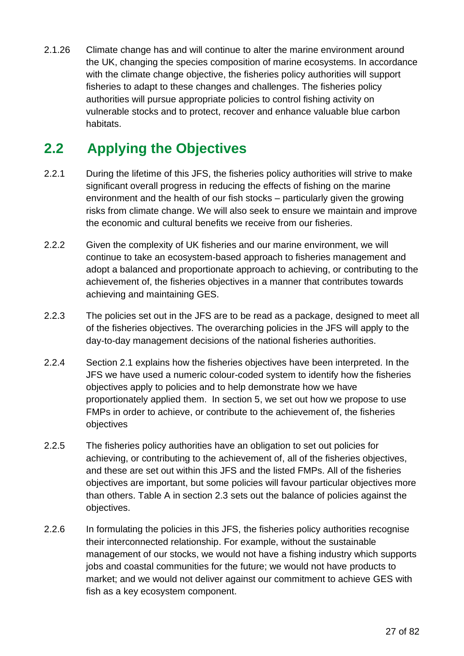2.1.26 Climate change has and will continue to alter the marine environment around the UK, changing the species composition of marine ecosystems. In accordance with the climate change objective, the fisheries policy authorities will support fisheries to adapt to these changes and challenges. The fisheries policy authorities will pursue appropriate policies to control fishing activity on vulnerable stocks and to protect, recover and enhance valuable blue carbon habitats.

### <span id="page-26-0"></span>**2.2 Applying the Objectives**

- 2.2.1 During the lifetime of this JFS, the fisheries policy authorities will strive to make significant overall progress in reducing the effects of fishing on the marine environment and the health of our fish stocks – particularly given the growing risks from climate change. We will also seek to ensure we maintain and improve the economic and cultural benefits we receive from our fisheries.
- 2.2.2 Given the complexity of UK fisheries and our marine environment, we will continue to take an ecosystem-based approach to fisheries management and adopt a balanced and proportionate approach to achieving, or contributing to the achievement of, the fisheries objectives in a manner that contributes towards achieving and maintaining GES.
- 2.2.3 The policies set out in the JFS are to be read as a package, designed to meet all of the fisheries objectives. The overarching policies in the JFS will apply to the day-to-day management decisions of the national fisheries authorities.
- 2.2.4 Section 2.1 explains how the fisheries objectives have been interpreted. In the JFS we have used a numeric colour-coded system to identify how the fisheries objectives apply to policies and to help demonstrate how we have proportionately applied them. In section 5, we set out how we propose to use FMPs in order to achieve, or contribute to the achievement of, the fisheries objectives
- 2.2.5 The fisheries policy authorities have an obligation to set out policies for achieving, or contributing to the achievement of, all of the fisheries objectives, and these are set out within this JFS and the listed FMPs. All of the fisheries objectives are important, but some policies will favour particular objectives more than others. Table A in section 2.3 sets out the balance of policies against the objectives.
- 2.2.6 In formulating the policies in this JFS, the fisheries policy authorities recognise their interconnected relationship. For example, without the sustainable management of our stocks, we would not have a fishing industry which supports jobs and coastal communities for the future; we would not have products to market; and we would not deliver against our commitment to achieve GES with fish as a key ecosystem component.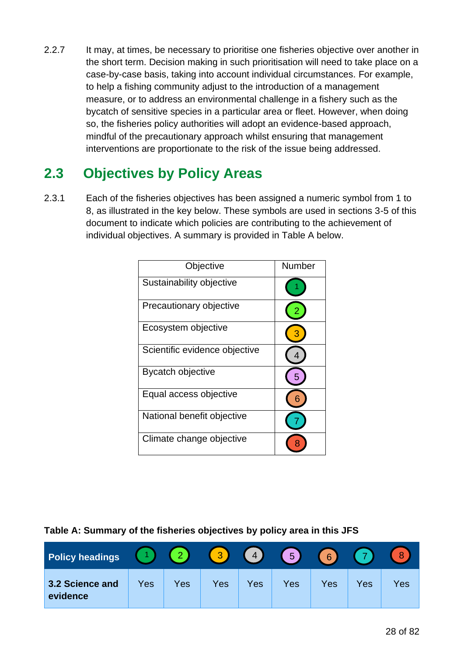2.2.7 It may, at times, be necessary to prioritise one fisheries objective over another in the short term. Decision making in such prioritisation will need to take place on a case-by-case basis, taking into account individual circumstances. For example, to help a fishing community adjust to the introduction of a management measure, or to address an environmental challenge in a fishery such as the bycatch of sensitive species in a particular area or fleet. However, when doing so, the fisheries policy authorities will adopt an evidence-based approach, mindful of the precautionary approach whilst ensuring that management interventions are proportionate to the risk of the issue being addressed.

### <span id="page-27-0"></span>**2.3 Objectives by Policy Areas**

2.3.1 Each of the fisheries objectives has been assigned a numeric symbol from 1 to 8, as illustrated in the key below. These symbols are used in sections 3-5 of this document to indicate which policies are contributing to the achievement of individual objectives. A summary is provided in Table A below.

| Objective                     | Number |
|-------------------------------|--------|
| Sustainability objective      |        |
| Precautionary objective       |        |
| Ecosystem objective           |        |
| Scientific evidence objective |        |
| <b>Bycatch objective</b>      |        |
| Equal access objective        |        |
| National benefit objective    |        |
| Climate change objective      |        |

**Table A: Summary of the fisheries objectives by policy area in this JFS**

| Policy headings (1)         |     |     |     |     | $(2)$ $(3)$ $(4)$ $(5)$ $(6)$ |     |     |            |
|-----------------------------|-----|-----|-----|-----|-------------------------------|-----|-----|------------|
| 3.2 Science and<br>evidence | Yes | Yes | Yes | Yes | Yes                           | Yes | Yes | <b>Yes</b> |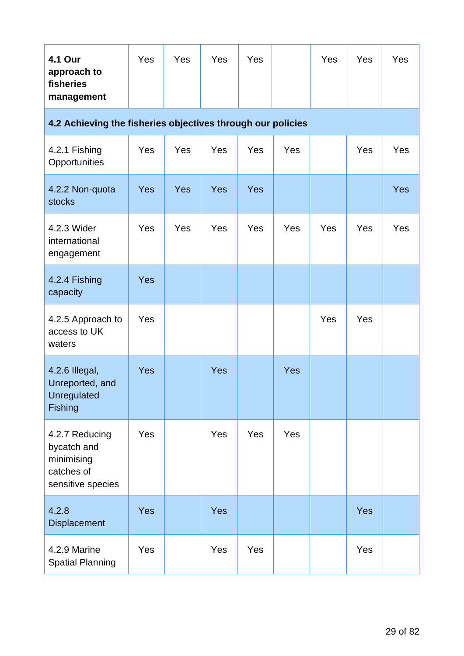| <b>4.1 Our</b><br>approach to<br>fisheries<br>management                       | Yes                                                         | Yes        | Yes        | Yes        |            | Yes | Yes | <b>Yes</b> |  |
|--------------------------------------------------------------------------------|-------------------------------------------------------------|------------|------------|------------|------------|-----|-----|------------|--|
|                                                                                | 4.2 Achieving the fisheries objectives through our policies |            |            |            |            |     |     |            |  |
| 4.2.1 Fishing<br>Opportunities                                                 | Yes                                                         | Yes        | Yes        | Yes        | Yes        |     | Yes | <b>Yes</b> |  |
| 4.2.2 Non-quota<br>stocks                                                      | Yes                                                         | <b>Yes</b> | <b>Yes</b> | <b>Yes</b> |            |     |     | <b>Yes</b> |  |
| 4.2.3 Wider<br>international<br>engagement                                     | Yes                                                         | Yes        | Yes        | Yes        | <b>Yes</b> | Yes | Yes | <b>Yes</b> |  |
| 4.2.4 Fishing<br>capacity                                                      | Yes                                                         |            |            |            |            |     |     |            |  |
| 4.2.5 Approach to<br>access to UK<br>waters                                    | Yes                                                         |            |            |            |            | Yes | Yes |            |  |
| 4.2.6 Illegal,<br>Unreported, and<br><b>Unregulated</b><br><b>Fishing</b>      | Yes                                                         |            | Yes        |            | Yes        |     |     |            |  |
| 4.2.7 Reducing<br>bycatch and<br>minimising<br>catches of<br>sensitive species | Yes                                                         |            | Yes        | Yes        | <b>Yes</b> |     |     |            |  |
| 4.2.8<br><b>Displacement</b>                                                   | <b>Yes</b>                                                  |            | <b>Yes</b> |            |            |     | Yes |            |  |
| 4.2.9 Marine<br><b>Spatial Planning</b>                                        | Yes                                                         |            | Yes        | Yes        |            |     | Yes |            |  |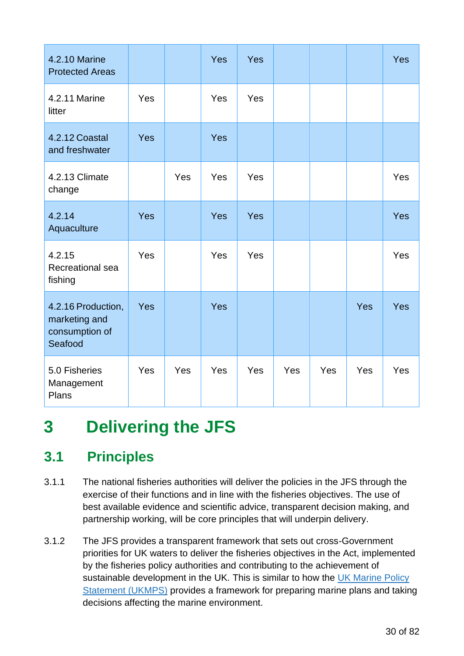| 4.2.10 Marine<br><b>Protected Areas</b>                          |            |     | <b>Yes</b> | Yes |     |     |     | Yes |
|------------------------------------------------------------------|------------|-----|------------|-----|-----|-----|-----|-----|
| 4.2.11 Marine<br>litter                                          | Yes        |     | Yes        | Yes |     |     |     |     |
| 4.2.12 Coastal<br>and freshwater                                 | <b>Yes</b> |     | <b>Yes</b> |     |     |     |     |     |
| 4.2.13 Climate<br>change                                         |            | Yes | Yes        | Yes |     |     |     | Yes |
| 4.2.14<br>Aquaculture                                            | Yes        |     | <b>Yes</b> | Yes |     |     |     | Yes |
| 4.2.15<br>Recreational sea<br>fishing                            | Yes        |     | Yes        | Yes |     |     |     | Yes |
| 4.2.16 Production,<br>marketing and<br>consumption of<br>Seafood | Yes        |     | Yes        |     |     |     | Yes | Yes |
| 5.0 Fisheries<br>Management<br>Plans                             | Yes        | Yes | Yes        | Yes | Yes | Yes | Yes | Yes |

## <span id="page-29-0"></span>**3 Delivering the JFS**

### <span id="page-29-1"></span>**3.1 Principles**

- 3.1.1 The national fisheries authorities will deliver the policies in the JFS through the exercise of their functions and in line with the fisheries objectives. The use of best available evidence and scientific advice, transparent decision making, and partnership working, will be core principles that will underpin delivery.
- 3.1.2 The JFS provides a transparent framework that sets out cross-Government priorities for UK waters to deliver the fisheries objectives in the Act, implemented by the fisheries policy authorities and contributing to the achievement of sustainable development in the UK. This is similar to how the UK Marine Policy [Statement \(UKMPS\)](https://www.gov.uk/government/publications/uk-marine-policy-statement) provides a framework for preparing marine plans and taking decisions affecting the marine environment.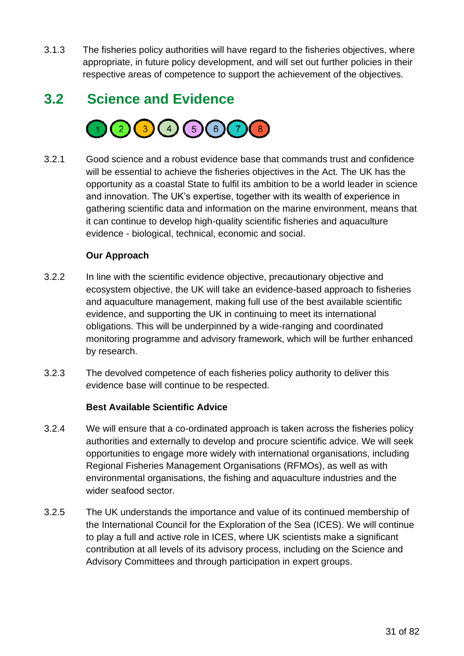3.1.3 The fisheries policy authorities will have regard to the fisheries objectives, where appropriate, in future policy development, and will set out further policies in their respective areas of competence to support the achievement of the objectives.

### <span id="page-30-0"></span>**3.2 Science and Evidence**



3.2.1 Good science and a robust evidence base that commands trust and confidence will be essential to achieve the fisheries objectives in the Act. The UK has the opportunity as a coastal State to fulfil its ambition to be a world leader in science and innovation. The UK's expertise, together with its wealth of experience in gathering scientific data and information on the marine environment, means that it can continue to develop high-quality scientific fisheries and aquaculture evidence - biological, technical, economic and social.

#### **Our Approach**

- 3.2.2 In line with the scientific evidence objective, precautionary objective and ecosystem objective, the UK will take an evidence-based approach to fisheries and aquaculture management, making full use of the best available scientific evidence, and supporting the UK in continuing to meet its international obligations. This will be underpinned by a wide-ranging and coordinated monitoring programme and advisory framework, which will be further enhanced by research.
- 3.2.3 The devolved competence of each fisheries policy authority to deliver this evidence base will continue to be respected.

#### **Best Available Scientific Advice**

- 3.2.4 We will ensure that a co-ordinated approach is taken across the fisheries policy authorities and externally to develop and procure scientific advice. We will seek opportunities to engage more widely with international organisations, including Regional Fisheries Management Organisations (RFMOs), as well as with environmental organisations, the fishing and aquaculture industries and the wider seafood sector
- 3.2.5 The UK understands the importance and value of its continued membership of the International Council for the Exploration of the Sea (ICES). We will continue to play a full and active role in ICES, where UK scientists make a significant contribution at all levels of its advisory process, including on the Science and Advisory Committees and through participation in expert groups.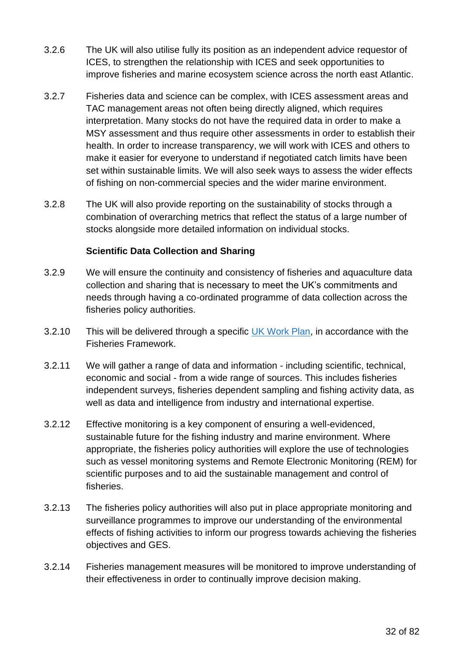- 3.2.6 The UK will also utilise fully its position as an independent advice requestor of ICES, to strengthen the relationship with ICES and seek opportunities to improve fisheries and marine ecosystem science across the north east Atlantic.
- 3.2.7 Fisheries data and science can be complex, with ICES assessment areas and TAC management areas not often being directly aligned, which requires interpretation. Many stocks do not have the required data in order to make a MSY assessment and thus require other assessments in order to establish their health. In order to increase transparency, we will work with ICES and others to make it easier for everyone to understand if negotiated catch limits have been set within sustainable limits. We will also seek ways to assess the wider effects of fishing on non-commercial species and the wider marine environment.
- 3.2.8 The UK will also provide reporting on the sustainability of stocks through a combination of overarching metrics that reflect the status of a large number of stocks alongside more detailed information on individual stocks.

#### **Scientific Data Collection and Sharing**

- 3.2.9 We will ensure the continuity and consistency of fisheries and aquaculture data collection and sharing that is necessary to meet the UK's commitments and needs through having a co-ordinated programme of data collection across the fisheries policy authorities.
- 3.2.10 This will be delivered through a specific [UK Work Plan,](https://www.gov.uk/guidance/data-collection-framework) in accordance with the Fisheries Framework.
- 3.2.11 We will gather a range of data and information including scientific, technical, economic and social - from a wide range of sources. This includes fisheries independent surveys, fisheries dependent sampling and fishing activity data, as well as data and intelligence from industry and international expertise.
- 3.2.12 Effective monitoring is a key component of ensuring a well-evidenced, sustainable future for the fishing industry and marine environment. Where appropriate, the fisheries policy authorities will explore the use of technologies such as vessel monitoring systems and Remote Electronic Monitoring (REM) for scientific purposes and to aid the sustainable management and control of fisheries.
- 3.2.13 The fisheries policy authorities will also put in place appropriate monitoring and surveillance programmes to improve our understanding of the environmental effects of fishing activities to inform our progress towards achieving the fisheries objectives and GES.
- 3.2.14 Fisheries management measures will be monitored to improve understanding of their effectiveness in order to continually improve decision making.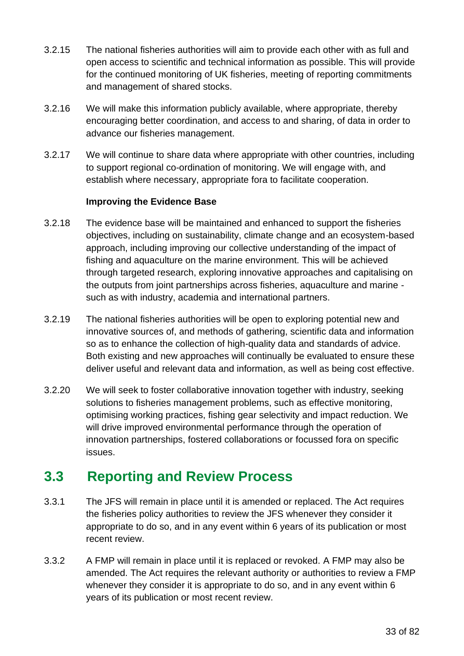- 3.2.15 The national fisheries authorities will aim to provide each other with as full and open access to scientific and technical information as possible. This will provide for the continued monitoring of UK fisheries, meeting of reporting commitments and management of shared stocks.
- 3.2.16 We will make this information publicly available, where appropriate, thereby encouraging better coordination, and access to and sharing, of data in order to advance our fisheries management.
- 3.2.17 We will continue to share data where appropriate with other countries, including to support regional co-ordination of monitoring. We will engage with, and establish where necessary, appropriate fora to facilitate cooperation.

#### **Improving the Evidence Base**

- 3.2.18 The evidence base will be maintained and enhanced to support the fisheries objectives, including on sustainability, climate change and an ecosystem-based approach, including improving our collective understanding of the impact of fishing and aquaculture on the marine environment. This will be achieved through targeted research, exploring innovative approaches and capitalising on the outputs from joint partnerships across fisheries, aquaculture and marine such as with industry, academia and international partners.
- 3.2.19 The national fisheries authorities will be open to exploring potential new and innovative sources of, and methods of gathering, scientific data and information so as to enhance the collection of high-quality data and standards of advice. Both existing and new approaches will continually be evaluated to ensure these deliver useful and relevant data and information, as well as being cost effective.
- 3.2.20 We will seek to foster collaborative innovation together with industry, seeking solutions to fisheries management problems, such as effective monitoring, optimising working practices, fishing gear selectivity and impact reduction. We will drive improved environmental performance through the operation of innovation partnerships, fostered collaborations or focussed fora on specific issues.

### <span id="page-32-0"></span>**3.3 Reporting and Review Process**

- 3.3.1 The JFS will remain in place until it is amended or replaced. The Act requires the fisheries policy authorities to review the JFS whenever they consider it appropriate to do so, and in any event within 6 years of its publication or most recent review.
- 3.3.2 A FMP will remain in place until it is replaced or revoked. A FMP may also be amended. The Act requires the relevant authority or authorities to review a FMP whenever they consider it is appropriate to do so, and in any event within 6 years of its publication or most recent review.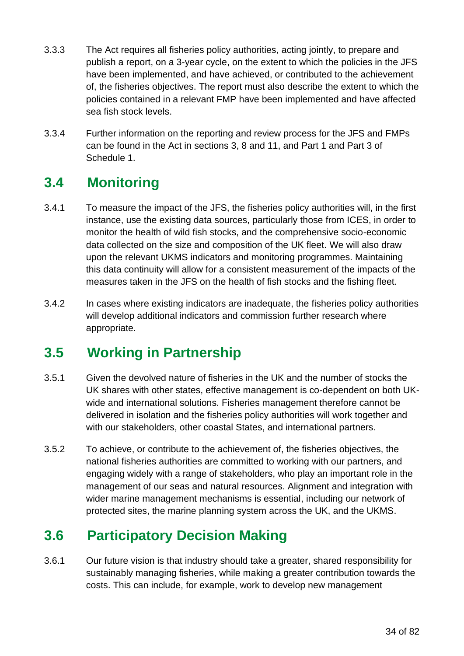- 3.3.3 The Act requires all fisheries policy authorities, acting jointly, to prepare and publish a report, on a 3-year cycle, on the extent to which the policies in the JFS have been implemented, and have achieved, or contributed to the achievement of, the fisheries objectives. The report must also describe the extent to which the policies contained in a relevant FMP have been implemented and have affected sea fish stock levels.
- 3.3.4 Further information on the reporting and review process for the JFS and FMPs can be found in the Act in sections 3, 8 and 11, and Part 1 and Part 3 of Schedule 1.

### <span id="page-33-0"></span>**3.4 Monitoring**

- 3.4.1 To measure the impact of the JFS, the fisheries policy authorities will, in the first instance, use the existing data sources, particularly those from ICES, in order to monitor the health of wild fish stocks, and the comprehensive socio-economic data collected on the size and composition of the UK fleet. We will also draw upon the relevant UKMS indicators and monitoring programmes. Maintaining this data continuity will allow for a consistent measurement of the impacts of the measures taken in the JFS on the health of fish stocks and the fishing fleet.
- 3.4.2 In cases where existing indicators are inadequate, the fisheries policy authorities will develop additional indicators and commission further research where appropriate.

### <span id="page-33-1"></span>**3.5 Working in Partnership**

- 3.5.1 Given the devolved nature of fisheries in the UK and the number of stocks the UK shares with other states, effective management is co-dependent on both UKwide and international solutions. Fisheries management therefore cannot be delivered in isolation and the fisheries policy authorities will work together and with our stakeholders, other coastal States, and international partners.
- 3.5.2 To achieve, or contribute to the achievement of, the fisheries objectives, the national fisheries authorities are committed to working with our partners, and engaging widely with a range of stakeholders, who play an important role in the management of our seas and natural resources. Alignment and integration with wider marine management mechanisms is essential, including our network of protected sites, the marine planning system across the UK, and the UKMS.

### <span id="page-33-2"></span>**3.6 Participatory Decision Making**

3.6.1 Our future vision is that industry should take a greater, shared responsibility for sustainably managing fisheries, while making a greater contribution towards the costs. This can include, for example, work to develop new management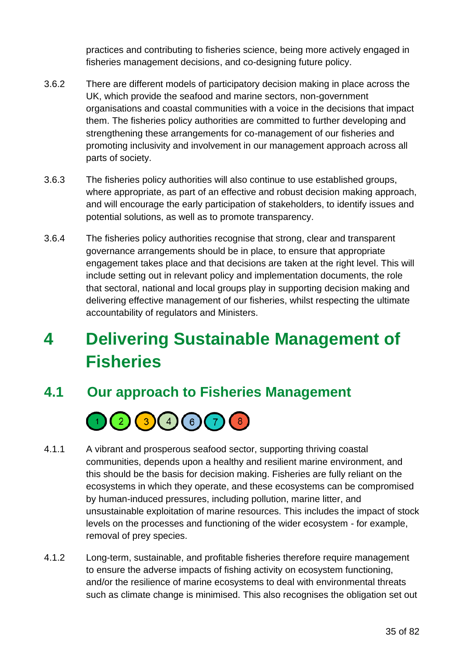practices and contributing to fisheries science, being more actively engaged in fisheries management decisions, and co-designing future policy.

- 3.6.2 There are different models of participatory decision making in place across the UK, which provide the seafood and marine sectors, non-government organisations and coastal communities with a voice in the decisions that impact them. The fisheries policy authorities are committed to further developing and strengthening these arrangements for co-management of our fisheries and promoting inclusivity and involvement in our management approach across all parts of society.
- 3.6.3 The fisheries policy authorities will also continue to use established groups, where appropriate, as part of an effective and robust decision making approach, and will encourage the early participation of stakeholders, to identify issues and potential solutions, as well as to promote transparency.
- 3.6.4 The fisheries policy authorities recognise that strong, clear and transparent governance arrangements should be in place, to ensure that appropriate engagement takes place and that decisions are taken at the right level. This will include setting out in relevant policy and implementation documents, the role that sectoral, national and local groups play in supporting decision making and delivering effective management of our fisheries, whilst respecting the ultimate accountability of regulators and Ministers.

## <span id="page-34-0"></span>**4 Delivering Sustainable Management of Fisheries**

### <span id="page-34-1"></span>**4.1 Our approach to Fisheries Management**



- 4.1.1 A vibrant and prosperous seafood sector, supporting thriving coastal communities, depends upon a healthy and resilient marine environment, and this should be the basis for decision making. Fisheries are fully reliant on the ecosystems in which they operate, and these ecosystems can be compromised by human-induced pressures, including pollution, marine litter, and unsustainable exploitation of marine resources. This includes the impact of stock levels on the processes and functioning of the wider ecosystem - for example, removal of prey species.
- 4.1.2 Long-term, sustainable, and profitable fisheries therefore require management to ensure the adverse impacts of fishing activity on ecosystem functioning, and/or the resilience of marine ecosystems to deal with environmental threats such as climate change is minimised. This also recognises the obligation set out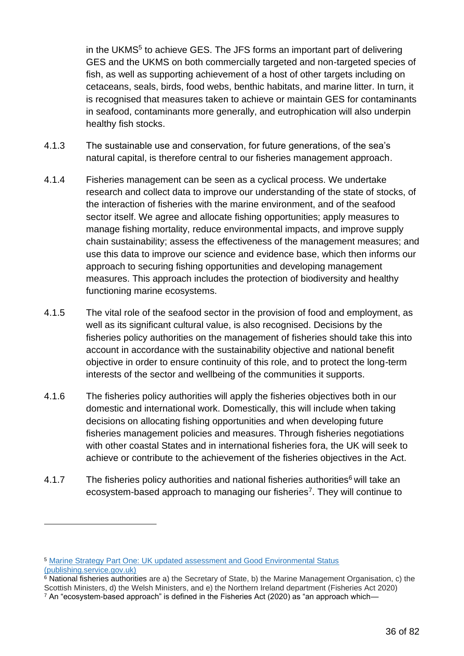in the UKMS<sup>5</sup> to achieve GES. The JFS forms an important part of delivering GES and the UKMS on both commercially targeted and non-targeted species of fish, as well as supporting achievement of a host of other targets including on cetaceans, seals, birds, food webs, benthic habitats, and marine litter. In turn, it is recognised that measures taken to achieve or maintain GES for contaminants in seafood, contaminants more generally, and eutrophication will also underpin healthy fish stocks.

- 4.1.3 The sustainable use and conservation, for future generations, of the sea's natural capital, is therefore central to our fisheries management approach.
- 4.1.4 Fisheries management can be seen as a cyclical process. We undertake research and collect data to improve our understanding of the state of stocks, of the interaction of fisheries with the marine environment, and of the seafood sector itself. We agree and allocate fishing opportunities; apply measures to manage fishing mortality, reduce environmental impacts, and improve supply chain sustainability; assess the effectiveness of the management measures; and use this data to improve our science and evidence base, which then informs our approach to securing fishing opportunities and developing management measures. This approach includes the protection of biodiversity and healthy functioning marine ecosystems.
- 4.1.5 The vital role of the seafood sector in the provision of food and employment, as well as its significant cultural value, is also recognised. Decisions by the fisheries policy authorities on the management of fisheries should take this into account in accordance with the sustainability objective and national benefit objective in order to ensure continuity of this role, and to protect the long-term interests of the sector and wellbeing of the communities it supports.
- 4.1.6 The fisheries policy authorities will apply the fisheries objectives both in our domestic and international work. Domestically, this will include when taking decisions on allocating fishing opportunities and when developing future fisheries management policies and measures. Through fisheries negotiations with other coastal States and in international fisheries fora, the UK will seek to achieve or contribute to the achievement of the fisheries objectives in the Act.
- 4.1.7 The fisheries policy authorities and national fisheries authorities<sup>6</sup> will take an ecosystem-based approach to managing our fisheries<sup>7</sup>. They will continue to

<sup>5</sup> [Marine Strategy Part One: UK updated assessment and Good Environmental Status](https://assets.publishing.service.gov.uk/government/uploads/system/uploads/attachment_data/file/921262/marine-strategy-part1-october19.pdf)  [\(publishing.service.gov.uk\)](https://assets.publishing.service.gov.uk/government/uploads/system/uploads/attachment_data/file/921262/marine-strategy-part1-october19.pdf)

<sup>6</sup> National fisheries authorities are a) the Secretary of State, b) the Marine Management Organisation, c) the Scottish Ministers, d) the Welsh Ministers, and e) the Northern Ireland department (Fisheries Act 2020)

 $7$  An "ecosystem-based approach" is defined in the Fisheries Act (2020) as "an approach which—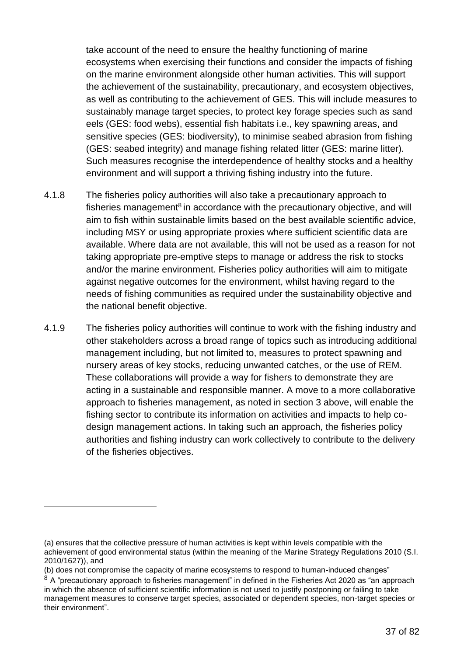take account of the need to ensure the healthy functioning of marine ecosystems when exercising their functions and consider the impacts of fishing on the marine environment alongside other human activities. This will support the achievement of the sustainability, precautionary, and ecosystem objectives, as well as contributing to the achievement of GES. This will include measures to sustainably manage target species, to protect key forage species such as sand eels (GES: food webs), essential fish habitats i.e., key spawning areas, and sensitive species (GES: biodiversity), to minimise seabed abrasion from fishing (GES: seabed integrity) and manage fishing related litter (GES: marine litter). Such measures recognise the interdependence of healthy stocks and a healthy environment and will support a thriving fishing industry into the future.

- 4.1.8 The fisheries policy authorities will also take a precautionary approach to fisheries management<sup>8</sup> in accordance with the precautionary objective, and will aim to fish within sustainable limits based on the best available scientific advice, including MSY or using appropriate proxies where sufficient scientific data are available. Where data are not available, this will not be used as a reason for not taking appropriate pre-emptive steps to manage or address the risk to stocks and/or the marine environment. Fisheries policy authorities will aim to mitigate against negative outcomes for the environment, whilst having regard to the needs of fishing communities as required under the sustainability objective and the national benefit objective.
- 4.1.9 The fisheries policy authorities will continue to work with the fishing industry and other stakeholders across a broad range of topics such as introducing additional management including, but not limited to, measures to protect spawning and nursery areas of key stocks, reducing unwanted catches, or the use of REM. These collaborations will provide a way for fishers to demonstrate they are acting in a sustainable and responsible manner. A move to a more collaborative approach to fisheries management, as noted in section 3 above, will enable the fishing sector to contribute its information on activities and impacts to help codesign management actions. In taking such an approach, the fisheries policy authorities and fishing industry can work collectively to contribute to the delivery of the fisheries objectives.

<sup>(</sup>a) ensures that the collective pressure of human activities is kept within levels compatible with the achievement of good environmental status (within the meaning of the Marine Strategy Regulations 2010 (S.I. 2010/1627)), and

<sup>(</sup>b) does not compromise the capacity of marine ecosystems to respond to human-induced changes"

 $8$  A "precautionary approach to fisheries management" in defined in the Fisheries Act 2020 as "an approach in which the absence of sufficient scientific information is not used to justify postponing or failing to take management measures to conserve target species, associated or dependent species, non-target species or their environment".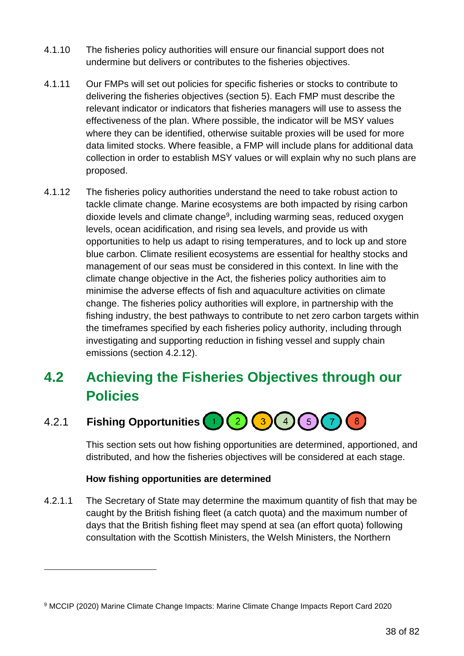- 4.1.10 The fisheries policy authorities will ensure our financial support does not undermine but delivers or contributes to the fisheries objectives.
- 4.1.11 Our FMPs will set out policies for specific fisheries or stocks to contribute to delivering the fisheries objectives (section 5). Each FMP must describe the relevant indicator or indicators that fisheries managers will use to assess the effectiveness of the plan. Where possible, the indicator will be MSY values where they can be identified, otherwise suitable proxies will be used for more data limited stocks. Where feasible, a FMP will include plans for additional data collection in order to establish MSY values or will explain why no such plans are proposed.
- 4.1.12 The fisheries policy authorities understand the need to take robust action to tackle climate change. Marine ecosystems are both impacted by rising carbon dioxide levels and climate change<sup>9</sup>, including warming seas, reduced oxygen levels, ocean acidification, and rising sea levels, and provide us with opportunities to help us adapt to rising temperatures, and to lock up and store blue carbon. Climate resilient ecosystems are essential for healthy stocks and management of our seas must be considered in this context. In line with the climate change objective in the Act, the fisheries policy authorities aim to minimise the adverse effects of fish and aquaculture activities on climate change. The fisheries policy authorities will explore, in partnership with the fishing industry, the best pathways to contribute to net zero carbon targets within the timeframes specified by each fisheries policy authority, including through investigating and supporting reduction in fishing vessel and supply chain emissions (section 4.2.12).

## **4.2 Achieving the Fisheries Objectives through our Policies**

4.2.1 **Fishing Opportunities** 

This section sets out how fishing opportunities are determined, apportioned, and distributed, and how the fisheries objectives will be considered at each stage.

### **How fishing opportunities are determined**

4.2.1.1 The Secretary of State may determine the maximum quantity of fish that may be caught by the British fishing fleet (a catch quota) and the maximum number of days that the British fishing fleet may spend at sea (an effort quota) following consultation with the Scottish Ministers, the Welsh Ministers, the Northern

<sup>9</sup> MCCIP (2020) Marine Climate Change Impacts: Marine Climate Change Impacts Report Card 2020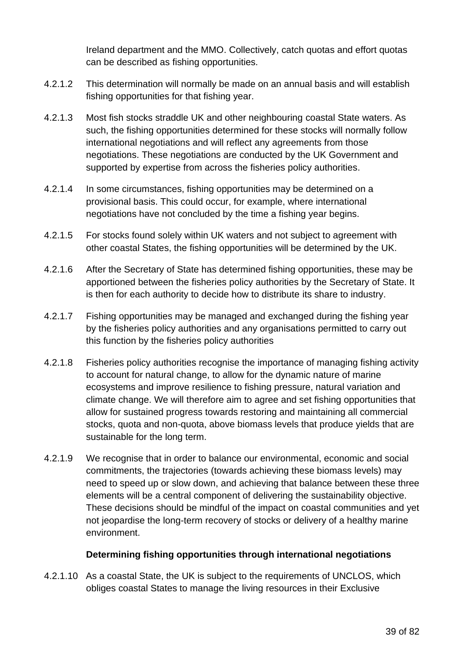Ireland department and the MMO. Collectively, catch quotas and effort quotas can be described as fishing opportunities.

- 4.2.1.2 This determination will normally be made on an annual basis and will establish fishing opportunities for that fishing year.
- 4.2.1.3 Most fish stocks straddle UK and other neighbouring coastal State waters. As such, the fishing opportunities determined for these stocks will normally follow international negotiations and will reflect any agreements from those negotiations. These negotiations are conducted by the UK Government and supported by expertise from across the fisheries policy authorities.
- 4.2.1.4 In some circumstances, fishing opportunities may be determined on a provisional basis. This could occur, for example, where international negotiations have not concluded by the time a fishing year begins.
- 4.2.1.5 For stocks found solely within UK waters and not subject to agreement with other coastal States, the fishing opportunities will be determined by the UK.
- 4.2.1.6 After the Secretary of State has determined fishing opportunities, these may be apportioned between the fisheries policy authorities by the Secretary of State. It is then for each authority to decide how to distribute its share to industry.
- 4.2.1.7 Fishing opportunities may be managed and exchanged during the fishing year by the fisheries policy authorities and any organisations permitted to carry out this function by the fisheries policy authorities
- 4.2.1.8 Fisheries policy authorities recognise the importance of managing fishing activity to account for natural change, to allow for the dynamic nature of marine ecosystems and improve resilience to fishing pressure, natural variation and climate change. We will therefore aim to agree and set fishing opportunities that allow for sustained progress towards restoring and maintaining all commercial stocks, quota and non-quota, above biomass levels that produce yields that are sustainable for the long term.
- 4.2.1.9 We recognise that in order to balance our environmental, economic and social commitments, the trajectories (towards achieving these biomass levels) may need to speed up or slow down, and achieving that balance between these three elements will be a central component of delivering the sustainability objective. These decisions should be mindful of the impact on coastal communities and yet not jeopardise the long-term recovery of stocks or delivery of a healthy marine environment.

### **Determining fishing opportunities through international negotiations**

4.2.1.10 As a coastal State, the UK is subject to the requirements of UNCLOS, which obliges coastal States to manage the living resources in their Exclusive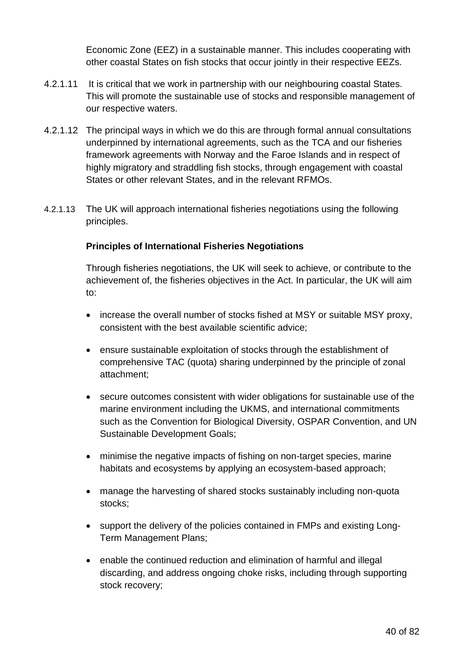Economic Zone (EEZ) in a sustainable manner. This includes cooperating with other coastal States on fish stocks that occur jointly in their respective EEZs.

- 4.2.1.11 It is critical that we work in partnership with our neighbouring coastal States. This will promote the sustainable use of stocks and responsible management of our respective waters.
- 4.2.1.12 The principal ways in which we do this are through formal annual consultations underpinned by international agreements, such as the TCA and our fisheries framework agreements with Norway and the Faroe Islands and in respect of highly migratory and straddling fish stocks, through engagement with coastal States or other relevant States, and in the relevant RFMOs.
- 4.2.1.13 The UK will approach international fisheries negotiations using the following principles.

### **Principles of International Fisheries Negotiations**

Through fisheries negotiations, the UK will seek to achieve, or contribute to the achievement of, the fisheries objectives in the Act. In particular, the UK will aim to:

- increase the overall number of stocks fished at MSY or suitable MSY proxy, consistent with the best available scientific advice;
- ensure sustainable exploitation of stocks through the establishment of comprehensive TAC (quota) sharing underpinned by the principle of zonal attachment;
- secure outcomes consistent with wider obligations for sustainable use of the marine environment including the UKMS, and international commitments such as the Convention for Biological Diversity, OSPAR Convention, and UN Sustainable Development Goals;
- minimise the negative impacts of fishing on non-target species, marine habitats and ecosystems by applying an ecosystem-based approach;
- manage the harvesting of shared stocks sustainably including non-quota stocks;
- support the delivery of the policies contained in FMPs and existing Long-Term Management Plans;
- enable the continued reduction and elimination of harmful and illegal discarding, and address ongoing choke risks, including through supporting stock recovery;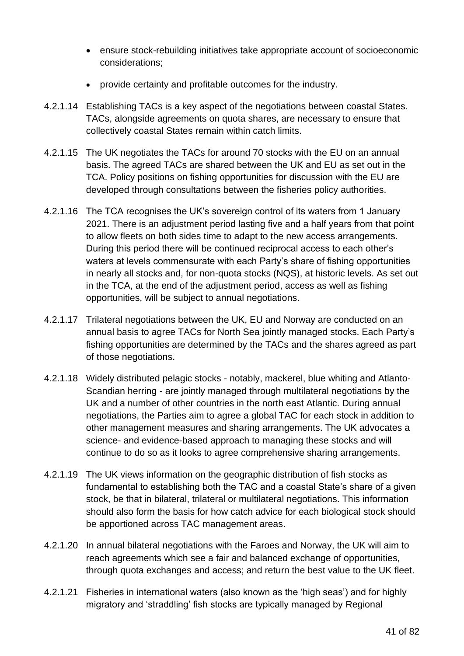- ensure stock-rebuilding initiatives take appropriate account of socioeconomic considerations;
- provide certainty and profitable outcomes for the industry.
- 4.2.1.14 Establishing TACs is a key aspect of the negotiations between coastal States. TACs, alongside agreements on quota shares, are necessary to ensure that collectively coastal States remain within catch limits.
- 4.2.1.15 The UK negotiates the TACs for around 70 stocks with the EU on an annual basis. The agreed TACs are shared between the UK and EU as set out in the TCA. Policy positions on fishing opportunities for discussion with the EU are developed through consultations between the fisheries policy authorities.
- 4.2.1.16 The TCA recognises the UK's sovereign control of its waters from 1 January 2021. There is an adjustment period lasting five and a half years from that point to allow fleets on both sides time to adapt to the new access arrangements. During this period there will be continued reciprocal access to each other's waters at levels commensurate with each Party's share of fishing opportunities in nearly all stocks and, for non-quota stocks (NQS), at historic levels. As set out in the TCA, at the end of the adjustment period, access as well as fishing opportunities, will be subject to annual negotiations.
- 4.2.1.17 Trilateral negotiations between the UK, EU and Norway are conducted on an annual basis to agree TACs for North Sea jointly managed stocks. Each Party's fishing opportunities are determined by the TACs and the shares agreed as part of those negotiations.
- 4.2.1.18 Widely distributed pelagic stocks notably, mackerel, blue whiting and Atlanto-Scandian herring - are jointly managed through multilateral negotiations by the UK and a number of other countries in the north east Atlantic. During annual negotiations, the Parties aim to agree a global TAC for each stock in addition to other management measures and sharing arrangements. The UK advocates a science- and evidence-based approach to managing these stocks and will continue to do so as it looks to agree comprehensive sharing arrangements.
- 4.2.1.19 The UK views information on the geographic distribution of fish stocks as fundamental to establishing both the TAC and a coastal State's share of a given stock, be that in bilateral, trilateral or multilateral negotiations. This information should also form the basis for how catch advice for each biological stock should be apportioned across TAC management areas.
- 4.2.1.20 In annual bilateral negotiations with the Faroes and Norway, the UK will aim to reach agreements which see a fair and balanced exchange of opportunities, through quota exchanges and access; and return the best value to the UK fleet.
- 4.2.1.21 Fisheries in international waters (also known as the 'high seas') and for highly migratory and 'straddling' fish stocks are typically managed by Regional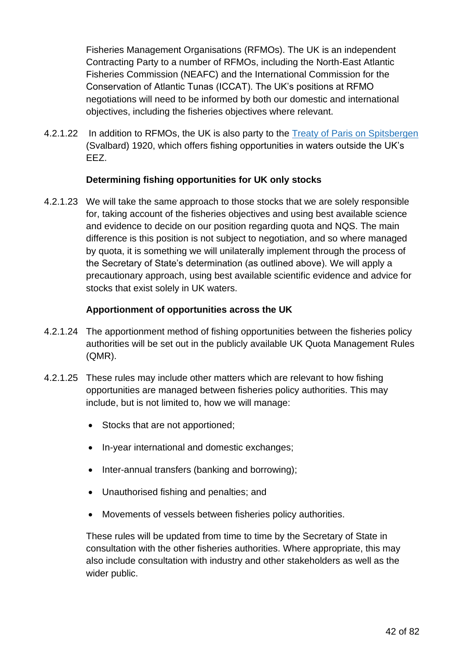Fisheries Management Organisations (RFMOs). The UK is an independent Contracting Party to a number of RFMOs, including the North-East Atlantic Fisheries Commission (NEAFC) and the International Commission for the Conservation of Atlantic Tunas (ICCAT). The UK's positions at RFMO negotiations will need to be informed by both our domestic and international objectives, including the fisheries objectives where relevant.

4.2.1.22 In addition to RFMOs, the UK is also party to the [Treaty of Paris on Spitsbergen](http://foto.archivalware.co.uk/data/Library2/pdf/1924-TS0018.pdf) (Svalbard) 1920, which offers fishing opportunities in waters outside the UK's EEZ.

### **Determining fishing opportunities for UK only stocks**

4.2.1.23 We will take the same approach to those stocks that we are solely responsible for, taking account of the fisheries objectives and using best available science and evidence to decide on our position regarding quota and NQS. The main difference is this position is not subject to negotiation, and so where managed by quota, it is something we will unilaterally implement through the process of the Secretary of State's determination (as outlined above). We will apply a precautionary approach, using best available scientific evidence and advice for stocks that exist solely in UK waters.

### **Apportionment of opportunities across the UK**

- 4.2.1.24 The apportionment method of fishing opportunities between the fisheries policy authorities will be set out in the publicly available UK Quota Management Rules (QMR).
- 4.2.1.25 These rules may include other matters which are relevant to how fishing opportunities are managed between fisheries policy authorities. This may include, but is not limited to, how we will manage:
	- Stocks that are not apportioned;
	- In-year international and domestic exchanges;
	- Inter-annual transfers (banking and borrowing);
	- Unauthorised fishing and penalties; and
	- Movements of vessels between fisheries policy authorities.

These rules will be updated from time to time by the Secretary of State in consultation with the other fisheries authorities. Where appropriate, this may also include consultation with industry and other stakeholders as well as the wider public.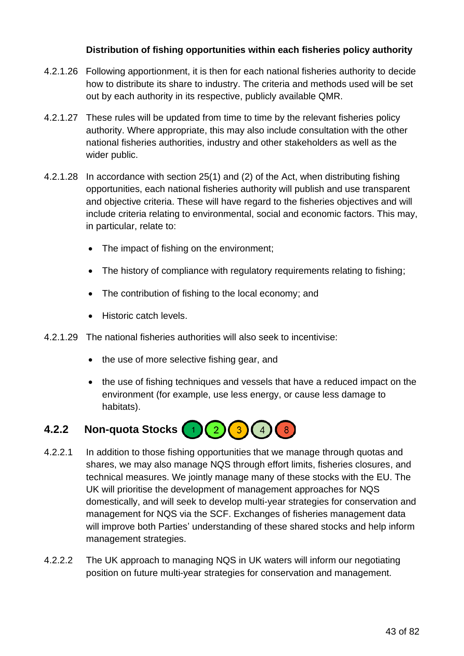### **Distribution of fishing opportunities within each fisheries policy authority**

- 4.2.1.26 Following apportionment, it is then for each national fisheries authority to decide how to distribute its share to industry. The criteria and methods used will be set out by each authority in its respective, publicly available QMR.
- 4.2.1.27 These rules will be updated from time to time by the relevant fisheries policy authority. Where appropriate, this may also include consultation with the other national fisheries authorities, industry and other stakeholders as well as the wider public.
- 4.2.1.28 In accordance with section 25(1) and (2) of the Act, when distributing fishing opportunities, each national fisheries authority will publish and use transparent and objective criteria. These will have regard to the fisheries objectives and will include criteria relating to environmental, social and economic factors. This may, in particular, relate to:
	- The impact of fishing on the environment;
	- The history of compliance with regulatory requirements relating to fishing:
	- The contribution of fishing to the local economy; and
	- Historic catch levels.
- 4.2.1.29 The national fisheries authorities will also seek to incentivise:
	- the use of more selective fishing gear, and
	- the use of fishing techniques and vessels that have a reduced impact on the environment (for example, use less energy, or cause less damage to habitats).



- 4.2.2.1 In addition to those fishing opportunities that we manage through quotas and shares, we may also manage NQS through effort limits, fisheries closures, and technical measures. We jointly manage many of these stocks with the EU. The UK will prioritise the development of management approaches for NQS domestically, and will seek to develop multi-year strategies for conservation and management for NQS via the SCF. Exchanges of fisheries management data will improve both Parties' understanding of these shared stocks and help inform management strategies.
- 4.2.2.2 The UK approach to managing NQS in UK waters will inform our negotiating position on future multi-year strategies for conservation and management.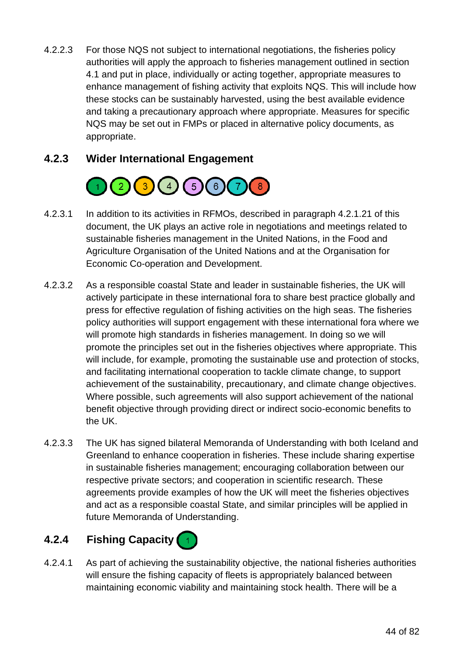4.2.2.3 For those NQS not subject to international negotiations, the fisheries policy authorities will apply the approach to fisheries management outlined in section 4.1 and put in place, individually or acting together, appropriate measures to enhance management of fishing activity that exploits NQS. This will include how these stocks can be sustainably harvested, using the best available evidence and taking a precautionary approach where appropriate. Measures for specific NQS may be set out in FMPs or placed in alternative policy documents, as appropriate.

### **4.2.3 Wider International Engagement**



- 4.2.3.1 In addition to its activities in RFMOs, described in paragraph 4.2.1.21 of this document, the UK plays an active role in negotiations and meetings related to sustainable fisheries management in the United Nations, in the Food and Agriculture Organisation of the United Nations and at the Organisation for Economic Co-operation and Development.
- 4.2.3.2 As a responsible coastal State and leader in sustainable fisheries, the UK will actively participate in these international fora to share best practice globally and press for effective regulation of fishing activities on the high seas. The fisheries policy authorities will support engagement with these international fora where we will promote high standards in fisheries management. In doing so we will promote the principles set out in the fisheries objectives where appropriate. This will include, for example, promoting the sustainable use and protection of stocks, and facilitating international cooperation to tackle climate change, to support achievement of the sustainability, precautionary, and climate change objectives. Where possible, such agreements will also support achievement of the national benefit objective through providing direct or indirect socio-economic benefits to the UK.
- 4.2.3.3 The UK has signed bilateral Memoranda of Understanding with both Iceland and Greenland to enhance cooperation in fisheries. These include sharing expertise in sustainable fisheries management; encouraging collaboration between our respective private sectors; and cooperation in scientific research. These agreements provide examples of how the UK will meet the fisheries objectives and act as a responsible coastal State, and similar principles will be applied in future Memoranda of Understanding.

### **4.2.4 Fishing Capacity**

4.2.4.1 As part of achieving the sustainability objective, the national fisheries authorities will ensure the fishing capacity of fleets is appropriately balanced between maintaining economic viability and maintaining stock health. There will be a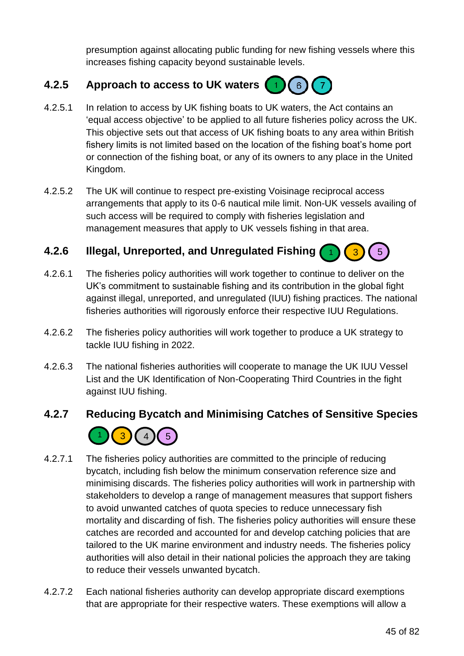presumption against allocating public funding for new fishing vessels where this increases fishing capacity beyond sustainable levels.

### **4.2.5 Approach to access to UK waters**  $\left( 6\right)$

- 4.2.5.1 In relation to access by UK fishing boats to UK waters, the Act contains an 'equal access objective' to be applied to all future fisheries policy across the UK. This objective sets out that access of UK fishing boats to any area within British fishery limits is not limited based on the location of the fishing boat's home port or connection of the fishing boat, or any of its owners to any place in the United Kingdom.
- 4.2.5.2 The UK will continue to respect pre-existing Voisinage reciprocal access arrangements that apply to its 0-6 nautical mile limit. Non-UK vessels availing of such access will be required to comply with fisheries legislation and management measures that apply to UK vessels fishing in that area.

#### **4.2.6 Illegal, Unreported, and Unregulated Fishing** 1  $(3)(5)$

- 4.2.6.1 The fisheries policy authorities will work together to continue to deliver on the UK's commitment to sustainable fishing and its contribution in the global fight against illegal, unreported, and unregulated (IUU) fishing practices. The national fisheries authorities will rigorously enforce their respective IUU Regulations.
- 4.2.6.2 The fisheries policy authorities will work together to produce a UK strategy to tackle IUU fishing in 2022.
- 4.2.6.3 The national fisheries authorities will cooperate to manage the UK IUU Vessel List and the UK Identification of Non-Cooperating Third Countries in the fight against IUU fishing.

### **4.2.7 Reducing Bycatch and Minimising Catches of Sensitive Species**



- 4.2.7.1 The fisheries policy authorities are committed to the principle of reducing bycatch, including fish below the minimum conservation reference size and minimising discards. The fisheries policy authorities will work in partnership with stakeholders to develop a range of management measures that support fishers to avoid unwanted catches of quota species to reduce unnecessary fish mortality and discarding of fish. The fisheries policy authorities will ensure these catches are recorded and accounted for and develop catching policies that are tailored to the UK marine environment and industry needs. The fisheries policy authorities will also detail in their national policies the approach they are taking to reduce their vessels unwanted bycatch.
- 4.2.7.2 Each national fisheries authority can develop appropriate discard exemptions that are appropriate for their respective waters. These exemptions will allow a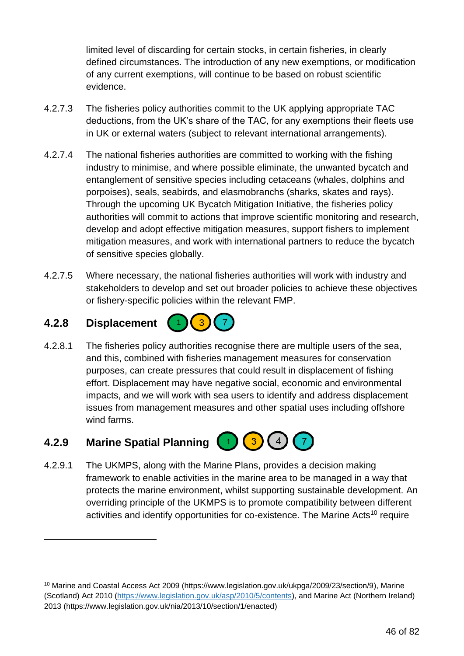limited level of discarding for certain stocks, in certain fisheries, in clearly defined circumstances. The introduction of any new exemptions, or modification of any current exemptions, will continue to be based on robust scientific evidence.

- 4.2.7.3 The fisheries policy authorities commit to the UK applying appropriate TAC deductions, from the UK's share of the TAC, for any exemptions their fleets use in UK or external waters (subject to relevant international arrangements).
- 4.2.7.4 The national fisheries authorities are committed to working with the fishing industry to minimise, and where possible eliminate, the unwanted bycatch and entanglement of sensitive species including cetaceans (whales, dolphins and porpoises), seals, seabirds, and elasmobranchs (sharks, skates and rays). Through the upcoming UK Bycatch Mitigation Initiative, the fisheries policy authorities will commit to actions that improve scientific monitoring and research, develop and adopt effective mitigation measures, support fishers to implement mitigation measures, and work with international partners to reduce the bycatch of sensitive species globally.
- 4.2.7.5 Where necessary, the national fisheries authorities will work with industry and stakeholders to develop and set out broader policies to achieve these objectives or fishery-specific policies within the relevant FMP.

### **4.2.8 Displacement**  $3<sup>2</sup>$

4.2.8.1 The fisheries policy authorities recognise there are multiple users of the sea, and this, combined with fisheries management measures for conservation purposes, can create pressures that could result in displacement of fishing effort. Displacement may have negative social, economic and environmental impacts, and we will work with sea users to identify and address displacement issues from management measures and other spatial uses including offshore wind farms.

#### **4.2.9 Marine Spatial Planning**  $\left| \frac{3}{2} \right|$  $\sqrt{1}$

4.2.9.1 The UKMPS, along with the Marine Plans, provides a decision making framework to enable activities in the marine area to be managed in a way that protects the marine environment, whilst supporting sustainable development. An overriding principle of the UKMPS is to promote compatibility between different activities and identify opportunities for co-existence. The Marine Acts<sup>10</sup> require

<sup>10</sup> Marine and Coastal Access Act 2009 (https://www.legislation.gov.uk/ukpga/2009/23/section/9), Marine (Scotland) Act 2010 [\(https://www.legislation.gov.uk/asp/2010/5/contents\)](https://www.legislation.gov.uk/asp/2010/5/contents), and Marine Act (Northern Ireland) 2013 (https://www.legislation.gov.uk/nia/2013/10/section/1/enacted)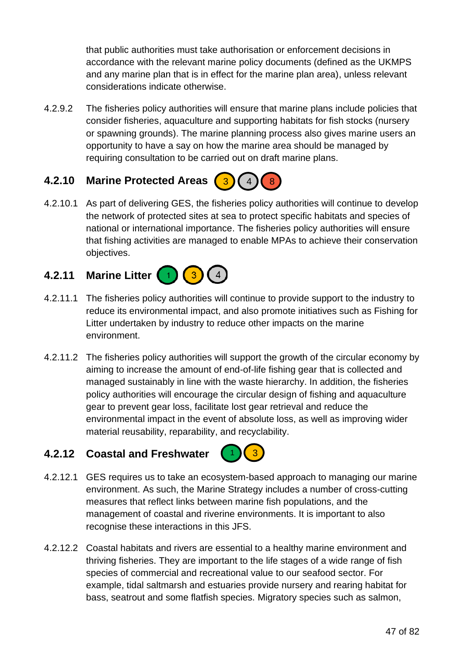that public authorities must take authorisation or enforcement decisions in accordance with the relevant marine policy documents (defined as the UKMPS and any marine plan that is in effect for the marine plan area), unless relevant considerations indicate otherwise.

4.2.9.2 The fisheries policy authorities will ensure that marine plans include policies that consider fisheries, aquaculture and supporting habitats for fish stocks (nursery or spawning grounds). The marine planning process also gives marine users an opportunity to have a say on how the marine area should be managed by requiring consultation to be carried out on draft marine plans.

### **4.2.10 Marine Protected Areas** 3 (4) (8

4.2.10.1 As part of delivering GES, the fisheries policy authorities will continue to develop the network of protected sites at sea to protect specific habitats and species of national or international importance. The fisheries policy authorities will ensure that fishing activities are managed to enable MPAs to achieve their conservation objectives.

## **4.2.11 Marine Litter**

- 4.2.11.1 The fisheries policy authorities will continue to provide support to the industry to reduce its environmental impact, and also promote initiatives such as Fishing for Litter undertaken by industry to reduce other impacts on the marine environment.
- 4.2.11.2 The fisheries policy authorities will support the growth of the circular economy by aiming to increase the amount of end-of-life fishing gear that is collected and managed sustainably in line with the waste hierarchy. In addition, the fisheries policy authorities will encourage the circular design of fishing and aquaculture gear to prevent gear loss, facilitate lost gear retrieval and reduce the environmental impact in the event of absolute loss, as well as improving wider material reusability, reparability, and recyclability.

### **4.2.12 Coastal and Freshwater**



- 4.2.12.1 GES requires us to take an ecosystem-based approach to managing our marine environment. As such, the Marine Strategy includes a number of cross-cutting measures that reflect links between marine fish populations, and the management of coastal and riverine environments. It is important to also recognise these interactions in this JFS.
- 4.2.12.2 Coastal habitats and rivers are essential to a healthy marine environment and thriving fisheries. They are important to the life stages of a wide range of fish species of commercial and recreational value to our seafood sector. For example, tidal saltmarsh and estuaries provide nursery and rearing habitat for bass, seatrout and some flatfish species. Migratory species such as salmon,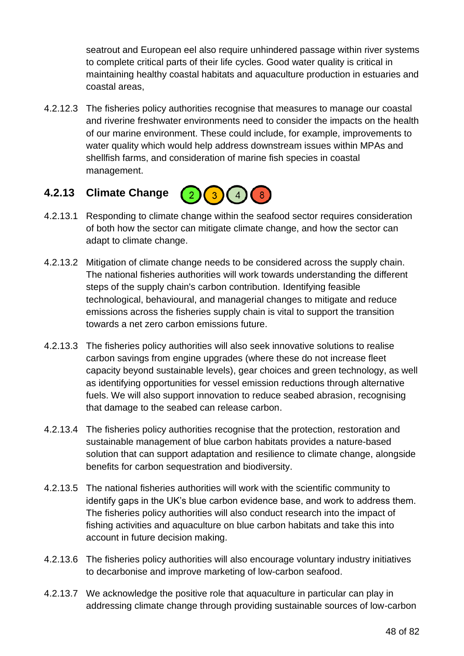seatrout and European eel also require unhindered passage within river systems to complete critical parts of their life cycles. Good water quality is critical in maintaining healthy coastal habitats and aquaculture production in estuaries and coastal areas,

4.2.12.3 The fisheries policy authorities recognise that measures to manage our coastal and riverine freshwater environments need to consider the impacts on the health of our marine environment. These could include, for example, improvements to water quality which would help address downstream issues within MPAs and shellfish farms, and consideration of marine fish species in coastal management.

### **4.2.13 Climate Change**



- 4.2.13.1 Responding to climate change within the seafood sector requires consideration of both how the sector can mitigate climate change, and how the sector can adapt to climate change.
- 4.2.13.2 Mitigation of climate change needs to be considered across the supply chain. The national fisheries authorities will work towards understanding the different steps of the supply chain's carbon contribution. Identifying feasible technological, behavioural, and managerial changes to mitigate and reduce emissions across the fisheries supply chain is vital to support the transition towards a net zero carbon emissions future.
- 4.2.13.3 The fisheries policy authorities will also seek innovative solutions to realise carbon savings from engine upgrades (where these do not increase fleet capacity beyond sustainable levels), gear choices and green technology, as well as identifying opportunities for vessel emission reductions through alternative fuels. We will also support innovation to reduce seabed abrasion, recognising that damage to the seabed can release carbon.
- 4.2.13.4 The fisheries policy authorities recognise that the protection, restoration and sustainable management of blue carbon habitats provides a nature-based solution that can support adaptation and resilience to climate change, alongside benefits for carbon sequestration and biodiversity.
- 4.2.13.5 The national fisheries authorities will work with the scientific community to identify gaps in the UK's blue carbon evidence base, and work to address them. The fisheries policy authorities will also conduct research into the impact of fishing activities and aquaculture on blue carbon habitats and take this into account in future decision making.
- 4.2.13.6 The fisheries policy authorities will also encourage voluntary industry initiatives to decarbonise and improve marketing of low-carbon seafood.
- 4.2.13.7 We acknowledge the positive role that aquaculture in particular can play in addressing climate change through providing sustainable sources of low-carbon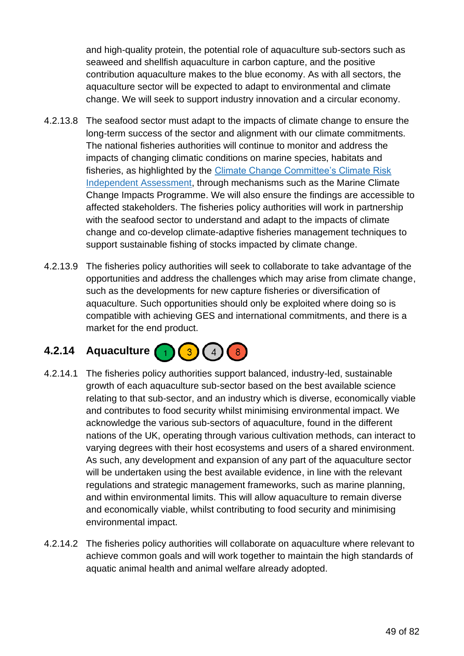and high-quality protein, the potential role of aquaculture sub-sectors such as seaweed and shellfish aquaculture in carbon capture, and the positive contribution aquaculture makes to the blue economy. As with all sectors, the aquaculture sector will be expected to adapt to environmental and climate change. We will seek to support industry innovation and a circular economy.

- 4.2.13.8 The seafood sector must adapt to the impacts of climate change to ensure the long-term success of the sector and alignment with our climate commitments. The national fisheries authorities will continue to monitor and address the impacts of changing climatic conditions on marine species, habitats and fisheries, as highlighted by the [Climate Change Committee's Climate Risk](https://www.theccc.org.uk/wp-content/uploads/2021/07/Independent-Assessment-of-UK-Climate-Risk-Advice-to-Govt-for-CCRA3-CCC.pdf)  [Independent Assessment,](https://www.theccc.org.uk/wp-content/uploads/2021/07/Independent-Assessment-of-UK-Climate-Risk-Advice-to-Govt-for-CCRA3-CCC.pdf) through mechanisms such as the Marine Climate Change Impacts Programme. We will also ensure the findings are accessible to affected stakeholders. The fisheries policy authorities will work in partnership with the seafood sector to understand and adapt to the impacts of climate change and co-develop climate-adaptive fisheries management techniques to support sustainable fishing of stocks impacted by climate change.
- 4.2.13.9 The fisheries policy authorities will seek to collaborate to take advantage of the opportunities and address the challenges which may arise from climate change, such as the developments for new capture fisheries or diversification of aquaculture. Such opportunities should only be exploited where doing so is compatible with achieving GES and international commitments, and there is a market for the end product.

### $\binom{3}{4}\binom{8}{8}$ **4.2.14 Aquaculture**

- 4.2.14.1 The fisheries policy authorities support balanced, industry-led, sustainable growth of each aquaculture sub-sector based on the best available science relating to that sub-sector, and an industry which is diverse, economically viable and contributes to food security whilst minimising environmental impact. We acknowledge the various sub-sectors of aquaculture, found in the different nations of the UK, operating through various cultivation methods, can interact to varying degrees with their host ecosystems and users of a shared environment. As such, any development and expansion of any part of the aquaculture sector will be undertaken using the best available evidence, in line with the relevant regulations and strategic management frameworks, such as marine planning, and within environmental limits. This will allow aquaculture to remain diverse and economically viable, whilst contributing to food security and minimising environmental impact.
- 4.2.14.2 The fisheries policy authorities will collaborate on aquaculture where relevant to achieve common goals and will work together to maintain the high standards of aquatic animal health and animal welfare already adopted.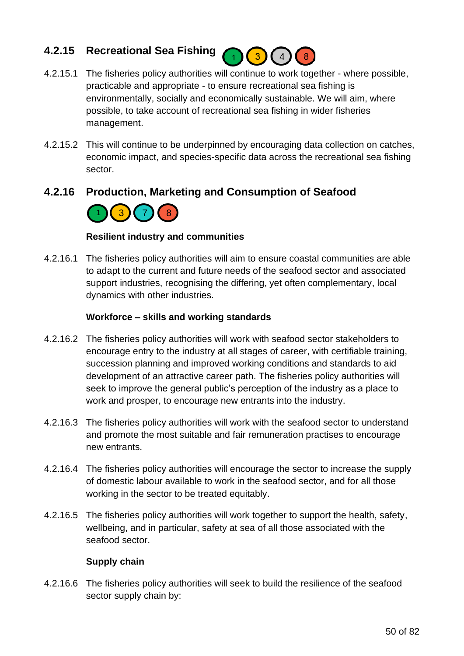### **4.2.15 Recreational Sea Fishing**  $3)(4)$

- 4.2.15.1 The fisheries policy authorities will continue to work together where possible, practicable and appropriate - to ensure recreational sea fishing is environmentally, socially and economically sustainable. We will aim, where possible, to take account of recreational sea fishing in wider fisheries management.
- 4.2.15.2 This will continue to be underpinned by encouraging data collection on catches, economic impact, and species-specific data across the recreational sea fishing sector.

### **4.2.16 Production, Marketing and Consumption of Seafood**



### **Resilient industry and communities**

4.2.16.1 The fisheries policy authorities will aim to ensure coastal communities are able to adapt to the current and future needs of the seafood sector and associated support industries, recognising the differing, yet often complementary, local dynamics with other industries.

### **Workforce – skills and working standards**

- 4.2.16.2 The fisheries policy authorities will work with seafood sector stakeholders to encourage entry to the industry at all stages of career, with certifiable training, succession planning and improved working conditions and standards to aid development of an attractive career path. The fisheries policy authorities will seek to improve the general public's perception of the industry as a place to work and prosper, to encourage new entrants into the industry.
- 4.2.16.3 The fisheries policy authorities will work with the seafood sector to understand and promote the most suitable and fair remuneration practises to encourage new entrants.
- 4.2.16.4 The fisheries policy authorities will encourage the sector to increase the supply of domestic labour available to work in the seafood sector, and for all those working in the sector to be treated equitably.
- 4.2.16.5 The fisheries policy authorities will work together to support the health, safety, wellbeing, and in particular, safety at sea of all those associated with the seafood sector.

### **Supply chain**

4.2.16.6 The fisheries policy authorities will seek to build the resilience of the seafood sector supply chain by: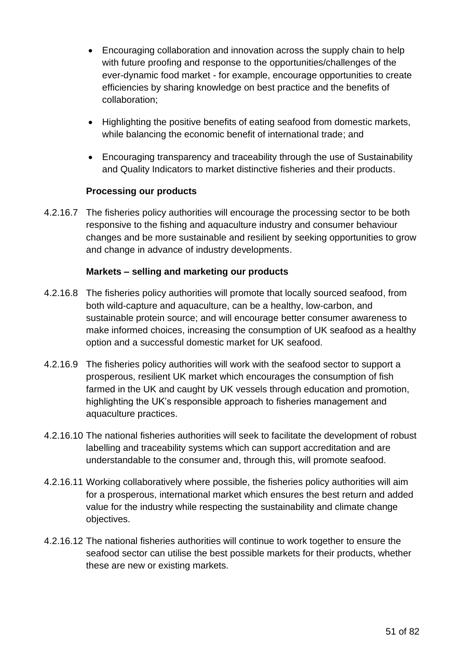- Encouraging collaboration and innovation across the supply chain to help with future proofing and response to the opportunities/challenges of the ever-dynamic food market - for example, encourage opportunities to create efficiencies by sharing knowledge on best practice and the benefits of collaboration;
- Highlighting the positive benefits of eating seafood from domestic markets, while balancing the economic benefit of international trade; and
- Encouraging transparency and traceability through the use of Sustainability and Quality Indicators to market distinctive fisheries and their products.

### **Processing our products**

4.2.16.7 The fisheries policy authorities will encourage the processing sector to be both responsive to the fishing and aquaculture industry and consumer behaviour changes and be more sustainable and resilient by seeking opportunities to grow and change in advance of industry developments.

### **Markets – selling and marketing our products**

- 4.2.16.8 The fisheries policy authorities will promote that locally sourced seafood, from both wild-capture and aquaculture, can be a healthy, low-carbon, and sustainable protein source; and will encourage better consumer awareness to make informed choices, increasing the consumption of UK seafood as a healthy option and a successful domestic market for UK seafood.
- 4.2.16.9 The fisheries policy authorities will work with the seafood sector to support a prosperous, resilient UK market which encourages the consumption of fish farmed in the UK and caught by UK vessels through education and promotion, highlighting the UK's responsible approach to fisheries management and aquaculture practices.
- 4.2.16.10 The national fisheries authorities will seek to facilitate the development of robust labelling and traceability systems which can support accreditation and are understandable to the consumer and, through this, will promote seafood.
- 4.2.16.11 Working collaboratively where possible, the fisheries policy authorities will aim for a prosperous, international market which ensures the best return and added value for the industry while respecting the sustainability and climate change objectives.
- 4.2.16.12 The national fisheries authorities will continue to work together to ensure the seafood sector can utilise the best possible markets for their products, whether these are new or existing markets.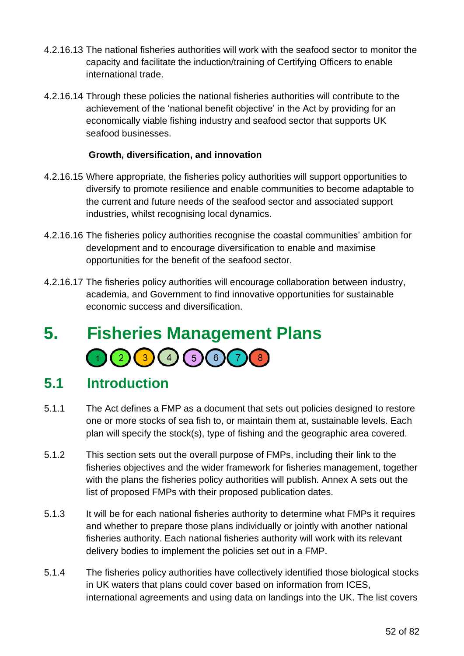- 4.2.16.13 The national fisheries authorities will work with the seafood sector to monitor the capacity and facilitate the induction/training of Certifying Officers to enable international trade.
- 4.2.16.14 Through these policies the national fisheries authorities will contribute to the achievement of the 'national benefit objective' in the Act by providing for an economically viable fishing industry and seafood sector that supports UK seafood businesses.

### **Growth, diversification, and innovation**

- 4.2.16.15 Where appropriate, the fisheries policy authorities will support opportunities to diversify to promote resilience and enable communities to become adaptable to the current and future needs of the seafood sector and associated support industries, whilst recognising local dynamics.
- 4.2.16.16 The fisheries policy authorities recognise the coastal communities' ambition for development and to encourage diversification to enable and maximise opportunities for the benefit of the seafood sector.
- 4.2.16.17 The fisheries policy authorities will encourage collaboration between industry, academia, and Government to find innovative opportunities for sustainable economic success and diversification.

# **5. Fisheries Management Plans**  00345608

## **5.1 Introduction**

- 5.1.1 The Act defines a FMP as a document that sets out policies designed to restore one or more stocks of sea fish to, or maintain them at, sustainable levels. Each plan will specify the stock(s), type of fishing and the geographic area covered.
- 5.1.2 This section sets out the overall purpose of FMPs, including their link to the fisheries objectives and the wider framework for fisheries management, together with the plans the fisheries policy authorities will publish. Annex A sets out the list of proposed FMPs with their proposed publication dates.
- 5.1.3 It will be for each national fisheries authority to determine what FMPs it requires and whether to prepare those plans individually or jointly with another national fisheries authority. Each national fisheries authority will work with its relevant delivery bodies to implement the policies set out in a FMP.
- 5.1.4 The fisheries policy authorities have collectively identified those biological stocks in UK waters that plans could cover based on information from ICES, international agreements and using data on landings into the UK. The list covers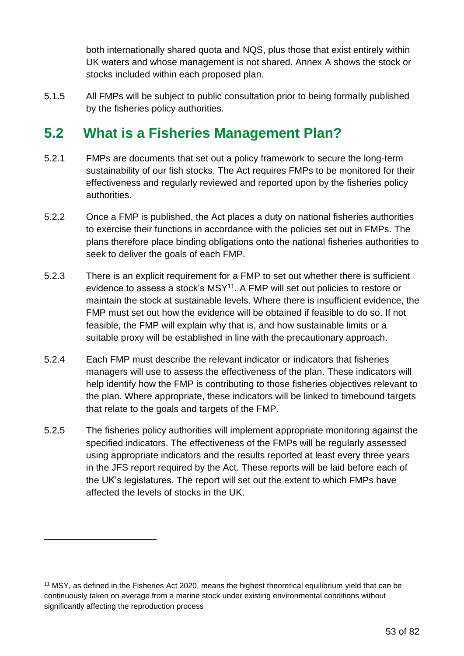both internationally shared quota and NQS, plus those that exist entirely within UK waters and whose management is not shared. Annex A shows the stock or stocks included within each proposed plan.

5.1.5 All FMPs will be subject to public consultation prior to being formally published by the fisheries policy authorities.

## **5.2 What is a Fisheries Management Plan?**

- 5.2.1 FMPs are documents that set out a policy framework to secure the long-term sustainability of our fish stocks. The Act requires FMPs to be monitored for their effectiveness and regularly reviewed and reported upon by the fisheries policy authorities.
- 5.2.2 Once a FMP is published, the Act places a duty on national fisheries authorities to exercise their functions in accordance with the policies set out in FMPs. The plans therefore place binding obligations onto the national fisheries authorities to seek to deliver the goals of each FMP.
- 5.2.3 There is an explicit requirement for a FMP to set out whether there is sufficient evidence to assess a stock's MSY<sup>11</sup>. A FMP will set out policies to restore or maintain the stock at sustainable levels. Where there is insufficient evidence, the FMP must set out how the evidence will be obtained if feasible to do so. If not feasible, the FMP will explain why that is, and how sustainable limits or a suitable proxy will be established in line with the precautionary approach.
- 5.2.4 Each FMP must describe the relevant indicator or indicators that fisheries managers will use to assess the effectiveness of the plan. These indicators will help identify how the FMP is contributing to those fisheries objectives relevant to the plan. Where appropriate, these indicators will be linked to timebound targets that relate to the goals and targets of the FMP.
- 5.2.5 The fisheries policy authorities will implement appropriate monitoring against the specified indicators. The effectiveness of the FMPs will be regularly assessed using appropriate indicators and the results reported at least every three years in the JFS report required by the Act. These reports will be laid before each of the UK's legislatures. The report will set out the extent to which FMPs have affected the levels of stocks in the UK.

<sup>11</sup> MSY, as defined in the Fisheries Act 2020, means the highest theoretical equilibrium yield that can be continuously taken on average from a marine stock under existing environmental conditions without significantly affecting the reproduction process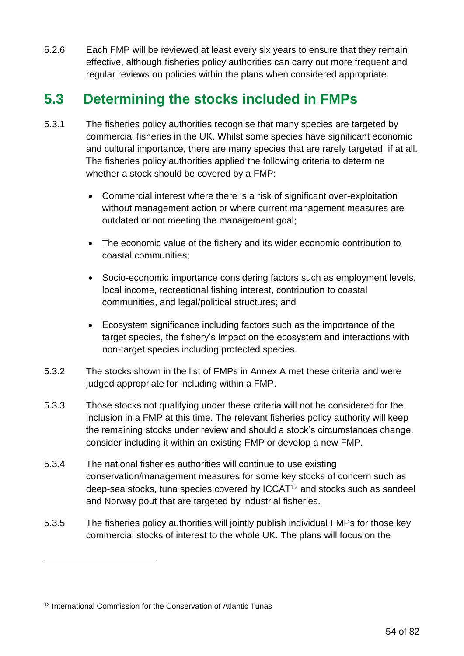5.2.6 Each FMP will be reviewed at least every six years to ensure that they remain effective, although fisheries policy authorities can carry out more frequent and regular reviews on policies within the plans when considered appropriate.

## **5.3 Determining the stocks included in FMPs**

- 5.3.1 The fisheries policy authorities recognise that many species are targeted by commercial fisheries in the UK. Whilst some species have significant economic and cultural importance, there are many species that are rarely targeted, if at all. The fisheries policy authorities applied the following criteria to determine whether a stock should be covered by a FMP:
	- Commercial interest where there is a risk of significant over-exploitation without management action or where current management measures are outdated or not meeting the management goal;
	- The economic value of the fishery and its wider economic contribution to coastal communities;
	- Socio-economic importance considering factors such as employment levels, local income, recreational fishing interest, contribution to coastal communities, and legal/political structures; and
	- Ecosystem significance including factors such as the importance of the target species, the fishery's impact on the ecosystem and interactions with non-target species including protected species.
- 5.3.2 The stocks shown in the list of FMPs in Annex A met these criteria and were judged appropriate for including within a FMP.
- 5.3.3 Those stocks not qualifying under these criteria will not be considered for the inclusion in a FMP at this time. The relevant fisheries policy authority will keep the remaining stocks under review and should a stock's circumstances change, consider including it within an existing FMP or develop a new FMP.
- 5.3.4 The national fisheries authorities will continue to use existing conservation/management measures for some key stocks of concern such as deep-sea stocks, tuna species covered by ICCAT<sup>12</sup> and stocks such as sandeel and Norway pout that are targeted by industrial fisheries.
- 5.3.5 The fisheries policy authorities will jointly publish individual FMPs for those key commercial stocks of interest to the whole UK. The plans will focus on the

<sup>12</sup> International Commission for the Conservation of Atlantic Tunas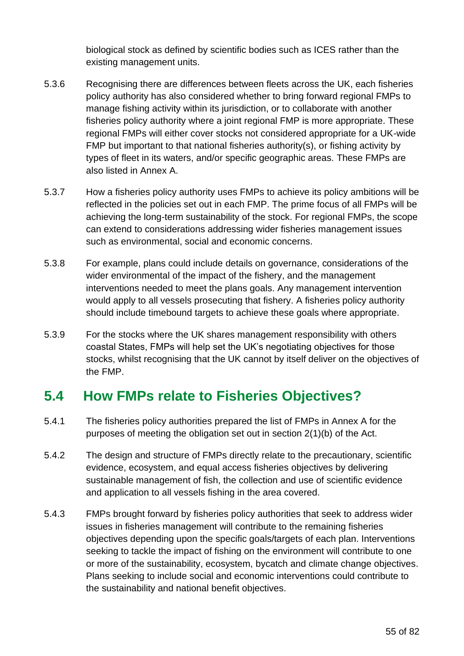biological stock as defined by scientific bodies such as ICES rather than the existing management units.

- 5.3.6 Recognising there are differences between fleets across the UK, each fisheries policy authority has also considered whether to bring forward regional FMPs to manage fishing activity within its jurisdiction, or to collaborate with another fisheries policy authority where a joint regional FMP is more appropriate. These regional FMPs will either cover stocks not considered appropriate for a UK-wide FMP but important to that national fisheries authority(s), or fishing activity by types of fleet in its waters, and/or specific geographic areas. These FMPs are also listed in Annex A.
- 5.3.7 How a fisheries policy authority uses FMPs to achieve its policy ambitions will be reflected in the policies set out in each FMP. The prime focus of all FMPs will be achieving the long-term sustainability of the stock. For regional FMPs, the scope can extend to considerations addressing wider fisheries management issues such as environmental, social and economic concerns.
- 5.3.8 For example, plans could include details on governance, considerations of the wider environmental of the impact of the fishery, and the management interventions needed to meet the plans goals. Any management intervention would apply to all vessels prosecuting that fishery. A fisheries policy authority should include timebound targets to achieve these goals where appropriate.
- 5.3.9 For the stocks where the UK shares management responsibility with others coastal States, FMPs will help set the UK's negotiating objectives for those stocks, whilst recognising that the UK cannot by itself deliver on the objectives of the FMP.

## **5.4 How FMPs relate to Fisheries Objectives?**

- 5.4.1 The fisheries policy authorities prepared the list of FMPs in Annex A for the purposes of meeting the obligation set out in section 2(1)(b) of the Act.
- 5.4.2 The design and structure of FMPs directly relate to the precautionary, scientific evidence, ecosystem, and equal access fisheries objectives by delivering sustainable management of fish, the collection and use of scientific evidence and application to all vessels fishing in the area covered.
- 5.4.3 FMPs brought forward by fisheries policy authorities that seek to address wider issues in fisheries management will contribute to the remaining fisheries objectives depending upon the specific goals/targets of each plan. Interventions seeking to tackle the impact of fishing on the environment will contribute to one or more of the sustainability, ecosystem, bycatch and climate change objectives. Plans seeking to include social and economic interventions could contribute to the sustainability and national benefit objectives.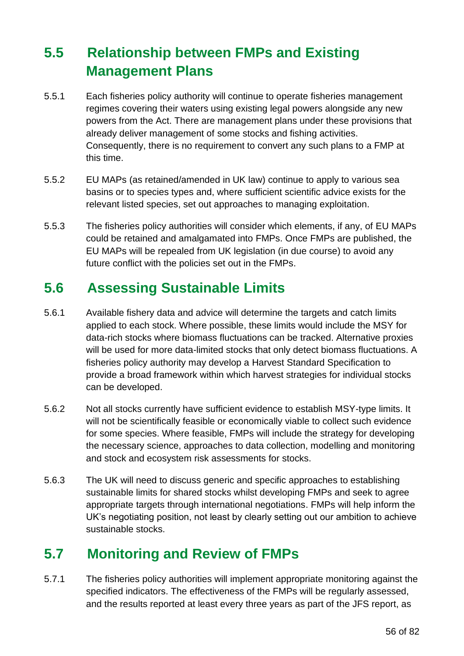## **5.5 Relationship between FMPs and Existing Management Plans**

- 5.5.1 Each fisheries policy authority will continue to operate fisheries management regimes covering their waters using existing legal powers alongside any new powers from the Act. There are management plans under these provisions that already deliver management of some stocks and fishing activities. Consequently, there is no requirement to convert any such plans to a FMP at this time.
- 5.5.2 EU MAPs (as retained/amended in UK law) continue to apply to various sea basins or to species types and, where sufficient scientific advice exists for the relevant listed species, set out approaches to managing exploitation.
- 5.5.3 The fisheries policy authorities will consider which elements, if any, of EU MAPs could be retained and amalgamated into FMPs. Once FMPs are published, the EU MAPs will be repealed from UK legislation (in due course) to avoid any future conflict with the policies set out in the FMPs.

## **5.6 Assessing Sustainable Limits**

- 5.6.1 Available fishery data and advice will determine the targets and catch limits applied to each stock. Where possible, these limits would include the MSY for data-rich stocks where biomass fluctuations can be tracked. Alternative proxies will be used for more data-limited stocks that only detect biomass fluctuations. A fisheries policy authority may develop a Harvest Standard Specification to provide a broad framework within which harvest strategies for individual stocks can be developed.
- 5.6.2 Not all stocks currently have sufficient evidence to establish MSY-type limits. It will not be scientifically feasible or economically viable to collect such evidence for some species. Where feasible, FMPs will include the strategy for developing the necessary science, approaches to data collection, modelling and monitoring and stock and ecosystem risk assessments for stocks.
- 5.6.3 The UK will need to discuss generic and specific approaches to establishing sustainable limits for shared stocks whilst developing FMPs and seek to agree appropriate targets through international negotiations. FMPs will help inform the UK's negotiating position, not least by clearly setting out our ambition to achieve sustainable stocks.

## **5.7 Monitoring and Review of FMPs**

5.7.1 The fisheries policy authorities will implement appropriate monitoring against the specified indicators. The effectiveness of the FMPs will be regularly assessed, and the results reported at least every three years as part of the JFS report, as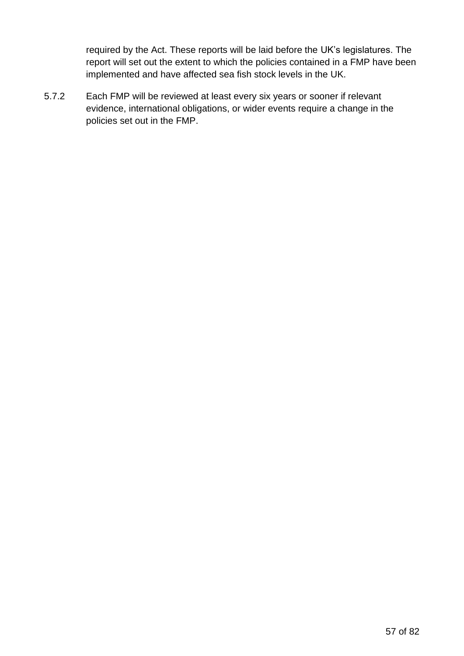required by the Act. These reports will be laid before the UK's legislatures. The report will set out the extent to which the policies contained in a FMP have been implemented and have affected sea fish stock levels in the UK.

5.7.2 Each FMP will be reviewed at least every six years or sooner if relevant evidence, international obligations, or wider events require a change in the policies set out in the FMP.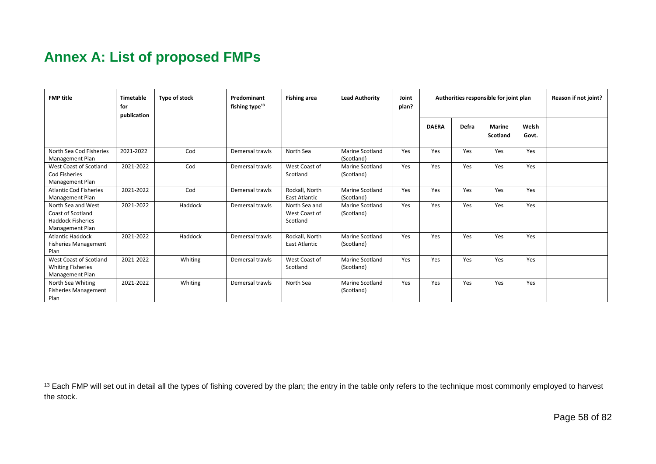## **Annex A: List of proposed FMPs**

| <b>FMP title</b>                                                                       | Timetable<br>for<br>publication | <b>Type of stock</b> | Predominant<br>fishing type <sup>13</sup> | <b>Fishing area</b>                        | <b>Lead Authority</b>                | Joint<br>plan? | Authorities responsible for joint plan |       | Reason if not joint?      |                |  |
|----------------------------------------------------------------------------------------|---------------------------------|----------------------|-------------------------------------------|--------------------------------------------|--------------------------------------|----------------|----------------------------------------|-------|---------------------------|----------------|--|
|                                                                                        |                                 |                      |                                           |                                            |                                      |                | <b>DAERA</b>                           | Defra | <b>Marine</b><br>Scotland | Welsh<br>Govt. |  |
| North Sea Cod Fisheries<br><b>Management Plan</b>                                      | 2021-2022                       | Cod                  | Demersal trawls                           | North Sea                                  | <b>Marine Scotland</b><br>(Scotland) | Yes            | Yes                                    | Yes   | Yes                       | Yes            |  |
| West Coast of Scotland<br>Cod Fisheries<br>Management Plan                             | 2021-2022                       | Cod                  | Demersal trawls                           | West Coast of<br>Scotland                  | Marine Scotland<br>(Scotland)        | Yes            | Yes                                    | Yes   | Yes                       | Yes            |  |
| <b>Atlantic Cod Fisheries</b><br>Management Plan                                       | 2021-2022                       | Cod                  | Demersal trawls                           | Rockall, North<br><b>East Atlantic</b>     | Marine Scotland<br>(Scotland)        | Yes            | Yes                                    | Yes   | Yes                       | Yes            |  |
| North Sea and West<br>Coast of Scotland<br><b>Haddock Fisheries</b><br>Management Plan | 2021-2022                       | Haddock              | Demersal trawls                           | North Sea and<br>West Coast of<br>Scotland | Marine Scotland<br>(Scotland)        | Yes            | Yes                                    | Yes   | Yes                       | Yes            |  |
| <b>Atlantic Haddock</b><br><b>Fisheries Management</b><br>Plan                         | 2021-2022                       | Haddock              | Demersal trawls                           | Rockall, North<br><b>East Atlantic</b>     | <b>Marine Scotland</b><br>(Scotland) | Yes            | Yes                                    | Yes   | Yes                       | Yes            |  |
| West Coast of Scotland<br><b>Whiting Fisheries</b><br>Management Plan                  | 2021-2022                       | Whiting              | Demersal trawls                           | West Coast of<br>Scotland                  | <b>Marine Scotland</b><br>(Scotland) | Yes            | Yes                                    | Yes   | Yes                       | Yes            |  |
| North Sea Whiting<br><b>Fisheries Management</b><br>Plan                               | 2021-2022                       | Whiting              | Demersal trawls                           | North Sea                                  | <b>Marine Scotland</b><br>(Scotland) | Yes            | Yes                                    | Yes   | Yes                       | Yes            |  |

<sup>13</sup> Each FMP will set out in detail all the types of fishing covered by the plan; the entry in the table only refers to the technique most commonly employed to harvest the stock.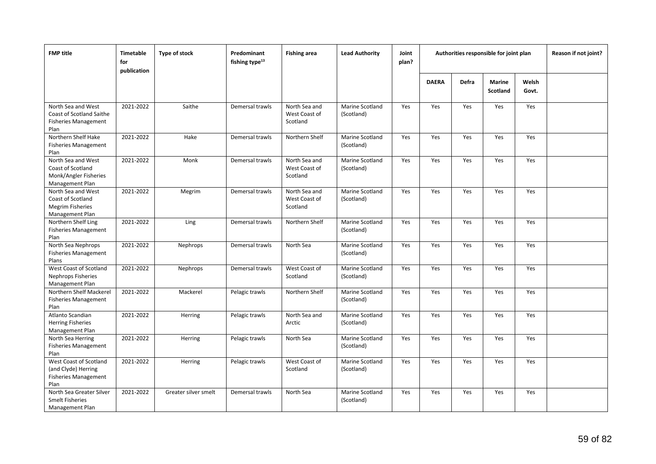| <b>FMP title</b>                                                                           | Timetable<br>for<br>publication | Type of stock        | Predominant<br>fishing type <sup>13</sup> | <b>Fishing area</b>                        | <b>Lead Authority</b>                | Joint<br>plan? | Authorities responsible for joint plan |       | Reason if not joint?             |                |  |
|--------------------------------------------------------------------------------------------|---------------------------------|----------------------|-------------------------------------------|--------------------------------------------|--------------------------------------|----------------|----------------------------------------|-------|----------------------------------|----------------|--|
|                                                                                            |                                 |                      |                                           |                                            |                                      |                | <b>DAERA</b>                           | Defra | <b>Marine</b><br><b>Scotland</b> | Welsh<br>Govt. |  |
| North Sea and West<br>Coast of Scotland Saithe<br><b>Fisheries Management</b><br>Plan      | 2021-2022                       | Saithe               | Demersal trawls                           | North Sea and<br>West Coast of<br>Scotland | <b>Marine Scotland</b><br>(Scotland) | Yes            | Yes                                    | Yes   | Yes                              | Yes            |  |
| Northern Shelf Hake<br><b>Fisheries Management</b><br>Plan                                 | 2021-2022                       | Hake                 | Demersal trawls                           | Northern Shelf                             | Marine Scotland<br>(Scotland)        | Yes            | Yes                                    | Yes   | Yes                              | Yes            |  |
| North Sea and West<br>Coast of Scotland<br>Monk/Angler Fisheries<br><b>Management Plan</b> | 2021-2022                       | Monk                 | Demersal trawls                           | North Sea and<br>West Coast of<br>Scotland | Marine Scotland<br>(Scotland)        | Yes            | Yes                                    | Yes   | Yes                              | Yes            |  |
| North Sea and West<br>Coast of Scotland<br><b>Megrim Fisheries</b><br>Management Plan      | 2021-2022                       | Megrim               | Demersal trawls                           | North Sea and<br>West Coast of<br>Scotland | Marine Scotland<br>(Scotland)        | Yes            | Yes                                    | Yes   | Yes                              | Yes            |  |
| Northern Shelf Ling<br><b>Fisheries Management</b><br>Plan                                 | 2021-2022                       | Ling                 | Demersal trawls                           | Northern Shelf                             | Marine Scotland<br>(Scotland)        | Yes            | Yes                                    | Yes   | Yes                              | Yes            |  |
| North Sea Nephrops<br><b>Fisheries Management</b><br>Plans                                 | 2021-2022                       | Nephrops             | Demersal trawls                           | North Sea                                  | Marine Scotland<br>(Scotland)        | Yes            | Yes                                    | Yes   | Yes                              | Yes            |  |
| West Coast of Scotland<br>Nephrops Fisheries<br><b>Management Plan</b>                     | 2021-2022                       | Nephrops             | Demersal trawls                           | West Coast of<br>Scotland                  | Marine Scotland<br>(Scotland)        | Yes            | Yes                                    | Yes   | Yes                              | Yes            |  |
| Northern Shelf Mackerel<br><b>Fisheries Management</b><br>Plan                             | 2021-2022                       | Mackerel             | Pelagic trawls                            | Northern Shelf                             | <b>Marine Scotland</b><br>(Scotland) | Yes            | Yes                                    | Yes   | Yes                              | Yes            |  |
| Atlanto Scandian<br><b>Herring Fisheries</b><br><b>Management Plan</b>                     | 2021-2022                       | Herring              | Pelagic trawls                            | North Sea and<br>Arctic                    | Marine Scotland<br>(Scotland)        | Yes            | Yes                                    | Yes   | Yes                              | Yes            |  |
| North Sea Herring<br><b>Fisheries Management</b><br>Plan                                   | 2021-2022                       | Herring              | Pelagic trawls                            | North Sea                                  | Marine Scotland<br>(Scotland)        | Yes            | Yes                                    | Yes   | Yes                              | Yes            |  |
| West Coast of Scotland<br>(and Clyde) Herring<br><b>Fisheries Management</b><br>Plan       | 2021-2022                       | Herring              | Pelagic trawls                            | West Coast of<br>Scotland                  | Marine Scotland<br>(Scotland)        | Yes            | Yes                                    | Yes   | Yes                              | Yes            |  |
| North Sea Greater Silver<br><b>Smelt Fisheries</b><br><b>Management Plan</b>               | 2021-2022                       | Greater silver smelt | Demersal trawls                           | North Sea                                  | Marine Scotland<br>(Scotland)        | Yes            | Yes                                    | Yes   | Yes                              | Yes            |  |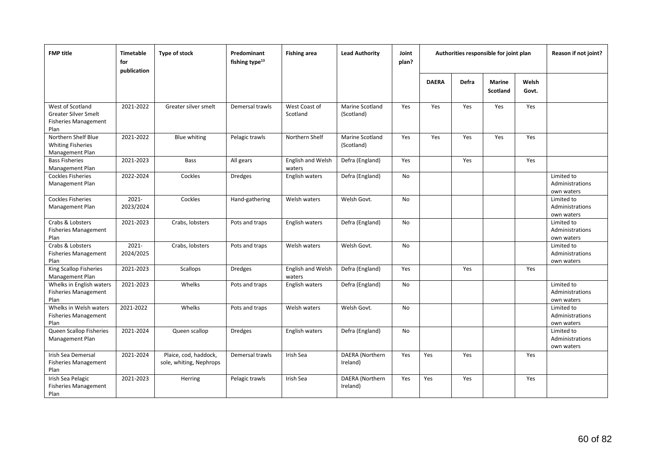| <b>FMP title</b>                                                                       | Timetable<br>for<br>publication | Type of stock                                    | Predominant<br>fishing type <sup>13</sup> | <b>Fishing area</b>                | <b>Lead Authority</b>                | Joint<br>plan? | Authorities responsible for joint plan |       | Reason if not joint?             |                |                                             |
|----------------------------------------------------------------------------------------|---------------------------------|--------------------------------------------------|-------------------------------------------|------------------------------------|--------------------------------------|----------------|----------------------------------------|-------|----------------------------------|----------------|---------------------------------------------|
|                                                                                        |                                 |                                                  |                                           |                                    |                                      |                | <b>DAERA</b>                           | Defra | <b>Marine</b><br><b>Scotland</b> | Welsh<br>Govt. |                                             |
| West of Scotland<br><b>Greater Silver Smelt</b><br><b>Fisheries Management</b><br>Plan | 2021-2022                       | Greater silver smelt                             | Demersal trawls                           | West Coast of<br>Scotland          | <b>Marine Scotland</b><br>(Scotland) | Yes            | Yes                                    | Yes   | Yes                              | Yes            |                                             |
| Northern Shelf Blue<br><b>Whiting Fisheries</b><br>Management Plan                     | 2021-2022                       | <b>Blue whiting</b>                              | Pelagic trawls                            | Northern Shelf                     | Marine Scotland<br>(Scotland)        | Yes            | Yes                                    | Yes   | Yes                              | Yes            |                                             |
| <b>Bass Fisheries</b><br><b>Management Plan</b>                                        | 2021-2023                       | Bass                                             | All gears                                 | <b>English and Welsh</b><br>waters | Defra (England)                      | Yes            |                                        | Yes   |                                  | Yes            |                                             |
| <b>Cockles Fisheries</b><br>Management Plan                                            | 2022-2024                       | Cockles                                          | <b>Dredges</b>                            | English waters                     | Defra (England)                      | <b>No</b>      |                                        |       |                                  |                | Limited to<br>Administrations<br>own waters |
| <b>Cockles Fisheries</b><br><b>Management Plan</b>                                     | $2021 -$<br>2023/2024           | Cockles                                          | Hand-gathering                            | Welsh waters                       | Welsh Govt.                          | <b>No</b>      |                                        |       |                                  |                | Limited to<br>Administrations<br>own waters |
| Crabs & Lobsters<br><b>Fisheries Management</b><br>Plan                                | 2021-2023                       | Crabs, lobsters                                  | Pots and traps                            | English waters                     | Defra (England)                      | No             |                                        |       |                                  |                | Limited to<br>Administrations<br>own waters |
| Crabs & Lobsters<br><b>Fisheries Management</b><br>Plan                                | $2021 -$<br>2024/2025           | Crabs, lobsters                                  | Pots and traps                            | Welsh waters                       | Welsh Govt.                          | <b>No</b>      |                                        |       |                                  |                | Limited to<br>Administrations<br>own waters |
| King Scallop Fisheries<br><b>Management Plan</b>                                       | 2021-2023                       | Scallops                                         | <b>Dredges</b>                            | English and Welsh<br>waters        | Defra (England)                      | Yes            |                                        | Yes   |                                  | Yes            |                                             |
| Whelks in English waters<br><b>Fisheries Management</b><br>Plan                        | 2021-2023                       | Whelks                                           | Pots and traps                            | English waters                     | Defra (England)                      | <b>No</b>      |                                        |       |                                  |                | Limited to<br>Administrations<br>own waters |
| Whelks in Welsh waters<br><b>Fisheries Management</b><br>Plan                          | 2021-2022                       | Whelks                                           | Pots and traps                            | Welsh waters                       | Welsh Govt.                          | <b>No</b>      |                                        |       |                                  |                | Limited to<br>Administrations<br>own waters |
| Queen Scallop Fisheries<br>Management Plan                                             | 2021-2024                       | Queen scallop                                    | <b>Dredges</b>                            | English waters                     | Defra (England)                      | No             |                                        |       |                                  |                | Limited to<br>Administrations<br>own waters |
| Irish Sea Demersal<br><b>Fisheries Management</b><br>Plan                              | 2021-2024                       | Plaice, cod, haddock,<br>sole, whiting, Nephrops | Demersal trawls                           | Irish Sea                          | DAERA (Northern<br>Ireland)          | Yes            | Yes                                    | Yes   |                                  | Yes            |                                             |
| Irish Sea Pelagic<br><b>Fisheries Management</b><br>Plan                               | 2021-2023                       | Herring                                          | Pelagic trawls                            | Irish Sea                          | DAERA (Northern<br>Ireland)          | Yes            | Yes                                    | Yes   |                                  | Yes            |                                             |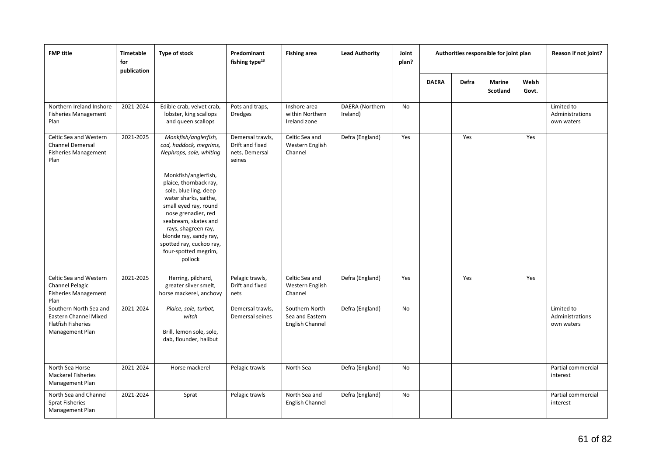| <b>FMP title</b>                                                                                       | Timetable<br>for<br>publication | Type of stock                                                                                                                                                                                                                                                                                                                                                         | Predominant<br>fishing type <sup>13</sup>                       | <b>Fishing area</b>                                  | <b>Lead Authority</b>       | Joint<br>plan? | Authorities responsible for joint plan |       |                                  | Reason if not joint? |                                             |
|--------------------------------------------------------------------------------------------------------|---------------------------------|-----------------------------------------------------------------------------------------------------------------------------------------------------------------------------------------------------------------------------------------------------------------------------------------------------------------------------------------------------------------------|-----------------------------------------------------------------|------------------------------------------------------|-----------------------------|----------------|----------------------------------------|-------|----------------------------------|----------------------|---------------------------------------------|
|                                                                                                        |                                 |                                                                                                                                                                                                                                                                                                                                                                       |                                                                 |                                                      |                             |                | <b>DAERA</b>                           | Defra | <b>Marine</b><br><b>Scotland</b> | Welsh<br>Govt.       |                                             |
| Northern Ireland Inshore<br><b>Fisheries Management</b><br>Plan                                        | 2021-2024                       | Edible crab, velvet crab,<br>lobster, king scallops<br>and queen scallops                                                                                                                                                                                                                                                                                             | Pots and traps,<br><b>Dredges</b>                               | Inshore area<br>within Northern<br>Ireland zone      | DAERA (Northern<br>Ireland) | No             |                                        |       |                                  |                      | Limited to<br>Administrations<br>own waters |
| Celtic Sea and Western<br><b>Channel Demersal</b><br><b>Fisheries Management</b><br>Plan               | 2021-2025                       | Monkfish/anglerfish,<br>cod, haddock, megrims,<br>Nephrops, sole, whiting<br>Monkfish/anglerfish,<br>plaice, thornback ray,<br>sole, blue ling, deep<br>water sharks, saithe,<br>small eyed ray, round<br>nose grenadier, red<br>seabream, skates and<br>rays, shagreen ray,<br>blonde ray, sandy ray,<br>spotted ray, cuckoo ray,<br>four-spotted megrim,<br>pollock | Demersal trawls.<br>Drift and fixed<br>nets, Demersal<br>seines | Celtic Sea and<br>Western English<br>Channel         | Defra (England)             | Yes            |                                        | Yes   |                                  | Yes                  |                                             |
| Celtic Sea and Western<br><b>Channel Pelagic</b><br><b>Fisheries Management</b><br>Plan                | 2021-2025                       | Herring, pilchard,<br>greater silver smelt,<br>horse mackerel, anchovy                                                                                                                                                                                                                                                                                                | Pelagic trawls,<br>Drift and fixed<br>nets                      | Celtic Sea and<br>Western English<br>Channel         | Defra (England)             | Yes            |                                        | Yes   |                                  | Yes                  |                                             |
| Southern North Sea and<br><b>Eastern Channel Mixed</b><br><b>Flatfish Fisheries</b><br>Management Plan | 2021-2024                       | Plaice, sole, turbot,<br>witch<br>Brill, lemon sole, sole,<br>dab, flounder, halibut                                                                                                                                                                                                                                                                                  | Demersal trawls,<br>Demersal seines                             | Southern North<br>Sea and Eastern<br>English Channel | Defra (England)             | No             |                                        |       |                                  |                      | Limited to<br>Administrations<br>own waters |
| North Sea Horse<br><b>Mackerel Fisheries</b><br>Management Plan                                        | 2021-2024                       | Horse mackerel                                                                                                                                                                                                                                                                                                                                                        | Pelagic trawls                                                  | North Sea                                            | Defra (England)             | No             |                                        |       |                                  |                      | Partial commercial<br>interest              |
| North Sea and Channel<br><b>Sprat Fisheries</b><br>Management Plan                                     | 2021-2024                       | Sprat                                                                                                                                                                                                                                                                                                                                                                 | Pelagic trawls                                                  | North Sea and<br>English Channel                     | Defra (England)             | No             |                                        |       |                                  |                      | Partial commercial<br>interest              |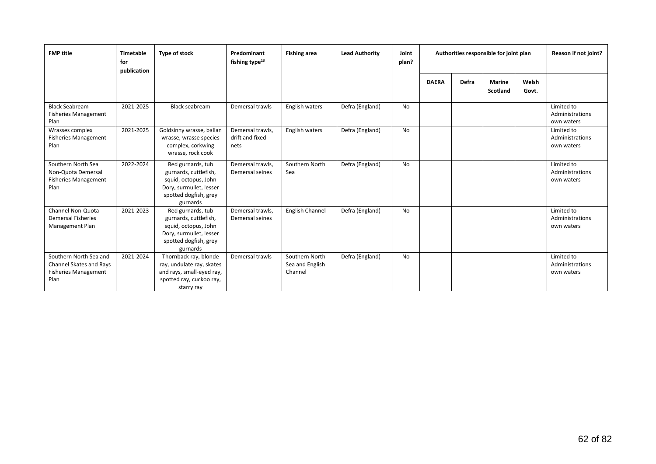| <b>FMP title</b>                                                                         | Timetable<br>for<br>publication | Type of stock                                                                                                                      | Predominant<br>fishing type <sup>13</sup>   | <b>Fishing area</b>                          | <b>Lead Authority</b> | Joint<br>plan? | Authorities responsible for joint plan |              |                           |                | Reason if not joint?                        |
|------------------------------------------------------------------------------------------|---------------------------------|------------------------------------------------------------------------------------------------------------------------------------|---------------------------------------------|----------------------------------------------|-----------------------|----------------|----------------------------------------|--------------|---------------------------|----------------|---------------------------------------------|
|                                                                                          |                                 |                                                                                                                                    |                                             |                                              |                       |                | <b>DAERA</b>                           | <b>Defra</b> | <b>Marine</b><br>Scotland | Welsh<br>Govt. |                                             |
| <b>Black Seabream</b><br><b>Fisheries Management</b><br>Plan                             | 2021-2025                       | <b>Black seabream</b>                                                                                                              | Demersal trawls                             | English waters                               | Defra (England)       | No             |                                        |              |                           |                | Limited to<br>Administrations<br>own waters |
| Wrasses complex<br><b>Fisheries Management</b><br>Plan                                   | 2021-2025                       | Goldsinny wrasse, ballan<br>wrasse, wrasse species<br>complex, corkwing<br>wrasse, rock cook                                       | Demersal trawls,<br>drift and fixed<br>nets | English waters                               | Defra (England)       | No             |                                        |              |                           |                | Limited to<br>Administrations<br>own waters |
| Southern North Sea<br>Non-Quota Demersal<br><b>Fisheries Management</b><br>Plan          | 2022-2024                       | Red gurnards, tub<br>gurnards, cuttlefish,<br>squid, octopus, John<br>Dory, surmullet, lesser<br>spotted dogfish, grey<br>gurnards | Demersal trawls,<br>Demersal seines         | Southern North<br>Sea                        | Defra (England)       | No             |                                        |              |                           |                | Limited to<br>Administrations<br>own waters |
| Channel Non-Quota<br><b>Demersal Fisheries</b><br>Management Plan                        | 2021-2023                       | Red gurnards, tub<br>gurnards, cuttlefish,<br>squid, octopus, John<br>Dory, surmullet, lesser<br>spotted dogfish, grey<br>gurnards | Demersal trawls,<br>Demersal seines         | <b>English Channel</b>                       | Defra (England)       | No             |                                        |              |                           |                | Limited to<br>Administrations<br>own waters |
| Southern North Sea and<br>Channel Skates and Rays<br><b>Fisheries Management</b><br>Plan | 2021-2024                       | Thornback ray, blonde<br>ray, undulate ray, skates<br>and rays, small-eyed ray,<br>spotted ray, cuckoo ray,<br>starry ray          | Demersal trawls                             | Southern North<br>Sea and English<br>Channel | Defra (England)       | No             |                                        |              |                           |                | Limited to<br>Administrations<br>own waters |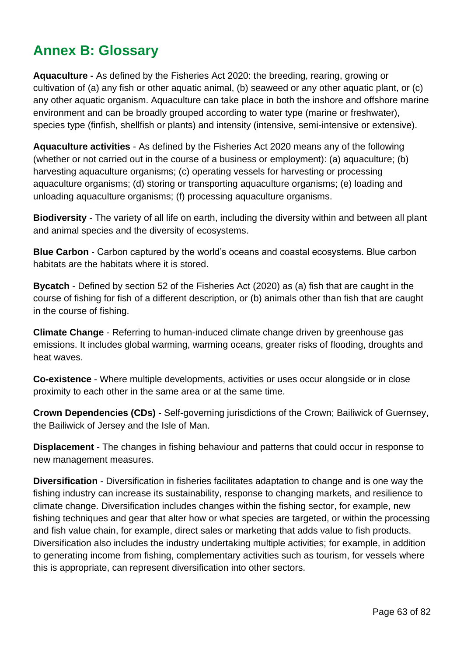## **Annex B: Glossary**

**Aquaculture -** As defined by the Fisheries Act 2020: the breeding, rearing, growing or cultivation of (a) any fish or other aquatic animal, (b) seaweed or any other aquatic plant, or (c) any other aquatic organism. Aquaculture can take place in both the inshore and offshore marine environment and can be broadly grouped according to water type (marine or freshwater), species type (finfish, shellfish or plants) and intensity (intensive, semi-intensive or extensive).

**Aquaculture activities** - As defined by the Fisheries Act 2020 means any of the following (whether or not carried out in the course of a business or employment): (a) aquaculture; (b) harvesting aquaculture organisms; (c) operating vessels for harvesting or processing aquaculture organisms; (d) storing or transporting aquaculture organisms; (e) loading and unloading aquaculture organisms; (f) processing aquaculture organisms.

**Biodiversity** - The variety of all life on earth, including the diversity within and between all plant and animal species and the diversity of ecosystems.

**Blue Carbon** - Carbon captured by the world's oceans and coastal ecosystems. Blue carbon habitats are the habitats where it is stored.

**Bycatch** - Defined by section 52 of the Fisheries Act (2020) as (a) fish that are caught in the course of fishing for fish of a different description, or (b) animals other than fish that are caught in the course of fishing.

**Climate Change** - Referring to human-induced climate change driven by greenhouse gas emissions. It includes global warming, warming oceans, greater risks of flooding, droughts and heat waves.

**Co-existence** - Where multiple developments, activities or uses occur alongside or in close proximity to each other in the same area or at the same time.

**Crown Dependencies (CDs)** - Self-governing jurisdictions of the Crown; Bailiwick of Guernsey, the Bailiwick of Jersey and the Isle of Man.

**Displacement** - The changes in fishing behaviour and patterns that could occur in response to new management measures.

**Diversification** - Diversification in fisheries facilitates adaptation to change and is one way the fishing industry can increase its sustainability, response to changing markets, and resilience to climate change. Diversification includes changes within the fishing sector, for example, new fishing techniques and gear that alter how or what species are targeted, or within the processing and fish value chain, for example, direct sales or marketing that adds value to fish products. Diversification also includes the industry undertaking multiple activities; for example, in addition to generating income from fishing, complementary activities such as tourism, for vessels where this is appropriate, can represent diversification into other sectors.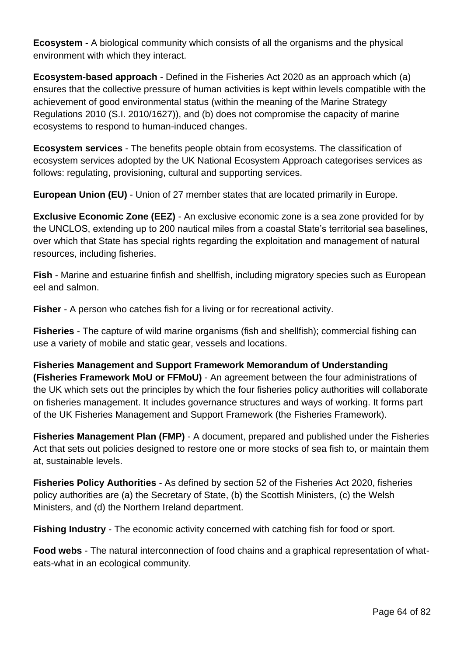**Ecosystem** - A biological community which consists of all the organisms and the physical environment with which they interact.

**Ecosystem-based approach** - Defined in the Fisheries Act 2020 as an approach which (a) ensures that the collective pressure of human activities is kept within levels compatible with the achievement of good environmental status (within the meaning of the Marine Strategy Regulations 2010 (S.I. 2010/1627)), and (b) does not compromise the capacity of marine ecosystems to respond to human-induced changes.

**Ecosystem services** - The benefits people obtain from ecosystems. The classification of ecosystem services adopted by the UK National Ecosystem Approach categorises services as follows: regulating, provisioning, cultural and supporting services.

**European Union (EU)** - Union of 27 member states that are located primarily in Europe.

**Exclusive Economic Zone (EEZ)** - An exclusive economic zone is a sea zone provided for by the UNCLOS, extending up to 200 nautical miles from a coastal State's territorial sea baselines, over which that State has special rights regarding the exploitation and management of natural resources, including fisheries.

**Fish** - Marine and estuarine finfish and shellfish, including migratory species such as European eel and salmon.

**Fisher** - A person who catches fish for a living or for recreational activity.

**Fisheries** - The capture of wild marine organisms (fish and shellfish); commercial fishing can use a variety of mobile and static gear, vessels and locations.

**Fisheries Management and Support Framework Memorandum of Understanding (Fisheries Framework MoU or FFMoU)** - An agreement between the four administrations of the UK which sets out the principles by which the four fisheries policy authorities will collaborate on fisheries management. It includes governance structures and ways of working. It forms part of the UK Fisheries Management and Support Framework (the Fisheries Framework).

**Fisheries Management Plan (FMP)** - A document, prepared and published under the Fisheries Act that sets out policies designed to restore one or more stocks of sea fish to, or maintain them at, sustainable levels.

**Fisheries Policy Authorities** - As defined by section 52 of the Fisheries Act 2020, fisheries policy authorities are (a) the Secretary of State, (b) the Scottish Ministers, (c) the Welsh Ministers, and (d) the Northern Ireland department.

**Fishing Industry** - The economic activity concerned with catching fish for food or sport.

**Food webs** - The natural interconnection of food chains and a graphical representation of whateats-what in an ecological community.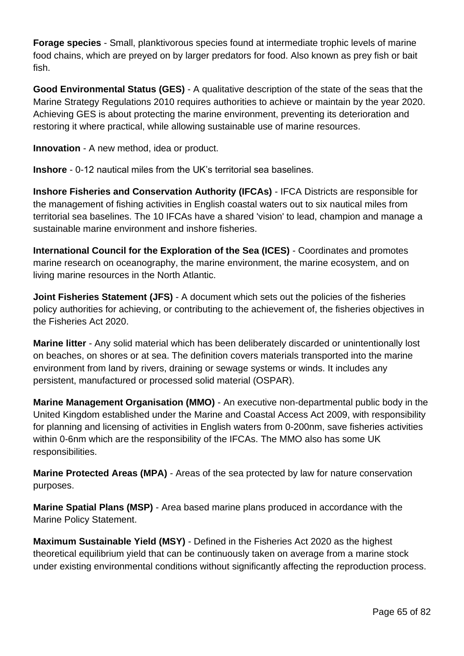**Forage species** - Small, planktivorous species found at intermediate trophic levels of marine food chains, which are preyed on by larger predators for food. Also known as prey fish or bait fish.

**Good Environmental Status (GES)** - A qualitative description of the state of the seas that the Marine Strategy Regulations 2010 requires authorities to achieve or maintain by the year 2020. Achieving GES is about protecting the marine environment, preventing its deterioration and restoring it where practical, while allowing sustainable use of marine resources.

**Innovation** - A new method, idea or product.

**Inshore** - 0-12 nautical miles from the UK's territorial sea baselines.

**Inshore Fisheries and Conservation Authority (IFCAs)** - IFCA Districts are responsible for the management of fishing activities in English coastal waters out to six nautical miles from territorial sea baselines. The 10 IFCAs have a shared 'vision' to lead, champion and manage a sustainable marine environment and inshore fisheries.

**International Council for the Exploration of the Sea (ICES)** - Coordinates and promotes marine research on oceanography, the marine environment, the marine ecosystem, and on living marine resources in the North Atlantic.

**Joint Fisheries Statement (JFS)** - A document which sets out the policies of the fisheries policy authorities for achieving, or contributing to the achievement of, the fisheries objectives in the Fisheries Act 2020.

**Marine litter** - Any solid material which has been deliberately discarded or unintentionally lost on beaches, on shores or at sea. The definition covers materials transported into the marine environment from land by rivers, draining or sewage systems or winds. It includes any persistent, manufactured or processed solid material (OSPAR).

**Marine Management Organisation (MMO)** - An executive non-departmental public body in the United Kingdom established under the Marine and Coastal Access Act 2009, with responsibility for planning and licensing of activities in English waters from 0-200nm, save fisheries activities within 0-6nm which are the responsibility of the IFCAs. The MMO also has some UK responsibilities.

**Marine Protected Areas (MPA)** - Areas of the sea protected by law for nature conservation purposes.

**Marine Spatial Plans (MSP)** - Area based marine plans produced in accordance with the Marine Policy Statement.

**Maximum Sustainable Yield (MSY)** - Defined in the Fisheries Act 2020 as the highest theoretical equilibrium yield that can be continuously taken on average from a marine stock under existing environmental conditions without significantly affecting the reproduction process.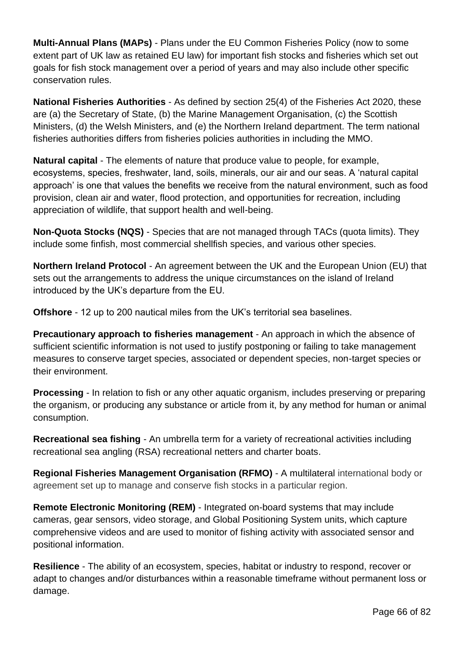**Multi-Annual Plans (MAPs)** - Plans under the EU Common Fisheries Policy (now to some extent part of UK law as retained EU law) for important fish stocks and fisheries which set out goals for fish stock management over a period of years and may also include other specific conservation rules.

**National Fisheries Authorities** - As defined by section 25(4) of the Fisheries Act 2020, these are (a) the Secretary of State, (b) the Marine Management Organisation, (c) the Scottish Ministers, (d) the Welsh Ministers, and (e) the Northern Ireland department. The term national fisheries authorities differs from fisheries policies authorities in including the MMO.

**Natural capital** - The elements of nature that produce value to people, for example, ecosystems, species, freshwater, land, soils, minerals, our air and our seas. A 'natural capital approach' is one that values the benefits we receive from the natural environment, such as food provision, clean air and water, flood protection, and opportunities for recreation, including appreciation of wildlife, that support health and well-being.

**Non-Quota Stocks (NQS)** - Species that are not managed through TACs (quota limits). They include some finfish, most commercial shellfish species, and various other species.

**Northern Ireland Protocol** - An agreement between the UK and the European Union (EU) that sets out the arrangements to address the unique circumstances on the island of Ireland introduced by the UK's departure from the EU.

**Offshore** - 12 up to 200 nautical miles from the UK's territorial sea baselines.

**Precautionary approach to fisheries management** - An approach in which the absence of sufficient scientific information is not used to justify postponing or failing to take management measures to conserve target species, associated or dependent species, non-target species or their environment.

**Processing** - In relation to fish or any other aquatic organism, includes preserving or preparing the organism, or producing any substance or article from it, by any method for human or animal consumption.

**Recreational sea fishing** - An umbrella term for a variety of recreational activities including recreational sea angling (RSA) recreational netters and charter boats.

**Regional Fisheries Management Organisation (RFMO)** - A multilateral international body or agreement set up to manage and conserve fish stocks in a particular region.

**Remote Electronic Monitoring (REM)** - Integrated on-board systems that may include cameras, gear sensors, video storage, and Global Positioning System units, which capture comprehensive videos and are used to monitor of fishing activity with associated sensor and positional information.

**Resilience** - The ability of an ecosystem, species, habitat or industry to respond, recover or adapt to changes and/or disturbances within a reasonable timeframe without permanent loss or damage.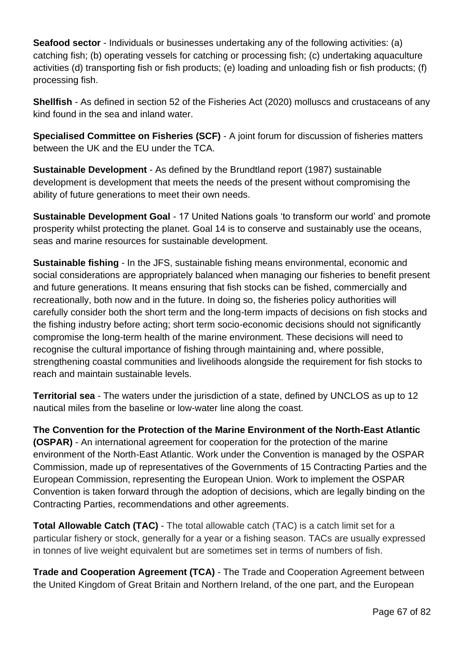**Seafood sector** - Individuals or businesses undertaking any of the following activities: (a) catching fish; (b) operating vessels for catching or processing fish; (c) undertaking aquaculture activities (d) transporting fish or fish products; (e) loading and unloading fish or fish products; (f) processing fish.

**Shellfish** - As defined in section 52 of the Fisheries Act (2020) molluscs and crustaceans of any kind found in the sea and inland water.

**Specialised Committee on Fisheries (SCF)** - A joint forum for discussion of fisheries matters between the UK and the EU under the TCA.

**Sustainable Development** - As defined by the Brundtland report (1987) sustainable development is development that meets the needs of the present without compromising the ability of future generations to meet their own needs.

**Sustainable Development Goal** - 17 United Nations goals 'to transform our world' and promote prosperity whilst protecting the planet. Goal 14 is to conserve and sustainably use the oceans, seas and marine resources for sustainable development.

**Sustainable fishing** - In the JFS, sustainable fishing means environmental, economic and social considerations are appropriately balanced when managing our fisheries to benefit present and future generations. It means ensuring that fish stocks can be fished, commercially and recreationally, both now and in the future. In doing so, the fisheries policy authorities will carefully consider both the short term and the long-term impacts of decisions on fish stocks and the fishing industry before acting; short term socio-economic decisions should not significantly compromise the long-term health of the marine environment. These decisions will need to recognise the cultural importance of fishing through maintaining and, where possible, strengthening coastal communities and livelihoods alongside the requirement for fish stocks to reach and maintain sustainable levels.

**Territorial sea** - The waters under the jurisdiction of a state, defined by UNCLOS as up to 12 nautical miles from the baseline or low-water line along the coast.

**The Convention for the Protection of the Marine Environment of the North-East Atlantic (OSPAR)** - An international agreement for cooperation for the protection of the marine environment of the North-East Atlantic. Work under the Convention is managed by the OSPAR Commission, made up of representatives of the Governments of 15 Contracting Parties and the European Commission, representing the European Union. Work to implement the OSPAR Convention is taken forward through the adoption of decisions, which are legally binding on the Contracting Parties, recommendations and other agreements.

**Total Allowable Catch (TAC)** - The total allowable catch (TAC) is a catch limit set for a particular fishery or stock, generally for a year or a fishing season. TACs are usually expressed in tonnes of live weight equivalent but are sometimes set in terms of numbers of fish.

**Trade and Cooperation Agreement (TCA)** - The Trade and Cooperation Agreement between the United Kingdom of Great Britain and Northern Ireland, of the one part, and the European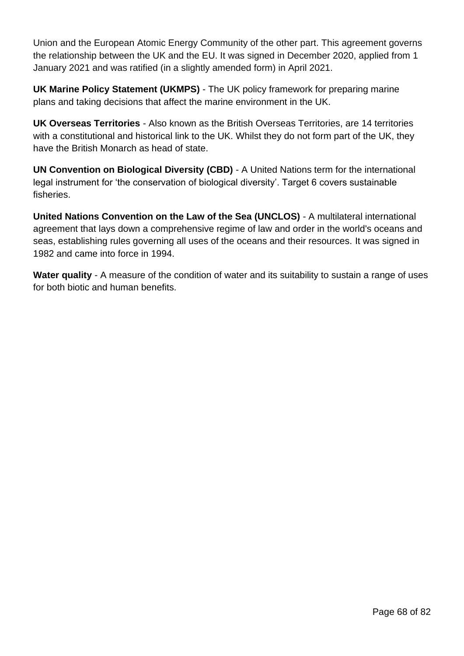Union and the European Atomic Energy Community of the other part. This agreement governs the relationship between the UK and the EU. It was signed in December 2020, applied from 1 January 2021 and was ratified (in a slightly amended form) in April 2021.

**UK Marine Policy Statement (UKMPS)** - The UK policy framework for preparing marine plans and taking decisions that affect the marine environment in the UK.

**UK Overseas Territories** - Also known as the British Overseas Territories, are 14 territories with a constitutional and historical link to the UK. Whilst they do not form part of the UK, they have the British Monarch as head of state.

**UN Convention on Biological Diversity (CBD)** - A United Nations term for the international legal instrument for 'the conservation of biological diversity'. Target 6 covers sustainable fisheries.

**United Nations Convention on the Law of the Sea (UNCLOS)** - A multilateral international agreement that lays down a comprehensive regime of law and order in the world's oceans and seas, establishing rules governing all uses of the oceans and their resources. It was signed in 1982 and came into force in 1994.

**Water quality** - A measure of the condition of water and its suitability to sustain a range of uses for both biotic and human benefits.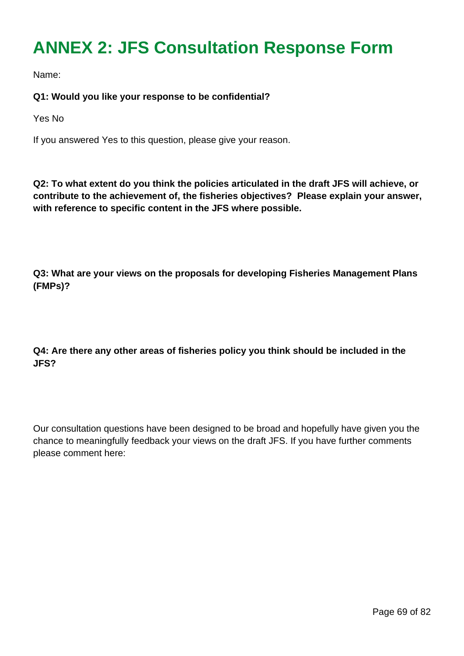## **ANNEX 2: JFS Consultation Response Form**

Name:

### **Q1: Would you like your response to be confidential?**

Yes No

If you answered Yes to this question, please give your reason.

**Q2: To what extent do you think the policies articulated in the draft JFS will achieve, or contribute to the achievement of, the fisheries objectives? Please explain your answer, with reference to specific content in the JFS where possible.**

**Q3: What are your views on the proposals for developing Fisheries Management Plans (FMPs)?**

**Q4: Are there any other areas of fisheries policy you think should be included in the JFS?** 

Our consultation questions have been designed to be broad and hopefully have given you the chance to meaningfully feedback your views on the draft JFS. If you have further comments please comment here: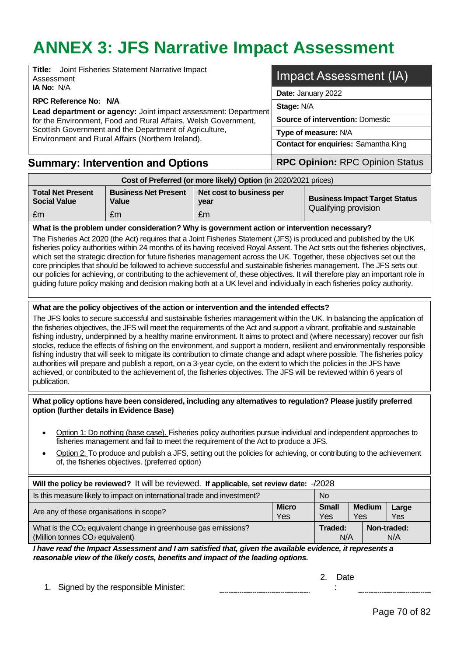## **ANNEX 3: JFS Narrative Impact Assessment**

| <b>Title:</b> Joint Fisheries Statement Narrative Impact<br>Assessment                                      | Impact Assessment (IA)                      |  |  |  |  |  |
|-------------------------------------------------------------------------------------------------------------|---------------------------------------------|--|--|--|--|--|
| <b>IA No: N/A</b>                                                                                           | Date: January 2022                          |  |  |  |  |  |
| RPC Reference No: N/A<br>Lead department or agency: Joint impact assessment: Department                     | <b>Stage: N/A</b>                           |  |  |  |  |  |
| for the Environment, Food and Rural Affairs, Welsh Government,                                              | <b>Source of intervention: Domestic</b>     |  |  |  |  |  |
| Scottish Government and the Department of Agriculture,<br>Environment and Rural Affairs (Northern Ireland). | Type of measure: N/A                        |  |  |  |  |  |
|                                                                                                             | <b>Contact for enquiries: Samantha King</b> |  |  |  |  |  |
| <b>Summary: Intervention and Options</b>                                                                    | <b>RPC Opinion: RPC Opinion Status</b>      |  |  |  |  |  |

| Cost of Preferred (or more likely) Option (in 2020/2021 prices) |                                      |                                  |                                      |  |  |  |  |  |
|-----------------------------------------------------------------|--------------------------------------|----------------------------------|--------------------------------------|--|--|--|--|--|
| <b>Total Net Present</b><br><b>Social Value</b>                 | <b>Business Net Present</b><br>Value | Net cost to business per<br>vear | <b>Business Impact Target Status</b> |  |  |  |  |  |
| £m                                                              | £m                                   | £m                               | Qualifying provision                 |  |  |  |  |  |

### **What is the problem under consideration? Why is government action or intervention necessary?**

The Fisheries Act 2020 (the Act) requires that a Joint Fisheries Statement (JFS) is produced and published by the UK fisheries policy authorities within 24 months of its having received Royal Assent. The Act sets out the fisheries objectives, which set the strategic direction for future fisheries management across the UK. Together, these objectives set out the core principles that should be followed to achieve successful and sustainable fisheries management. The JFS sets out our policies for achieving, or contributing to the achievement of, these objectives. It will therefore play an important role in guiding future policy making and decision making both at a UK level and individually in each fisheries policy authority.

### **What are the policy objectives of the action or intervention and the intended effects?**

The JFS looks to secure successful and sustainable fisheries management within the UK. In balancing the application of the fisheries objectives, the JFS will meet the requirements of the Act and support a vibrant, profitable and sustainable fishing industry, underpinned by a healthy marine environment. It aims to protect and (where necessary) recover our fish stocks, reduce the effects of fishing on the environment, and support a modern, resilient and environmentally responsible fishing industry that will seek to mitigate its contribution to climate change and adapt where possible. The fisheries policy authorities will prepare and publish a report, on a 3-year cycle, on the extent to which the policies in the JFS have achieved, or contributed to the achievement of, the fisheries objectives. The JFS will be reviewed within 6 years of publication.

### **What policy options have been considered, including any alternatives to regulation? Please justify preferred option (further details in Evidence Base)**

- Option 1: Do nothing (base case). Fisheries policy authorities pursue individual and independent approaches to fisheries management and fail to meet the requirement of the Act to produce a JFS.
- Option 2: To produce and publish a JFS, setting out the policies for achieving, or contributing to the achievement of, the fisheries objectives. (preferred option)

| Will the policy be reviewed? It will be reviewed. If applicable, set review date: -/2028                                       |  |                |  |                    |  |  |  |  |
|--------------------------------------------------------------------------------------------------------------------------------|--|----------------|--|--------------------|--|--|--|--|
| Is this measure likely to impact on international trade and investment?<br><b>No</b>                                           |  |                |  |                    |  |  |  |  |
| <b>Medium</b><br><b>Micro</b><br><b>Small</b><br>Large<br>Are any of these organisations in scope?<br>Yes<br>Yes<br>Yes<br>Yes |  |                |  |                    |  |  |  |  |
| What is the CO <sub>2</sub> equivalent change in greenhouse gas emissions?<br>(Million tonnes CO <sub>2</sub> equivalent)      |  | Traded:<br>N/A |  | Non-traded:<br>N/A |  |  |  |  |

*I have read the Impact Assessment and I am satisfied that, given the available evidence, it represents a reasonable view of the likely costs, benefits and impact of the leading options.*

1. Signed by the responsible Minister:

2. Date :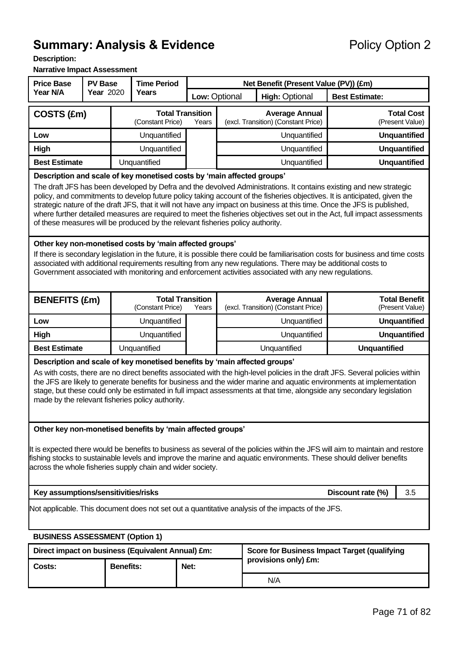## **Summary: Analysis & Evidence** Policy Option 2

### **Description:**

### **Narrative Impact Assessment**

| <b>Price Base</b>                                                                                                                                                                                                                                                                                                                                                                                                                                                                                                                                                                                                                                                    | <b>PV Base</b>   | <b>Time Period</b> |                                                   |                                  | Net Benefit (Present Value (PV)) (£m) |                                                              |                                                                                                   |                       |                                         |  |  |  |
|----------------------------------------------------------------------------------------------------------------------------------------------------------------------------------------------------------------------------------------------------------------------------------------------------------------------------------------------------------------------------------------------------------------------------------------------------------------------------------------------------------------------------------------------------------------------------------------------------------------------------------------------------------------------|------------------|--------------------|---------------------------------------------------|----------------------------------|---------------------------------------|--------------------------------------------------------------|---------------------------------------------------------------------------------------------------|-----------------------|-----------------------------------------|--|--|--|
| Year N/A                                                                                                                                                                                                                                                                                                                                                                                                                                                                                                                                                                                                                                                             | <b>Year 2020</b> |                    | <b>Years</b>                                      |                                  | Low: Optional                         |                                                              | High: Optional                                                                                    | <b>Best Estimate:</b> |                                         |  |  |  |
| COSTS (£m)                                                                                                                                                                                                                                                                                                                                                                                                                                                                                                                                                                                                                                                           |                  |                    | (Constant Price)                                  | <b>Total Transition</b><br>Years |                                       |                                                              | <b>Average Annual</b><br>(excl. Transition) (Constant Price)                                      |                       | <b>Total Cost</b><br>(Present Value)    |  |  |  |
| Low                                                                                                                                                                                                                                                                                                                                                                                                                                                                                                                                                                                                                                                                  |                  |                    | Unquantified                                      |                                  |                                       |                                                              | Unquantified                                                                                      |                       | <b>Unquantified</b>                     |  |  |  |
| High                                                                                                                                                                                                                                                                                                                                                                                                                                                                                                                                                                                                                                                                 |                  |                    | Unquantified                                      |                                  |                                       |                                                              | Unquantified                                                                                      |                       | <b>Unquantified</b>                     |  |  |  |
| <b>Best Estimate</b>                                                                                                                                                                                                                                                                                                                                                                                                                                                                                                                                                                                                                                                 |                  |                    | Unquantified                                      |                                  |                                       |                                                              | Unquantified                                                                                      |                       | <b>Unquantified</b>                     |  |  |  |
| Description and scale of key monetised costs by 'main affected groups'<br>The draft JFS has been developed by Defra and the devolved Administrations. It contains existing and new strategic<br>policy, and commitments to develop future policy taking account of the fisheries objectives. It is anticipated, given the<br>strategic nature of the draft JFS, that it will not have any impact on business at this time. Once the JFS is published,<br>where further detailed measures are required to meet the fisheries objectives set out in the Act, full impact assessments<br>of these measures will be produced by the relevant fisheries policy authority. |                  |                    |                                                   |                                  |                                       |                                                              |                                                                                                   |                       |                                         |  |  |  |
| Other key non-monetised costs by 'main affected groups'<br>If there is secondary legislation in the future, it is possible there could be familiarisation costs for business and time costs<br>associated with additional requirements resulting from any new regulations. There may be additional costs to<br>Government associated with monitoring and enforcement activities associated with any new regulations.                                                                                                                                                                                                                                                 |                  |                    |                                                   |                                  |                                       |                                                              |                                                                                                   |                       |                                         |  |  |  |
| <b>BENEFITS (£m)</b>                                                                                                                                                                                                                                                                                                                                                                                                                                                                                                                                                                                                                                                 |                  |                    | (Constant Price)                                  | <b>Total Transition</b><br>Years |                                       | <b>Average Annual</b><br>(excl. Transition) (Constant Price) |                                                                                                   |                       | <b>Total Benefit</b><br>(Present Value) |  |  |  |
| Low                                                                                                                                                                                                                                                                                                                                                                                                                                                                                                                                                                                                                                                                  |                  |                    | Unquantified                                      |                                  |                                       | Unquantified                                                 |                                                                                                   |                       | <b>Unquantified</b>                     |  |  |  |
| <b>High</b>                                                                                                                                                                                                                                                                                                                                                                                                                                                                                                                                                                                                                                                          |                  |                    | Unquantified                                      |                                  |                                       | Unquantified                                                 |                                                                                                   |                       | <b>Unquantified</b>                     |  |  |  |
| <b>Best Estimate</b>                                                                                                                                                                                                                                                                                                                                                                                                                                                                                                                                                                                                                                                 |                  |                    | Unquantified                                      |                                  |                                       |                                                              | Unquantified                                                                                      | <b>Unquantified</b>   |                                         |  |  |  |
| Description and scale of key monetised benefits by 'main affected groups'<br>As with costs, there are no direct benefits associated with the high-level policies in the draft JFS. Several policies within<br>the JFS are likely to generate benefits for business and the wider marine and aquatic environments at implementation<br>stage, but these could only be estimated in full impact assessments at that time, alongside any secondary legislation<br>made by the relevant fisheries policy authority.                                                                                                                                                      |                  |                    |                                                   |                                  |                                       |                                                              |                                                                                                   |                       |                                         |  |  |  |
| Other key non-monetised benefits by 'main affected groups'<br>It is expected there would be benefits to business as several of the policies within the JFS will aim to maintain and restore<br>fishing stocks to sustainable levels and improve the marine and aquatic environments. These should deliver benefits<br>across the whole fisheries supply chain and wider society.                                                                                                                                                                                                                                                                                     |                  |                    |                                                   |                                  |                                       |                                                              |                                                                                                   |                       |                                         |  |  |  |
| Key assumptions/sensitivities/risks                                                                                                                                                                                                                                                                                                                                                                                                                                                                                                                                                                                                                                  |                  |                    |                                                   |                                  |                                       |                                                              |                                                                                                   | Discount rate (%)     | 3.5                                     |  |  |  |
|                                                                                                                                                                                                                                                                                                                                                                                                                                                                                                                                                                                                                                                                      |                  |                    |                                                   |                                  |                                       |                                                              | Not applicable. This document does not set out a quantitative analysis of the impacts of the JFS. |                       |                                         |  |  |  |
| <b>BUSINESS ASSESSMENT (Option 1)</b>                                                                                                                                                                                                                                                                                                                                                                                                                                                                                                                                                                                                                                |                  |                    |                                                   |                                  |                                       |                                                              |                                                                                                   |                       |                                         |  |  |  |
|                                                                                                                                                                                                                                                                                                                                                                                                                                                                                                                                                                                                                                                                      |                  |                    | Direct impact on business (Equivalent Annual) £m: |                                  |                                       |                                                              | <b>Score for Business Impact Target (qualifying</b>                                               |                       |                                         |  |  |  |
| Costs:                                                                                                                                                                                                                                                                                                                                                                                                                                                                                                                                                                                                                                                               |                  | <b>Benefits:</b>   |                                                   | Net:                             |                                       | provisions only) £m:                                         |                                                                                                   |                       |                                         |  |  |  |

N/A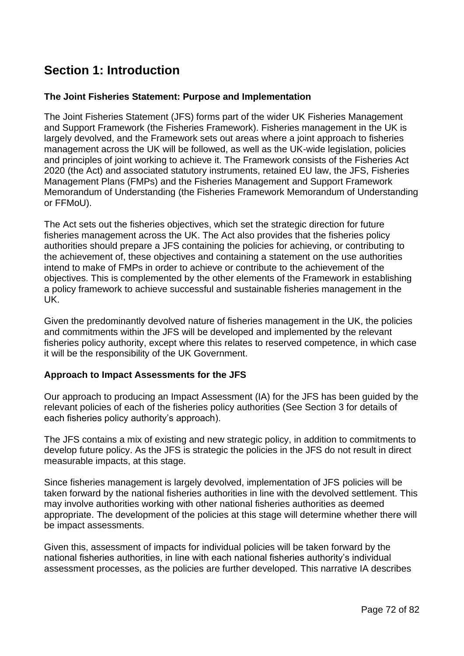## **Section 1: Introduction**

### **The Joint Fisheries Statement: Purpose and Implementation**

The Joint Fisheries Statement (JFS) forms part of the wider UK Fisheries Management and Support Framework (the Fisheries Framework). Fisheries management in the UK is largely devolved, and the Framework sets out areas where a joint approach to fisheries management across the UK will be followed, as well as the UK-wide legislation, policies and principles of joint working to achieve it. The Framework consists of the Fisheries Act 2020 (the Act) and associated statutory instruments, retained EU law, the JFS, Fisheries Management Plans (FMPs) and the Fisheries Management and Support Framework Memorandum of Understanding (the Fisheries Framework Memorandum of Understanding or FFMoU).

The Act sets out the fisheries objectives, which set the strategic direction for future fisheries management across the UK. The Act also provides that the fisheries policy authorities should prepare a JFS containing the policies for achieving, or contributing to the achievement of, these objectives and containing a statement on the use authorities intend to make of FMPs in order to achieve or contribute to the achievement of the objectives. This is complemented by the other elements of the Framework in establishing a policy framework to achieve successful and sustainable fisheries management in the UK.

Given the predominantly devolved nature of fisheries management in the UK, the policies and commitments within the JFS will be developed and implemented by the relevant fisheries policy authority, except where this relates to reserved competence, in which case it will be the responsibility of the UK Government.

### **Approach to Impact Assessments for the JFS**

Our approach to producing an Impact Assessment (IA) for the JFS has been guided by the relevant policies of each of the fisheries policy authorities (See Section 3 for details of each fisheries policy authority's approach).

The JFS contains a mix of existing and new strategic policy, in addition to commitments to develop future policy. As the JFS is strategic the policies in the JFS do not result in direct measurable impacts, at this stage.

Since fisheries management is largely devolved, implementation of JFS policies will be taken forward by the national fisheries authorities in line with the devolved settlement. This may involve authorities working with other national fisheries authorities as deemed appropriate. The development of the policies at this stage will determine whether there will be impact assessments.

Given this, assessment of impacts for individual policies will be taken forward by the national fisheries authorities, in line with each national fisheries authority's individual assessment processes, as the policies are further developed. This narrative IA describes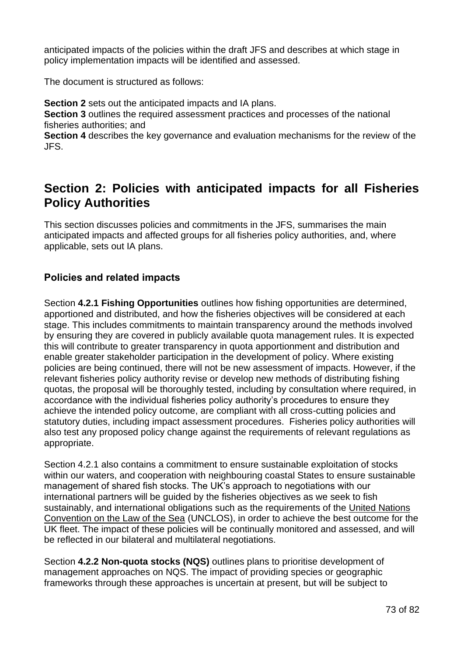anticipated impacts of the policies within the draft JFS and describes at which stage in policy implementation impacts will be identified and assessed.

The document is structured as follows:

**Section 2** sets out the anticipated impacts and IA plans.

**Section 3** outlines the required assessment practices and processes of the national fisheries authorities; and

**Section 4** describes the key governance and evaluation mechanisms for the review of the JFS.

### **Section 2: Policies with anticipated impacts for all Fisheries Policy Authorities**

This section discusses policies and commitments in the JFS, summarises the main anticipated impacts and affected groups for all fisheries policy authorities, and, where applicable, sets out IA plans.

#### **Policies and related impacts**

Section **4.2.1 Fishing Opportunities** outlines how fishing opportunities are determined, apportioned and distributed, and how the fisheries objectives will be considered at each stage. This includes commitments to maintain transparency around the methods involved by ensuring they are covered in publicly available quota management rules. It is expected this will contribute to greater transparency in quota apportionment and distribution and enable greater stakeholder participation in the development of policy. Where existing policies are being continued, there will not be new assessment of impacts. However, if the relevant fisheries policy authority revise or develop new methods of distributing fishing quotas, the proposal will be thoroughly tested, including by consultation where required, in accordance with the individual fisheries policy authority's procedures to ensure they achieve the intended policy outcome, are compliant with all cross-cutting policies and statutory duties, including impact assessment procedures. Fisheries policy authorities will also test any proposed policy change against the requirements of relevant regulations as appropriate.

Section 4.2.1 also contains a commitment to ensure sustainable exploitation of stocks within our waters, and cooperation with neighbouring coastal States to ensure sustainable management of shared fish stocks. The UK's approach to negotiations with our international partners will be guided by the fisheries objectives as we seek to fish sustainably, and international obligations such as the requirements of the United Nations [Convention on the Law of the Sea](https://www.un.org/Depts/los/convention_agreements/texts/unclos/unclos_e.pdf) (UNCLOS), in order to achieve the best outcome for the UK fleet. The impact of these policies will be continually monitored and assessed, and will be reflected in our bilateral and multilateral negotiations.

Section **4.2.2 Non-quota stocks (NQS)** outlines plans to prioritise development of management approaches on NQS. The impact of providing species or geographic frameworks through these approaches is uncertain at present, but will be subject to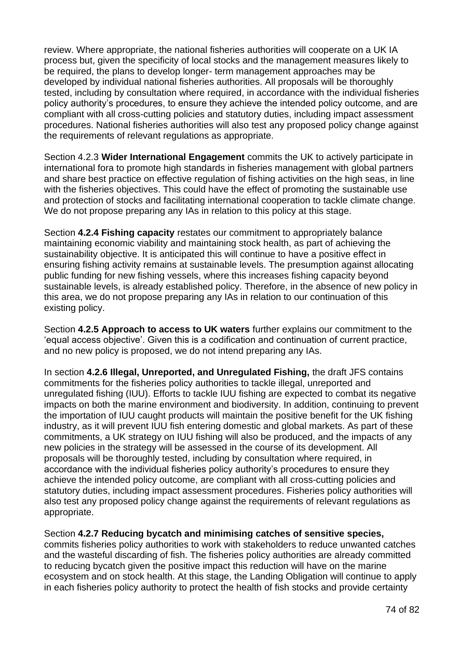review. Where appropriate, the national fisheries authorities will cooperate on a UK IA process but, given the specificity of local stocks and the management measures likely to be required, the plans to develop longer- term management approaches may be developed by individual national fisheries authorities. All proposals will be thoroughly tested, including by consultation where required, in accordance with the individual fisheries policy authority's procedures, to ensure they achieve the intended policy outcome, and are compliant with all cross-cutting policies and statutory duties, including impact assessment procedures. National fisheries authorities will also test any proposed policy change against the requirements of relevant regulations as appropriate.

Section 4.2.3 **Wider International Engagement** commits the UK to actively participate in international fora to promote high standards in fisheries management with global partners and share best practice on effective regulation of fishing activities on the high seas, in line with the fisheries objectives. This could have the effect of promoting the sustainable use and protection of stocks and facilitating international cooperation to tackle climate change. We do not propose preparing any IAs in relation to this policy at this stage.

Section **4.2.4 Fishing capacity** restates our commitment to appropriately balance maintaining economic viability and maintaining stock health, as part of achieving the sustainability objective. It is anticipated this will continue to have a positive effect in ensuring fishing activity remains at sustainable levels. The presumption against allocating public funding for new fishing vessels, where this increases fishing capacity beyond sustainable levels, is already established policy. Therefore, in the absence of new policy in this area, we do not propose preparing any IAs in relation to our continuation of this existing policy.

Section **4.2.5 Approach to access to UK waters** further explains our commitment to the 'equal access objective'. Given this is a codification and continuation of current practice, and no new policy is proposed, we do not intend preparing any IAs.

In section **4.2.6 Illegal, Unreported, and Unregulated Fishing,** the draft JFS contains commitments for the fisheries policy authorities to tackle illegal, unreported and unregulated fishing (IUU). Efforts to tackle IUU fishing are expected to combat its negative impacts on both the marine environment and biodiversity. In addition, continuing to prevent the importation of IUU caught products will maintain the positive benefit for the UK fishing industry, as it will prevent IUU fish entering domestic and global markets. As part of these commitments, a UK strategy on IUU fishing will also be produced, and the impacts of any new policies in the strategy will be assessed in the course of its development. All proposals will be thoroughly tested, including by consultation where required, in accordance with the individual fisheries policy authority's procedures to ensure they achieve the intended policy outcome, are compliant with all cross-cutting policies and statutory duties, including impact assessment procedures. Fisheries policy authorities will also test any proposed policy change against the requirements of relevant regulations as appropriate.

Section **4.2.7 Reducing bycatch and minimising catches of sensitive species,** commits fisheries policy authorities to work with stakeholders to reduce unwanted catches and the wasteful discarding of fish. The fisheries policy authorities are already committed to reducing bycatch given the positive impact this reduction will have on the marine ecosystem and on stock health. At this stage, the Landing Obligation will continue to apply in each fisheries policy authority to protect the health of fish stocks and provide certainty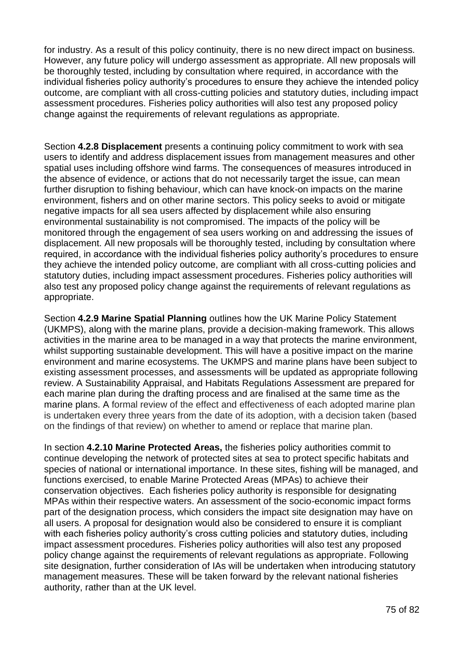for industry. As a result of this policy continuity, there is no new direct impact on business. However, any future policy will undergo assessment as appropriate. All new proposals will be thoroughly tested, including by consultation where required, in accordance with the individual fisheries policy authority's procedures to ensure they achieve the intended policy outcome, are compliant with all cross-cutting policies and statutory duties, including impact assessment procedures. Fisheries policy authorities will also test any proposed policy change against the requirements of relevant regulations as appropriate.

Section **4.2.8 Displacement** presents a continuing policy commitment to work with sea users to identify and address displacement issues from management measures and other spatial uses including offshore wind farms. The consequences of measures introduced in the absence of evidence, or actions that do not necessarily target the issue, can mean further disruption to fishing behaviour, which can have knock-on impacts on the marine environment, fishers and on other marine sectors. This policy seeks to avoid or mitigate negative impacts for all sea users affected by displacement while also ensuring environmental sustainability is not compromised. The impacts of the policy will be monitored through the engagement of sea users working on and addressing the issues of displacement. All new proposals will be thoroughly tested, including by consultation where required, in accordance with the individual fisheries policy authority's procedures to ensure they achieve the intended policy outcome, are compliant with all cross-cutting policies and statutory duties, including impact assessment procedures. Fisheries policy authorities will also test any proposed policy change against the requirements of relevant regulations as appropriate.

Section **4.2.9 Marine Spatial Planning** outlines how the UK Marine Policy Statement (UKMPS), along with the marine plans, provide a decision-making framework. This allows activities in the marine area to be managed in a way that protects the marine environment, whilst supporting sustainable development. This will have a positive impact on the marine environment and marine ecosystems. The UKMPS and marine plans have been subject to existing assessment processes, and assessments will be updated as appropriate following review. A Sustainability Appraisal, and Habitats Regulations Assessment are prepared for each marine plan during the drafting process and are finalised at the same time as the marine plans. A formal review of the effect and effectiveness of each adopted marine plan is undertaken every three years from the date of its adoption, with a decision taken (based on the findings of that review) on whether to amend or replace that marine plan.

In section **4.2.10 Marine Protected Areas,** the fisheries policy authorities commit to continue developing the network of protected sites at sea to protect specific habitats and species of national or international importance. In these sites, fishing will be managed, and functions exercised, to enable Marine Protected Areas (MPAs) to achieve their conservation objectives. Each fisheries policy authority is responsible for designating MPAs within their respective waters. An assessment of the socio-economic impact forms part of the designation process, which considers the impact site designation may have on all users. A proposal for designation would also be considered to ensure it is compliant with each fisheries policy authority's cross cutting policies and statutory duties, including impact assessment procedures. Fisheries policy authorities will also test any proposed policy change against the requirements of relevant regulations as appropriate. Following site designation, further consideration of IAs will be undertaken when introducing statutory management measures. These will be taken forward by the relevant national fisheries authority, rather than at the UK level.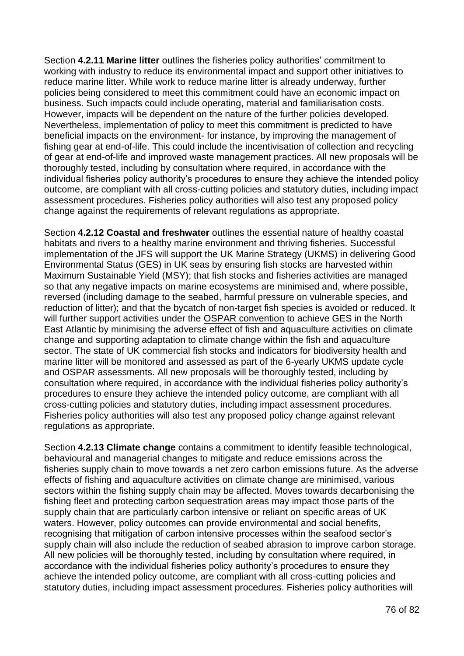Section **4.2.11 Marine litter** outlines the fisheries policy authorities' commitment to working with industry to reduce its environmental impact and support other initiatives to reduce marine litter. While work to reduce marine litter is already underway, further policies being considered to meet this commitment could have an economic impact on business. Such impacts could include operating, material and familiarisation costs. However, impacts will be dependent on the nature of the further policies developed. Nevertheless, implementation of policy to meet this commitment is predicted to have beneficial impacts on the environment- for instance, by improving the management of fishing gear at end-of-life. This could include the incentivisation of collection and recycling of gear at end-of-life and improved waste management practices. All new proposals will be thoroughly tested, including by consultation where required, in accordance with the individual fisheries policy authority's procedures to ensure they achieve the intended policy outcome, are compliant with all cross-cutting policies and statutory duties, including impact assessment procedures. Fisheries policy authorities will also test any proposed policy change against the requirements of relevant regulations as appropriate.

Section **4.2.12 Coastal and freshwater** outlines the essential nature of healthy coastal habitats and rivers to a healthy marine environment and thriving fisheries. Successful implementation of the JFS will support the UK Marine Strategy (UKMS) in delivering Good Environmental Status (GES) in UK seas by ensuring fish stocks are harvested within Maximum Sustainable Yield (MSY); that fish stocks and fisheries activities are managed so that any negative impacts on marine ecosystems are minimised and, where possible, reversed (including damage to the seabed, harmful pressure on vulnerable species, and reduction of litter); and that the bycatch of non-target fish species is avoided or reduced. It will further support activities under the [OSPAR convention](https://www.ospar.org/convention/text) to achieve GES in the North East Atlantic by minimising the adverse effect of fish and aquaculture activities on climate change and supporting adaptation to climate change within the fish and aquaculture sector. The state of UK commercial fish stocks and indicators for biodiversity health and marine litter will be monitored and assessed as part of the 6-yearly UKMS update cycle and OSPAR assessments. All new proposals will be thoroughly tested, including by consultation where required, in accordance with the individual fisheries policy authority's procedures to ensure they achieve the intended policy outcome, are compliant with all cross-cutting policies and statutory duties, including impact assessment procedures. Fisheries policy authorities will also test any proposed policy change against relevant regulations as appropriate.

Section **4.2.13 Climate change** contains a commitment to identify feasible technological, behavioural and managerial changes to mitigate and reduce emissions across the fisheries supply chain to move towards a net zero carbon emissions future. As the adverse effects of fishing and aquaculture activities on climate change are minimised, various sectors within the fishing supply chain may be affected. Moves towards decarbonising the fishing fleet and protecting carbon sequestration areas may impact those parts of the supply chain that are particularly carbon intensive or reliant on specific areas of UK waters. However, policy outcomes can provide environmental and social benefits, recognising that mitigation of carbon intensive processes within the seafood sector's supply chain will also include the reduction of seabed abrasion to improve carbon storage. All new policies will be thoroughly tested, including by consultation where required, in accordance with the individual fisheries policy authority's procedures to ensure they achieve the intended policy outcome, are compliant with all cross-cutting policies and statutory duties, including impact assessment procedures. Fisheries policy authorities will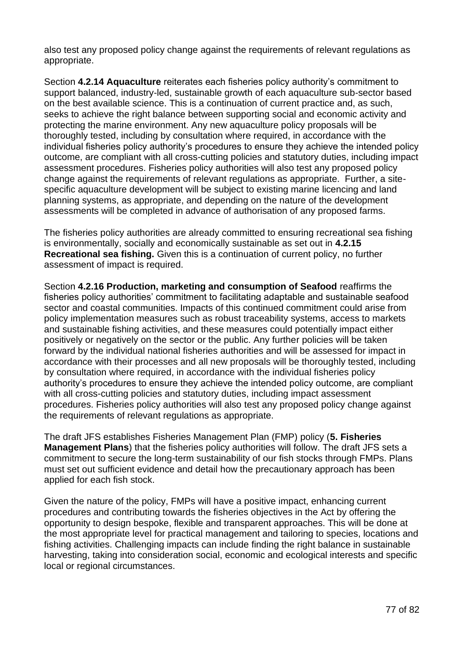also test any proposed policy change against the requirements of relevant regulations as appropriate.

Section **4.2.14 Aquaculture** reiterates each fisheries policy authority's commitment to support balanced, industry-led, sustainable growth of each aquaculture sub-sector based on the best available science. This is a continuation of current practice and, as such, seeks to achieve the right balance between supporting social and economic activity and protecting the marine environment. Any new aquaculture policy proposals will be thoroughly tested, including by consultation where required, in accordance with the individual fisheries policy authority's procedures to ensure they achieve the intended policy outcome, are compliant with all cross-cutting policies and statutory duties, including impact assessment procedures. Fisheries policy authorities will also test any proposed policy change against the requirements of relevant regulations as appropriate. Further, a sitespecific aquaculture development will be subject to existing marine licencing and land planning systems, as appropriate, and depending on the nature of the development assessments will be completed in advance of authorisation of any proposed farms.

The fisheries policy authorities are already committed to ensuring recreational sea fishing is environmentally, socially and economically sustainable as set out in **4.2.15 Recreational sea fishing.** Given this is a continuation of current policy, no further assessment of impact is required.

Section **4.2.16 Production, marketing and consumption of Seafood** reaffirms the fisheries policy authorities' commitment to facilitating adaptable and sustainable seafood sector and coastal communities. Impacts of this continued commitment could arise from policy implementation measures such as robust traceability systems, access to markets and sustainable fishing activities, and these measures could potentially impact either positively or negatively on the sector or the public. Any further policies will be taken forward by the individual national fisheries authorities and will be assessed for impact in accordance with their processes and all new proposals will be thoroughly tested, including by consultation where required, in accordance with the individual fisheries policy authority's procedures to ensure they achieve the intended policy outcome, are compliant with all cross-cutting policies and statutory duties, including impact assessment procedures. Fisheries policy authorities will also test any proposed policy change against the requirements of relevant regulations as appropriate.

The draft JFS establishes Fisheries Management Plan (FMP) policy (**5. Fisheries Management Plans**) that the fisheries policy authorities will follow. The draft JFS sets a commitment to secure the long-term sustainability of our fish stocks through FMPs. Plans must set out sufficient evidence and detail how the precautionary approach has been applied for each fish stock.

Given the nature of the policy, FMPs will have a positive impact, enhancing current procedures and contributing towards the fisheries objectives in the Act by offering the opportunity to design bespoke, flexible and transparent approaches. This will be done at the most appropriate level for practical management and tailoring to species, locations and fishing activities. Challenging impacts can include finding the right balance in sustainable harvesting, taking into consideration social, economic and ecological interests and specific local or regional circumstances.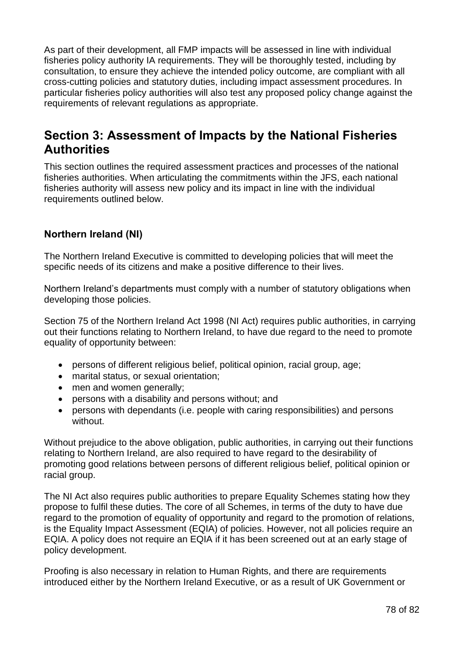As part of their development, all FMP impacts will be assessed in line with individual fisheries policy authority IA requirements. They will be thoroughly tested, including by consultation, to ensure they achieve the intended policy outcome, are compliant with all cross-cutting policies and statutory duties, including impact assessment procedures. In particular fisheries policy authorities will also test any proposed policy change against the requirements of relevant regulations as appropriate.

## **Section 3: Assessment of Impacts by the National Fisheries Authorities**

This section outlines the required assessment practices and processes of the national fisheries authorities. When articulating the commitments within the JFS, each national fisheries authority will assess new policy and its impact in line with the individual requirements outlined below.

### **Northern Ireland (NI)**

The Northern Ireland Executive is committed to developing policies that will meet the specific needs of its citizens and make a positive difference to their lives.

Northern Ireland's departments must comply with a number of statutory obligations when developing those policies.

Section 75 of the Northern Ireland Act 1998 (NI Act) requires public authorities, in carrying out their functions relating to Northern Ireland, to have due regard to the need to promote equality of opportunity between:

- persons of different religious belief, political opinion, racial group, age;
- marital status, or sexual orientation;
- men and women generally;
- persons with a disability and persons without; and
- persons with dependants (i.e. people with caring responsibilities) and persons without.

Without prejudice to the above obligation, public authorities, in carrying out their functions relating to Northern Ireland, are also required to have regard to the desirability of promoting good relations between persons of different religious belief, political opinion or racial group.

The NI Act also requires public authorities to prepare Equality Schemes stating how they propose to fulfil these duties. The core of all Schemes, in terms of the duty to have due regard to the promotion of equality of opportunity and regard to the promotion of relations, is the Equality Impact Assessment (EQIA) of policies. However, not all policies require an EQIA. A policy does not require an EQIA if it has been screened out at an early stage of policy development.

Proofing is also necessary in relation to Human Rights, and there are requirements introduced either by the Northern Ireland Executive, or as a result of UK Government or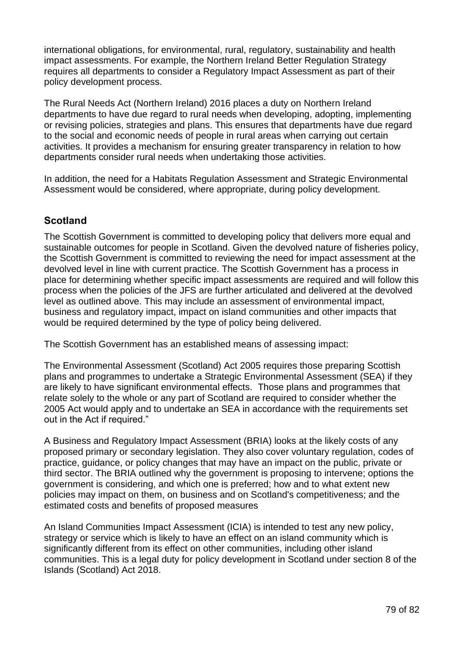international obligations, for environmental, rural, regulatory, sustainability and health impact assessments. For example, the Northern Ireland Better Regulation Strategy requires all departments to consider a Regulatory Impact Assessment as part of their policy development process.

The Rural Needs Act (Northern Ireland) 2016 places a duty on Northern Ireland departments to have due regard to rural needs when developing, adopting, implementing or revising policies, strategies and plans. This ensures that departments have due regard to the social and economic needs of people in rural areas when carrying out certain activities. It provides a mechanism for ensuring greater transparency in relation to how departments consider rural needs when undertaking those activities.

In addition, the need for a Habitats Regulation Assessment and Strategic Environmental Assessment would be considered, where appropriate, during policy development.

### **Scotland**

The Scottish Government is committed to developing policy that delivers more equal and sustainable outcomes for people in Scotland. Given the devolved nature of fisheries policy, the Scottish Government is committed to reviewing the need for impact assessment at the devolved level in line with current practice. The Scottish Government has a process in place for determining whether specific impact assessments are required and will follow this process when the policies of the JFS are further articulated and delivered at the devolved level as outlined above. This may include an assessment of environmental impact, business and regulatory impact, impact on island communities and other impacts that would be required determined by the type of policy being delivered.

The Scottish Government has an established means of assessing impact:

The Environmental Assessment (Scotland) Act 2005 requires those preparing Scottish plans and programmes to undertake a Strategic Environmental Assessment (SEA) if they are likely to have significant environmental effects. Those plans and programmes that relate solely to the whole or any part of Scotland are required to consider whether the 2005 Act would apply and to undertake an SEA in accordance with the requirements set out in the Act if required."

A Business and Regulatory Impact Assessment (BRIA) looks at the likely costs of any proposed primary or secondary legislation. They also cover voluntary regulation, codes of practice, guidance, or policy changes that may have an impact on the public, private or third sector. The BRIA outlined why the government is proposing to intervene; options the government is considering, and which one is preferred; how and to what extent new policies may impact on them, on business and on Scotland's competitiveness; and the estimated costs and benefits of proposed measures

An Island Communities Impact Assessment (ICIA) is intended to test any new policy, strategy or service which is likely to have an effect on an island community which is significantly different from its effect on other communities, including other island communities. This is a legal duty for policy development in Scotland under section 8 of the Islands (Scotland) Act 2018.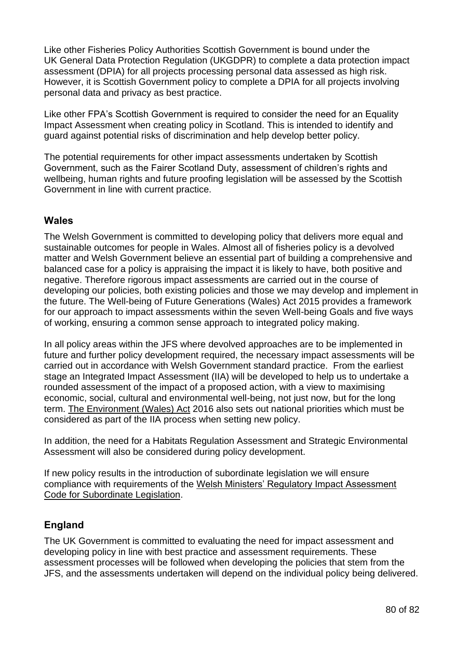Like other Fisheries Policy Authorities Scottish Government is bound under the UK General Data Protection Regulation (UKGDPR) to complete a data protection impact assessment (DPIA) for all projects processing personal data assessed as high risk. However, it is Scottish Government policy to complete a DPIA for all projects involving personal data and privacy as best practice.

Like other FPA's Scottish Government is required to consider the need for an Equality Impact Assessment when creating policy in Scotland. This is intended to identify and guard against potential risks of discrimination and help develop better policy.

The potential requirements for other impact assessments undertaken by Scottish Government, such as the Fairer Scotland Duty, assessment of children's rights and wellbeing, human rights and future proofing legislation will be assessed by the Scottish Government in line with current practice.

#### **Wales**

The Welsh Government is committed to developing policy that delivers more equal and sustainable outcomes for people in Wales. Almost all of fisheries policy is a devolved matter and Welsh Government believe an essential part of building a comprehensive and balanced case for a policy is appraising the impact it is likely to have, both positive and negative. Therefore rigorous impact assessments are carried out in the course of developing our policies, both existing policies and those we may develop and implement in the future. The Well-being of Future Generations (Wales) Act 2015 provides a framework for our approach to impact assessments within the seven Well-being Goals and five ways of working, ensuring a common sense approach to integrated policy making.

In all policy areas within the JFS where devolved approaches are to be implemented in future and further policy development required, the necessary impact assessments will be carried out in accordance with Welsh Government standard practice. From the earliest stage an Integrated Impact Assessment (IIA) will be developed to help us to undertake a rounded assessment of the impact of a proposed action, with a view to maximising economic, social, cultural and environmental well-being, not just now, but for the long term. [The Environment \(Wales\) Act](https://www.legislation.gov.uk/anaw/2016/3/contents/enacted) 2016 also sets out national priorities which must be considered as part of the IIA process when setting new policy.

In addition, the need for a Habitats Regulation Assessment and Strategic Environmental Assessment will also be considered during policy development.

If new policy results in the introduction of subordinate legislation we will ensure compliance with requirements of the [Welsh Ministers' Regulatory Impact Assessment](https://gov.wales/welsh-ministers-regulatory-impact-assessment-code-for-subordinate-legislation-2021-html)  [Code for Subordinate Legislation.](https://gov.wales/welsh-ministers-regulatory-impact-assessment-code-for-subordinate-legislation-2021-html)

### **England**

The UK Government is committed to evaluating the need for impact assessment and developing policy in line with best practice and assessment requirements. These assessment processes will be followed when developing the policies that stem from the JFS, and the assessments undertaken will depend on the individual policy being delivered.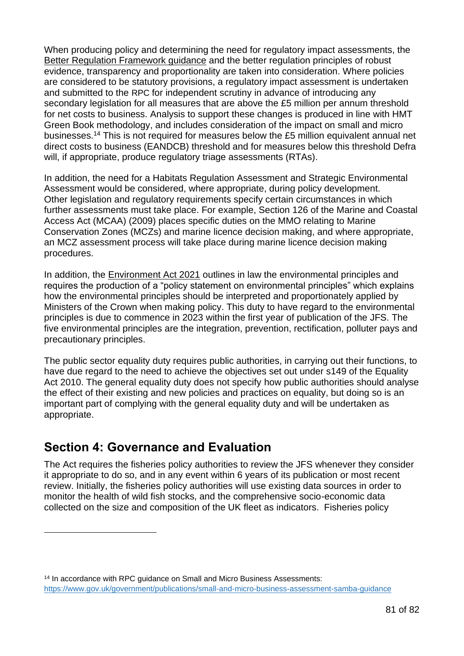When producing policy and determining the need for regulatory impact assessments, the [Better Regulation Framework guidance](https://assets.publishing.service.gov.uk/government/uploads/system/uploads/attachment_data/file/916918/better-regulation-guidance.pdf) and the better regulation principles of robust evidence, transparency and proportionality are taken into consideration. Where policies are considered to be statutory provisions, a regulatory impact assessment is undertaken and submitted to the RPC for independent scrutiny in advance of introducing any secondary legislation for all measures that are above the £5 million per annum threshold for net costs to business. Analysis to support these changes is produced in line with HMT Green Book methodology, and includes consideration of the impact on small and micro businesses.<sup>14</sup> This is not required for measures below the £5 million equivalent annual net direct costs to business (EANDCB) threshold and for measures below this threshold Defra will, if appropriate, produce regulatory triage assessments (RTAs).

In addition, the need for a Habitats Regulation Assessment and Strategic Environmental Assessment would be considered, where appropriate, during policy development. Other legislation and regulatory requirements specify certain circumstances in which further assessments must take place. For example, Section 126 of the Marine and Coastal Access Act (MCAA) (2009) places specific duties on the MMO relating to Marine Conservation Zones (MCZs) and marine licence decision making, and where appropriate, an MCZ assessment process will take place during marine licence decision making procedures.

In addition, the [Environment Act 2021](https://www.legislation.gov.uk/ukpga/2021/30/contents/enacted) outlines in law the environmental principles and requires the production of a "policy statement on environmental principles" which explains how the environmental principles should be interpreted and proportionately applied by Ministers of the Crown when making policy. This duty to have regard to the environmental principles is due to commence in 2023 within the first year of publication of the JFS. The five environmental principles are the integration, prevention, rectification, polluter pays and precautionary principles.

The public sector equality duty requires public authorities, in carrying out their functions, to have due regard to the need to achieve the objectives set out under s149 of the Equality Act 2010. The general equality duty does not specify how public authorities should analyse the effect of their existing and new policies and practices on equality, but doing so is an important part of complying with the general equality duty and will be undertaken as appropriate.

# **Section 4: Governance and Evaluation**

The Act requires the fisheries policy authorities to review the JFS whenever they consider it appropriate to do so, and in any event within 6 years of its publication or most recent review. Initially, the fisheries policy authorities will use existing data sources in order to monitor the health of wild fish stocks, and the comprehensive socio-economic data collected on the size and composition of the UK fleet as indicators. Fisheries policy

<sup>14</sup> In accordance with RPC guidance on Small and Micro Business Assessments: <https://www.gov.uk/government/publications/small-and-micro-business-assessment-samba-guidance>